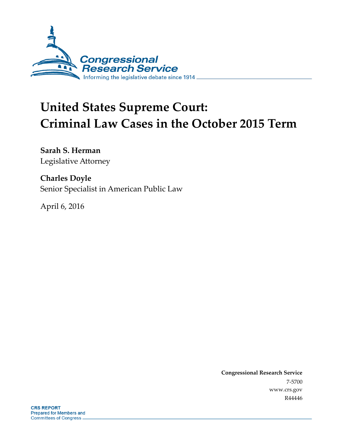

# **United States Supreme Court: Criminal Law Cases in the October 2015 Term**

**Sarah S. Herman** Legislative Attorney

**Charles Doyle** Senior Specialist in American Public Law

April 6, 2016

**Congressional Research Service** 7-5700 www.crs.gov R44446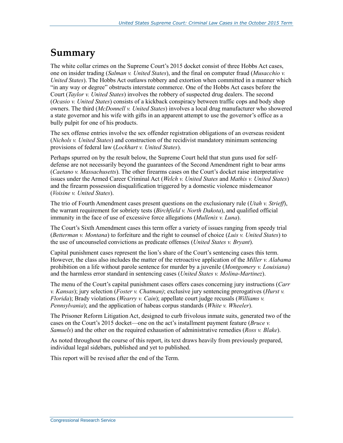## **Summary**

The white collar crimes on the Supreme Court's 2015 docket consist of three Hobbs Act cases, one on insider trading (*Salman v. United States*), and the final on computer fraud (*Musacchio v. United States*). The Hobbs Act outlaws robbery and extortion when committed in a manner which "in any way or degree" obstructs interstate commerce. One of the Hobbs Act cases before the Court (*Taylor v. United States*) involves the robbery of suspected drug dealers. The second (*Ocasio v. United States*) consists of a kickback conspiracy between traffic cops and body shop owners. The third (*McDonnell v. United States*) involves a local drug manufacturer who showered a state governor and his wife with gifts in an apparent attempt to use the governor's office as a bully pulpit for one of his products.

The sex offense entries involve the sex offender registration obligations of an overseas resident (*Nichols v. United States*) and construction of the recidivist mandatory minimum sentencing provisions of federal law (*Lockhart v. United States*).

Perhaps spurred on by the result below, the Supreme Court held that stun guns used for selfdefense are not necessarily beyond the guarantees of the Second Amendment right to bear arms (*Caetano v. Massachusetts*). The other firearms cases on the Court's docket raise interpretative issues under the Armed Career Criminal Act (*Welch v. United States* and *Mathis v. United States*) and the firearm possession disqualification triggered by a domestic violence misdemeanor (*Voisine v. United States*).

The trio of Fourth Amendment cases present questions on the exclusionary rule (*Utah v. Strieff*), the warrant requirement for sobriety tests (*Birchfield v. North Dakota*), and qualified official immunity in the face of use of excessive force allegations (*Mullenix v. Luna*).

The Court's Sixth Amendment cases this term offer a variety of issues ranging from speedy trial (*Betterman v. Montana*) to forfeiture and the right to counsel of choice (*Luis v. United States*) to the use of uncounseled convictions as predicate offenses (*United States v. Bryant*).

Capital punishment cases represent the lion's share of the Court's sentencing cases this term. However, the class also includes the matter of the retroactive application of the *Miller v. Alabama* prohibition on a life without parole sentence for murder by a juvenile (*Montgomery v. Louisiana*) and the harmless error standard in sentencing cases (*United States v. Molina-Martinez*).

The menu of the Court's capital punishment cases offers cases concerning jury instructions (*Carr v. Kansas*); jury selection (*Foster v. Chatman)*; exclusive jury sentencing prerogatives (*Hurst v. Florida*); Brady violations (*Wearry v. Cain*); appellate court judge recusals (*Williams v. Pennsylvania*); and the application of habeas corpus standards (*White v. Wheeler*).

The Prisoner Reform Litigation Act, designed to curb frivolous inmate suits, generated two of the cases on the Court's 2015 docket—one on the act's installment payment feature (*Bruce v. Samuels*) and the other on the required exhaustion of administrative remedies (*Ross v. Blake*).

As noted throughout the course of this report, its text draws heavily from previously prepared, individual legal sidebars, published and yet to published.

This report will be revised after the end of the Term.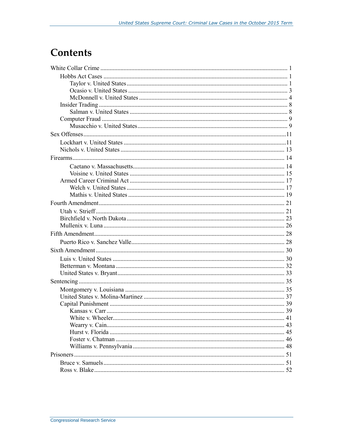## **Contents**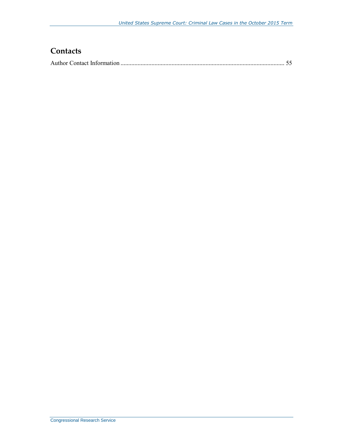## **Contacts**

|--|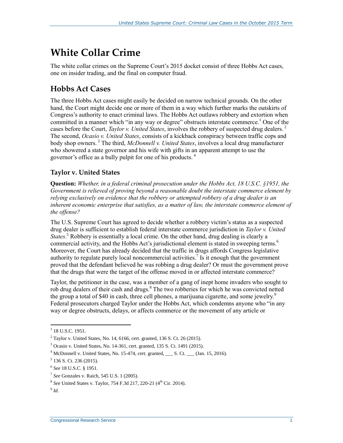## **White Collar Crime**

The white collar crimes on the Supreme Court's 2015 docket consist of three Hobbs Act cases, one on insider trading, and the final on computer fraud.

## **Hobbs Act Cases**

The three Hobbs Act cases might easily be decided on narrow technical grounds. On the other hand, the Court might decide one or more of them in a way which further marks the outskirts of Congress's authority to enact criminal laws. The Hobbs Act outlaws robbery and extortion when committed in a manner which "in any way or degree" obstructs interstate commerce.<sup>1</sup> One of the cases before the Court, *Taylor v. United States*, involves the robbery of suspected drug dealers. <sup>2</sup> The second, *Ocasio v. United States*, consists of a kickback conspiracy between traffic cops and body shop owners.<sup>3</sup> The third, *McDonnell v. United States*, involves a local drug manufacturer who showered a state governor and his wife with gifts in an apparent attempt to use the governor's office as a bully pulpit for one of his products. <sup>4</sup>

### **Taylor v. United States**

**Question:** *Whether, in a federal criminal prosecution under the Hobbs Act, 18 U.S.C. §1951, the Government is relieved of proving beyond a reasonable doubt the interstate commerce element by relying exclusively on evidence that the robbery or attempted robbery of a drug dealer is an inherent economic enterprise that satisfies, as a matter of law, the interstate commerce element of the offense?*

The U.S. Supreme Court has agreed to decide whether a robbery victim's status as a suspected drug dealer is sufficient to establish federal interstate commerce jurisdiction in *Taylor v. United States*. <sup>5</sup> Robbery is essentially a local crime. On the other hand, drug dealing is clearly a commercial activity, and the Hobbs Act's jurisdictional element is stated in sweeping terms.<sup>6</sup> Moreover, the Court has already decided that the traffic in drugs affords Congress legislative authority to regulate purely local noncommercial activities.<sup>7</sup> Is it enough that the government proved that the defendant believed he was robbing a drug dealer? Or must the government prove that the drugs that were the target of the offense moved in or affected interstate commerce?

Taylor, the petitioner in the case, was a member of a gang of inept home invaders who sought to rob drug dealers of their cash and drugs.<sup>8</sup> The two robberies for which he was convicted netted the group a total of \$40 in cash, three cell phones, a marijuana cigarette, and some jewelry.<sup>9</sup> Federal prosecutors charged Taylor under the Hobbs Act, which condemns anyone who "in any way or degree obstructs, delays, or affects commerce or the movement of any article or

 $\overline{a}$  $1$  18 U.S.C. 1951.

 $2$  Taylor v. United States, No. 14, 6166, cert. granted, 136 S. Ct. 26 (2015).

<sup>3</sup> Ocasio v. United States, No. 14-361, cert. granted, 135 S. Ct. 1491 (2015).

 $4$  McDonnell v. United States, No. 15-474, cert. granted, S. Ct. (Jan. 15, 2016).

 $<sup>5</sup>$  136 S. Ct. 236 (2015).</sup>

<sup>6</sup> *See* 18 U.S.C. § 1951.

<sup>7</sup> *See* Gonzales v. Raich, 545 U.S. 1 (2005).

<sup>&</sup>lt;sup>8</sup> See United States v. Taylor, 754 F.3d 217, 220-21 (4<sup>th</sup> Cir. 2014).

<sup>9</sup> *Id.*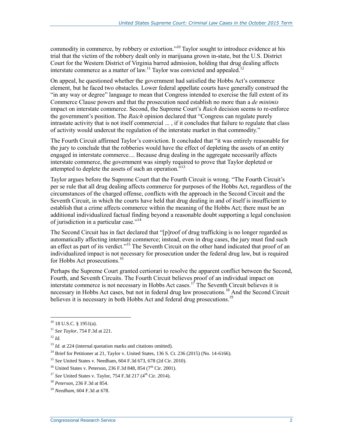commodity in commerce, by robbery or extortion."<sup>10</sup> Taylor sought to introduce evidence at his trial that the victim of the robbery dealt only in marijuana grown in-state, but the U.S. District Court for the Western District of Virginia barred admission, holding that drug dealing affects interstate commerce as a matter of law.<sup>11</sup> Taylor was convicted and appealed.<sup>12</sup>

On appeal, he questioned whether the government had satisfied the Hobbs Act's commerce element, but he faced two obstacles. Lower federal appellate courts have generally construed the "in any way or degree" language to mean that Congress intended to exercise the full extent of its Commerce Clause powers and that the prosecution need establish no more than a *de minimis* impact on interstate commerce. Second, the Supreme Court's *Raich* decision seems to re-enforce the government's position. The *Raich* opinion declared that "Congress can regulate purely intrastate activity that is not itself commercial ... , if it concludes that failure to regulate that class of activity would undercut the regulation of the interstate market in that commodity."

The Fourth Circuit affirmed Taylor's conviction. It concluded that "it was entirely reasonable for the jury to conclude that the robberies would have the effect of depleting the assets of an entity engaged in interstate commerce.... Because drug dealing in the aggregate necessarily affects interstate commerce, the government was simply required to prove that Taylor depleted or attempted to deplete the assets of such an operation."<sup>13</sup>

Taylor argues before the Supreme Court that the Fourth Circuit is wrong. "The Fourth Circuit's per se rule that all drug dealing affects commerce for purposes of the Hobbs Act, regardless of the circumstances of the charged offense, conflicts with the approach in the Second Circuit and the Seventh Circuit, in which the courts have held that drug dealing in and of itself is insufficient to establish that a crime affects commerce within the meaning of the Hobbs Act; there must be an additional individualized factual finding beyond a reasonable doubt supporting a legal conclusion of jurisdiction in a particular case."<sup>14</sup>

The Second Circuit has in fact declared that "[p]roof of drug trafficking is no longer regarded as automatically affecting interstate commerce; instead, even in drug cases, the jury must find such an effect as part of its verdict."<sup>15</sup> The Seventh Circuit on the other hand indicated that proof of an individualized impact is not necessary for prosecution under the federal drug law, but is required for Hobbs Act prosecutions.<sup>16</sup>

Perhaps the Supreme Court granted certiorari to resolve the apparent conflict between the Second, Fourth, and Seventh Circuits. The Fourth Circuit believes proof of an individual impact on interstate commerce is not necessary in Hobbs Act cases.<sup>17</sup> The Seventh Circuit believes it is necessary in Hobbs Act cases, but not in federal drug law prosecutions.<sup>18</sup> And the Second Circuit believes it is necessary in both Hobbs Act and federal drug prosecutions.<sup>19</sup>

 $10$  18 U.S.C. § 1951(a).

<sup>11</sup> *See Taylor*, 754 F.3d at 221.

 $12 \, Id.$ 

<sup>&</sup>lt;sup>13</sup> *Id.* at 224 (internal quotation marks and citations omitted).

<sup>&</sup>lt;sup>14</sup> Brief for Petitioner at 21, Taylor v. United States, 136 S. Ct. 236 (2015) (No. 14-6166).

<sup>15</sup> *See* United States v. Needham, 604 F.3d 673, 678 (2d Cir. 2010).

<sup>&</sup>lt;sup>16</sup> United States v. Peterson, 236 F.3d 848, 854 (7<sup>th</sup> Cir. 2001).

<sup>&</sup>lt;sup>17</sup> See United States v. Taylor, 754 F.3d 217 (4<sup>th</sup> Cir. 2014).

<sup>18</sup> *Peterson*, 236 F.3d at 854.

<sup>19</sup> *Needham*, 604 F.3d at 678.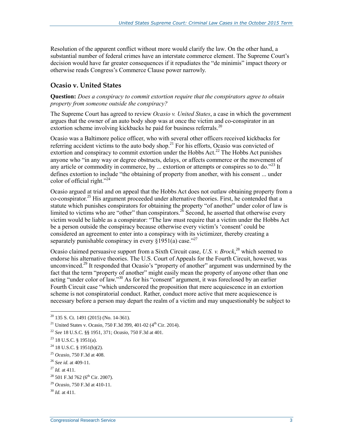Resolution of the apparent conflict without more would clarify the law. On the other hand, a substantial number of federal crimes have an interstate commerce element. The Supreme Court's decision would have far greater consequences if it repudiates the "de minimis" impact theory or otherwise reads Congress's Commerce Clause power narrowly.

#### **Ocasio v. United States**

**Question:** *Does a conspiracy to commit extortion require that the conspirators agree to obtain property from someone outside the conspiracy?*

The Supreme Court has agreed to review *Ocasio v. United States*, a case in which the government argues that the owner of an auto body shop was at once the victim and co-conspirator in an extortion scheme involving kickbacks he paid for business referrals.<sup>20</sup>

Ocasio was a Baltimore police officer, who with several other officers received kickbacks for referring accident victims to the auto body shop.<sup>21</sup> For his efforts, Ocasio was convicted of extortion and conspiracy to commit extortion under the Hobbs Act.<sup>22</sup> The Hobbs Act punishes anyone who "in any way or degree obstructs, delays, or affects commerce or the movement of any article or commodity in commerce, by  $\ldots$  extortion or attempts or conspires so to do."<sup>23</sup> It defines extortion to include "the obtaining of property from another, with his consent ... under color of official right." $^{24}$ 

Ocasio argued at trial and on appeal that the Hobbs Act does not outlaw obtaining property from a co-conspirator.<sup>25</sup> His argument proceeded under alternative theories. First, he contended that a statute which punishes conspirators for obtaining the property "of another" under color of law is limited to victims who are "other" than conspirators.<sup>26</sup> Second, he asserted that otherwise every victim would be liable as a conspirator: "The law must require that a victim under the Hobbs Act be a person outside the conspiracy because otherwise every victim's 'consent' could be considered an agreement to enter into a conspiracy with its victimizer, thereby creating a separately punishable conspiracy in every  $\frac{1951(a)}{27}$ 

Ocasio claimed persuasive support from a Sixth Circuit case, *U.S. v. Brock*<sup>28</sup> which seemed to endorse his alternative theories. The U.S. Court of Appeals for the Fourth Circuit, however, was unconvinced.<sup>29</sup> It responded that Ocasio's "property of another" argument was undermined by the fact that the term "property of another" might easily mean the property of anyone other than one acting "under color of law."<sup>30</sup> As for his "consent" argument, it was foreclosed by an earlier Fourth Circuit case "which underscored the proposition that mere acquiescence in an extortion scheme is not conspiratorial conduct. Rather, conduct more active that mere acquiescence is necessary before a person may depart the realm of a victim and may unquestionably be subject to

 $20$  135 S. Ct. 1491 (2015) (No. 14-361).

<sup>&</sup>lt;sup>21</sup> United States v. Ocasio, 750 F.3d 399, 401-02 (4<sup>th</sup> Cir. 2014).

<sup>22</sup> *See* 18 U.S.C. §§ 1951, 371; *Ocasio,* 750 F.3d at 401.

 $23$  18 U.S.C. § 1951(a).

 $24$  18 U.S.C. § 1951(b)(2).

<sup>25</sup> *Ocasio,* 750 F.3d at 408.

<sup>26</sup> *See id.* at 409-11.

<sup>27</sup> *Id.* at 411.

 $28$  501 F.3d 762 (6<sup>th</sup> Cir. 2007).

<sup>29</sup> *Ocasio,* 750 F.3d at 410-11.

<sup>30</sup> *Id.* at 411.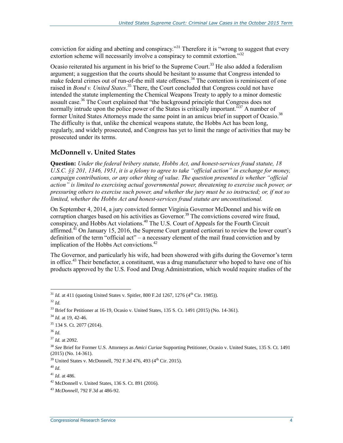conviction for aiding and abetting and conspiracy."<sup>31</sup> Therefore it is "wrong to suggest that every extortion scheme will necessarily involve a conspiracy to commit extortion."<sup>32</sup>

Ocasio reiterated his argument in his brief to the Supreme Court.<sup>33</sup> He also added a federalism argument; a suggestion that the courts should be hesitant to assume that Congress intended to make federal crimes out of run-of-the mill state offenses.<sup>34</sup> The contention is reminiscent of one raised in *Bond v. United States*. <sup>35</sup> There, the Court concluded that Congress could not have intended the statute implementing the Chemical Weapons Treaty to apply to a minor domestic assault case.<sup>36</sup> The Court explained that "the background principle that Congress does not normally intrude upon the police power of the States is critically important.<sup> $537$ </sup> A number of former United States Attorneys made the same point in an amicus brief in support of Ocasio.<sup>38</sup> The difficulty is that, unlike the chemical weapons statute, the Hobbs Act has been long, regularly, and widely prosecuted, and Congress has yet to limit the range of activities that may be prosecuted under its terms.

### **McDonnell v. United States**

**Question:** *Under the federal bribery statute, Hobbs Act, and honest-services fraud statute, 18 U.S.C. §§ 201, 1346, 1951, it is a felony to agree to take "official action" in exchange for money, campaign contributions, or any other thing of value. The question presented is whether "official action" is limited to exercising actual governmental power, threatening to exercise such power, or pressuring others to exercise such power, and whether the jury must be so instructed; or, if not so limited, whether the Hobbs Act and honest-services fraud statute are unconstitutional.*

On September 4, 2014, a jury convicted former Virginia Governor McDonnel and his wife on corruption charges based on his activities as Governor.<sup>39</sup> The convictions covered wire fraud, conspiracy, and Hobbs Act violations.<sup>40</sup> The U.S. Court of Appeals for the Fourth Circuit affirmed.<sup> $41$ </sup> On January 15, 2016, the Supreme Court granted certiorari to review the lower court's definition of the term "official act" – a necessary element of the mail fraud conviction and by implication of the Hobbs Act convictions.<sup>42</sup>

The Governor, and particularly his wife, had been showered with gifts during the Governor's term in office.<sup>43</sup> Their benefactor, a constituent, was a drug manufacturer who hoped to have one of his products approved by the U.S. Food and Drug Administration, which would require studies of the

 $\overline{a}$  $^{31}$  *Id.* at 411 (quoting United States v. Spitler, 800 F.2d 1267, 1276 (4<sup>th</sup> Cir. 1985)).

 $32$  *Id.* 

 $33$  Brief for Petitioner at 16-19, Ocasio v. United States, 135 S. Ct. 1491 (2015) (No. 14-361).

<sup>34</sup> *Id.* at 19, 42-46.

<sup>35</sup> 134 S. Ct. 2077 (2014).

<sup>36</sup> *Id.* 

<sup>37</sup> *Id.* at 2092.

<sup>38</sup> *See* Brief for Former U.S. Attorneys as *Amici Curiae* Supporting Petitioner, Ocasio v. United States, 135 S. Ct. 1491 (2015) (No. 14-361).

 $39$  United States v. McDonnell, 792 F.3d 476, 493 (4<sup>th</sup> Cir. 2015).

<sup>40</sup> *Id*.

<sup>41</sup> *Id*. at 486.

 $42$  McDonnell v. United States, 136 S. Ct. 891 (2016).

<sup>43</sup> *McDonnell*, 792 F.3d at 486-92.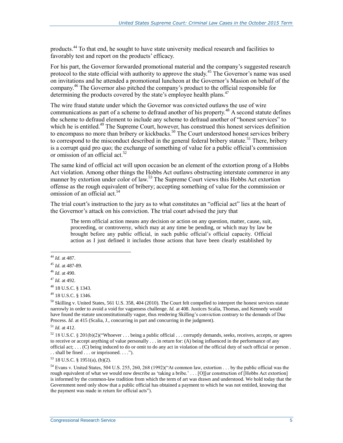products.<sup>44</sup> To that end, he sought to have state university medical research and facilities to favorably test and report on the products' efficacy.

For his part, the Governor forwarded promotional material and the company's suggested research protocol to the state official with authority to approve the study.<sup>45</sup> The Governor's name was used on invitations and he attended a promotional luncheon at the Governor's Masion on behalf of the company.<sup>46</sup> The Governor also pitched the company's product to the official responsible for determining the products covered by the state's employee health plans.<sup>47</sup>

The wire fraud statute under which the Governor was convicted outlaws the use of wire communications as part of a scheme to defraud another of his property.<sup>48</sup> A second statute defines the scheme to defraud element to include any scheme to defraud another of "honest services" to which he is entitled.<sup>49</sup> The Supreme Court, however, has construed this honest services definition to encompass no more than bribery or kickbacks.<sup>50</sup> The Court understood honest services bribery to correspond to the misconduct described in the general federal bribery statute.<sup>51</sup> There, bribery is a corrupt quid pro quo; the exchange of something of value for a public official's commission or omission of an official act.<sup>52</sup>

The same kind of official act will upon occasion be an element of the extortion prong of a Hobbs Act violation. Among other things the Hobbs Act outlaws obstructing interstate commerce in any manner by extortion under color of law.<sup>53</sup> The Supreme Court views this Hobbs Act extortion offense as the rough equivalent of bribery; accepting something of value for the commission or omission of an official act.<sup>54</sup>

The trial court's instruction to the jury as to what constitutes an "official act" lies at the heart of the Governor's attack on his conviction. The trial court advised the jury that

The term official action means any decision or action on any question, matter, cause, suit, proceeding, or controversy, which may at any time be pending, or which may by law be brought before any public official, in such public official's official capacity. Official action as I just defined it includes those actions that have been clearly established by

 $^{51}$  *Id.* at 412.

 $52$  18 U.S.C. § 201(b)(2)("Whoever ... being a public official ... corruptly demands, seeks, receives, accepts, or agrees to receive or accept anything of value personally . . . in return for: (A) being influenced in the performance of any official act;  $\dots$  (C) being induced to do or omit to do any act in violation of the official duty of such official or person. . . shall be fined . . . or imprisoned. . . .").

 $53$  18 U.S.C. § 1951(a), (b)(2).

 $\overline{a}$ <sup>44</sup> *Id*. at 487.

<sup>45</sup> *Id*. at 487-89.

<sup>46</sup> *Id*. at 490.

<sup>47</sup> *Id.* at 492.

<sup>48</sup> 18 U.S.C. § 1343.

<sup>49</sup> 18 U.S.C. § 1346.

 $50$  Skilling v. United States, 561 U.S. 358, 404 (2010). The Court felt compelled to interpret the honest services statute narrowly in order to avoid a void for vagueness challenge. *Id.* at 408. Justices Scalia, Thomas, and Kennedy would have found the statute unconstitutionally vague, thus rendering Skilling's conviction contrary to the demands of Due Process. *Id.* at 415 (Scalia, J., concurring in part and concurring in the judgment).

<sup>54</sup> Evans v. United States, 504 U.S. 255, 260, 268 (1992)("At common law, extortion . . . by the public official was the rough equivalent of what we would now describe as 'taking a bribe.' . . . [O][ur construction of [Hobbs Act extortion] is informed by the common-law tradition from which the term of art was drawn and understood. We hold today that the Government need only show that a public official has obtained a payment to which he was not entitled, knowing that the payment was made in return for official acts").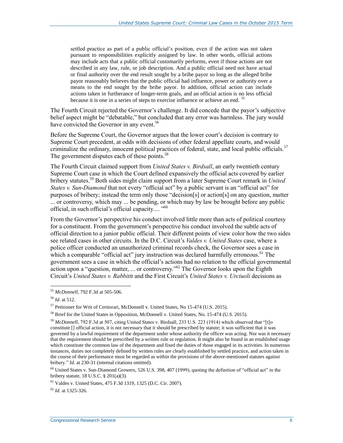settled practice as part of a public official's position, even if the action was not taken pursuant to responsibilities explicitly assigned by law. In other words, official actions may include acts that a public official customarily performs, even if those actions are not described in any law, rule, or job description. And a public official need not have actual or final authority over the end result sought by a bribe payor so long as the alleged bribe payor reasonably believes that the public official had influence, power or authority over a means to the end sought by the bribe payor. In addition, official action can include actions taken in furtherance of longer-term goals, and an official action is no less official because it is one in a series of steps to exercise influence or achieve an end. <sup>55</sup>

The Fourth Circuit rejected the Governor's challenge. It did concede that the payor's subjective belief aspect might be "debatable," but concluded that any error was harmless. The jury would have convicted the Governor in any event.<sup>56</sup>

Before the Supreme Court, the Governor argues that the lower court's decision is contrary to Supreme Court precedent, at odds with decisions of other federal appellate courts, and would criminalize the ordinary, innocent political practices of federal, state, and local public officials.<sup>57</sup> The government disputes each of these points.<sup>58</sup>

The Fourth Circuit claimed support from *United States v. Birdsall*, an early twentieth century Supreme Court case in which the Court defined expansively the official acts covered by earlier bribery statutes.<sup>59</sup> Both sides might claim support from a later Supreme Court remark in *United States v. Sun-Diamond* that not every "official act" by a public servant is an "official act" for purposes of bribery; instead the term only those "decision[s] or action[s] on any question, matter ... or controversy, which may ... be pending, or which may by law be brought before any public official, in such official's official capacity....<sup>"60</sup>

From the Governor's perspective his conduct involved little more than acts of political courtesy for a constituent. From the government's perspective his conduct involved the subtle acts of official direction to a junior public official. Their different points of view color how the two sides see related cases in other circuits. In the D.C. Circuit's *Valdes v. United States* case, where a police officer conducted an unauthorized criminal records check, the Governor sees a case in which a comparable "official act" jury instruction was declared harmfully erroneous.<sup>61</sup> The government sees a case in which the official's actions had no relation to the official governmental action upon a "question, matter, ... or controversy."<sup>62</sup> The Governor looks upon the Eighth Circuit's *United States v. Rabbittt* and the First Circuit's *United States v. Urciuoli* decisions as

 $\overline{a}$ 

<sup>62</sup> *Id*. at 1325-326.

<sup>55</sup> *McDonnell*, 792 F.3d at 505-506.

<sup>56</sup> *Id*. at 512.

<sup>&</sup>lt;sup>57</sup> Petitioner for Writ of Certiorari, McDonnell v. United States, No 15-474 (U.S. 2015).

<sup>&</sup>lt;sup>58</sup> Brief for the United States in Opposition, McDonnell v. United States, No. 15-474 (U.S. 2015).

<sup>59</sup> *McDonnell*, 792 F.3d at 507, citing United States v. Birdsall, 233 U.S. 223 (1914) which observed that "[t]o constitute [] official action, it is not necessary that it should be prescribed by statute; it was sufficient that it was governed by a lawful requirement of the department under whose authority the officer was acting. Nor was it necessary that the requirement should be prescribed by a written rule or regulation. It might also be found in an established usage which constitute the common law of the department and fixed the duties of those engaged in its activities. In numerous instances, duties not completely defined by written rules are clearly established by settled practice, and action taken in the course of their performance must be regarded as within the provisions of the above-mentioned statutes against bribery." *Id*. at 230-31 (internal citations omitted).

 $60$  United States v. Sun-Diamond Growers, 526 U.S. 398, 407 (1999), quoting the definition of "official act" in the bribery statute, 18 U.S.C. § 201(a)(3).

<sup>61</sup> Valdes v. United States, 475 F.3d 1319, 1325 (D.C. Cir. 2007).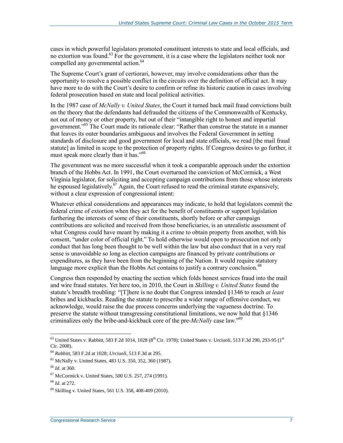cases in which powerful legislators promoted constituent interests to state and local officials, and no extortion was found.<sup>63</sup> For the government, it is a case where the legislators neither took nor compelled any governmental action.<sup>64</sup>

The Supreme Court's grant of certiorari, however, may involve considerations other than the opportunity to resolve a possible conflict in the circuits over the definition of official act. It may have more to do with the Court's desire to confirm or refine its historic caution in cases involving federal prosecution based on state and local political activities.

In the 1987 case of *McNally v. United States*, the Court it turned back mail fraud convictions built on the theory that the defendants had defrauded the citizens of the Commonwealth of Kentucky, not out of money or other property, but out of their "intangible right to honest and impartial government."<sup>65</sup> The Court made its rationale clear: "Rather than construe the statute in a manner that leaves its outer boundaries ambiguous and involves the Federal Government in setting standards of disclosure and good government for local and state officials, we read [the mail fraud statute] as limited in scope to the protection of property rights. If Congress desires to go further, it must speak more clearly than it has."<sup>66</sup>

The government was no more successful when it took a comparable approach under the extortion branch of the Hobbs Act. In 1991, the Court overturned the conviction of McCormick, a West Virginia legislator, for soliciting and accepting campaign contributions from those whose interests he espoused legislatively.<sup>67</sup> Again, the Court refused to read the criminal statute expansively, without a clear expression of congressional intent:

Whatever ethical considerations and appearances may indicate, to hold that legislators commit the federal crime of extortion when they act for the benefit of constituents or support legislation furthering the interests of some of their constituents, shortly before or after campaign contributions are solicited and received from those beneficiaries, is an unrealistic assessment of what Congress could have meant by making it a crime to obtain property from another, with his consent, "under color of official right." To hold otherwise would open to prosecution not only conduct that has long been thought to be well within the law but also conduct that in a very real sense is unavoidable so long as election campaigns are financed by private contributions or expenditures, as they have been from the beginning of the Nation. It would require statutory language more explicit than the Hobbs Act contains to justify a contrary conclusion.<sup>68</sup>

Congress then responded by enacting the section which folds honest services fraud into the mail and wire fraud statutes. Yet here too, in 2010, the Court in *Skilling v. United States* found the statute's breadth troubling: "[T]here is no doubt that Congress intended §1346 to reach *at least* bribes and kickbacks. Reading the statute to prescribe a wider range of offensive conduct, we acknowledge, would raise the due process concerns underlying the vagueness doctrine. To preserve the statute without transgressing constitutional limitations, we now hold that §1346 criminalizes only the bribe-and-kickback core of the pre-*McNally* case law." 69

 $63$  United States v. Rabbitt, 583 F.2d 1014, 1028 ( $8^{th}$  Cir. 1978); United States v. Urciuoli, 513 F.3d 290, 293-95 (1st Cir. 2008).

<sup>64</sup> *Rabbitt*, 583 F.2d at 1028; *Urciuoli*, 513 F.3d at 295.

<sup>65</sup> McNally v. United States, 483 U.S. 350, 352, 360 (1987).

<sup>66</sup> *Id*. at 360.

<sup>67</sup> McCormick v. United States, 500 U.S. 257, 274 (1991).

<sup>68</sup> *Id*. at 272.

<sup>69</sup> Skilling v. United States, 561 U.S. 358, 408-409 (2010).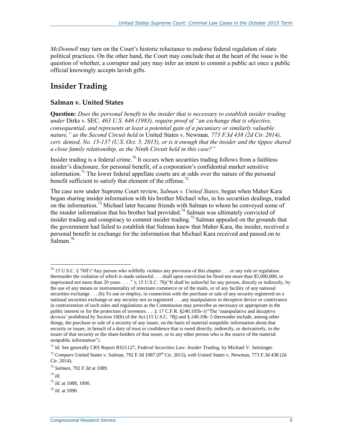*McDonnell* may turn on the Court's historic reluctance to endorse federal regulation of state political practices. On the other hand, the Court may conclude that at the heart of the issue is the question of whether, a corrupter and jury may infer an intent to commit a public act once a public official knowingly accepts lavish gifts.

### **Insider Trading**

#### **Salman v. United States**

**Question:** *Does the personal benefit to the insider that is necessary to establish insider trading under* Dirks v. SEC*, 463 U.S. 646 (1983), require proof of "an exchange that is objective, consequential, and represents at least a potential gain of a pecuniary or similarly valuable nature," as the Second Circuit held in* United States v. Newman*, 773 F.3d 438 (2d Cir. 2014), cert. denied, No. 15-137 (U.S. Oct. 5, 2015), or is it enough that the insider and the tippee shared a close family relationship, as the Ninth Circuit held in this case?"*

Insider trading is a federal crime.<sup>70</sup> It occurs when securities trading follows from a faithless insider's disclosure, for personal benefit, of a corporation's confidential market sensitive information.<sup>71</sup> The lower federal appellate courts are at odds over the nature of the personal benefit sufficient to satisfy that element of the offense.<sup>72</sup>

The case now under Supreme Court review, *Salman v. United States*, began when Maher Kara began sharing insider information with his brother Michael who, in his securities dealings, traded on the information.<sup>73</sup> Michael later became friends with Salman to whom he conveyed some of the insider information that his brother had provided.<sup>74</sup> Salman was ultimately convicted of insider trading and conspiracy to commit insider trading.<sup>75</sup> Salman appealed on the grounds that the government had failed to establish that Salman knew that Maher Kara, the insider, received a personal benefit in exchange for the information that Michael Kara received and passed on to Salman.<sup>76</sup>

 $\overline{a}$ <sup>70</sup> 15 U.S.C. § 78ff ("Any person who willfully violates any provision of this chapter . . . or any rule or regulation thereunder the violation of which is made unlawful . . . shall upon conviction be fined not more than \$5,000,000, or imprisoned not more than 20 years . . . ." ); 15 U.S.C. 78j("It shall be unlawful for any person, directly or indirectly, by the use of any means or instrumentality of interstate commerce or of the mails, or of any facility of any national securities exchange . . . (b) To use or employ, in connection with the purchase or sale of any security registered on a national securities exchange or any security not so registered . . . any manipulative or deceptive device or contrivance in contravention of such rules and regulations as the Commission may prescribe as necessary or appropriate in the public interest or for the protection of investors. . . .); 17 C.F.R. §240.105b-1("The 'manipulative and deceptive devices' prohibited by Section 10(b) of the Act (15 U.S.C. 78j) and § 240.10b–5 thereunder include, among other things, the purchase or sale of a security of any issuer, on the basis of material nonpublic information about that security or issuer, in breach of a duty of trust or confidence that is owed directly, indirectly, or derivatively, to the issuer of that security or the share-holders of that issuer, or to any other person who is the source of the material nonpublic information").

<sup>71</sup> Id. See generally CRS Report RS21127, *Federal Securities Law: Insider Trading*, by Michael V. Seitzinger.

<sup>&</sup>lt;sup>72</sup> Compare United States v. Salman, 792 F.3d 1087 (9<sup>th</sup> Cir. 2015), *with* United States v. Newman, 773 F.3d 438 (2d Cir. 2014).

<sup>73</sup> *Salman*, 792 F.3d at 1089.

<sup>74</sup> *Id.*

<sup>75</sup> *Id*. at 1088, 1090.

<sup>76</sup> *Id.* at 1090.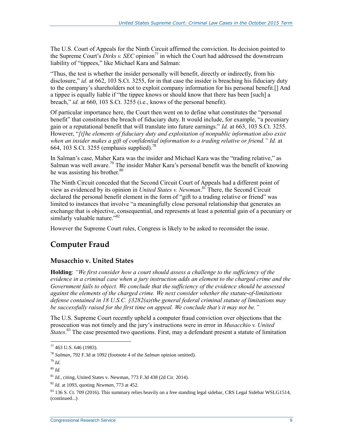The U.S. Court of Appeals for the Ninth Circuit affirmed the conviction. Its decision pointed to the Supreme Court's *Dirks v. SEC* opinion<sup>77</sup> in which the Court had addressed the downstream liability of "tippees," like Michael Kara and Salman:

"Thus, the test is whether the insider personally will benefit, directly or indirectly, from his disclosure," *id.* at 662, 103 S.Ct. 3255, for in that case the insider is breaching his fiduciary duty to the company's shareholders not to exploit company information for his personal benefit.[] And a tippee is equally liable if "the tippee knows or should know that there has been [such] a breach," *id.* at 660, 103 S.Ct. 3255 (i.e., knows of the personal benefit).

Of particular importance here, the Court then went on to define what constitutes the "personal benefit" that constitutes the breach of fiduciary duty. It would include, for example, "a pecuniary gain or a reputational benefit that will translate into future earnings." *Id.* at 663, 103 S.Ct. 3255. However, "*[t]he elements of fiduciary duty and exploitation of nonpublic information also exist when an insider makes a gift of confidential information to a trading relative or friend." Id.* at 664, 103 S.Ct. 3255 (emphasis supplied).<sup>78</sup>

In Salman's case, Maher Kara was the insider and Michael Kara was the "trading relative," as Salman was well aware.<sup>79</sup> The insider Maher Kara's personal benefit was the benefit of knowing he was assisting his brother.<sup>80</sup>

The Ninth Circuit conceded that the Second Circuit Court of Appeals had a different point of view as evidenced by its opinion in *United States v. Newman*. <sup>81</sup> There, the Second Circuit declared the personal benefit element in the form of "gift to a trading relative or friend" was limited to instances that involve "a meaningfully close personal relationship that generates an exchange that is objective, consequential, and represents at least a potential gain of a pecuniary or similarly valuable nature."<sup>82</sup>

However the Supreme Court rules, Congress is likely to be asked to reconsider the issue.

### **Computer Fraud**

#### **Musacchio v. United States**

**Holding**: *"We first consider how a court should assess a challenge to the sufficiency of the evidence in a criminal case when a jury instruction adds an element to the charged crime and the Government fails to object. We conclude that the sufficiency of the evidence should be assessed against the elements of the charged crime. We next consider whether the statute-of-limitations defense contained in 18 U.S.C. §3282(a)(the general federal criminal statute of limitations may be successfully raised for the first time on appeal. We conclude that's it may not be."*

The U.S. Supreme Court recently upheld a computer fraud conviction over objections that the prosecution was not timely and the jury's instructions were in error in *Musacchio v. United*  States.<sup>83</sup> The case presented two questions. First, may a defendant present a statute of limitation

 $77$  463 U.S. 646 (1983).

<sup>78</sup> *Salman*, 792 F.3d at 1092 (footnote 4 of the *Salman* opinion omitted).

<sup>79</sup> *Id*.

<sup>80</sup> *Id.*

<sup>81</sup> *Id.*, citing, United States v. Newman, 773 F.3d 438 (2d Cir. 2014).

<sup>82</sup> *Id.* at 1093, quoting *Newman*, 773 at 452.

 $83$  136 S. Ct. 709 (2016). This summary relies heavily on a free standing legal sidebar, CRS Legal Sidebar WSLG1514, (continued...)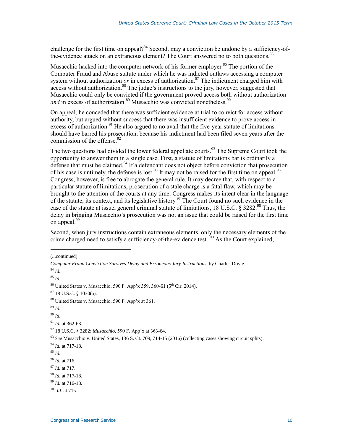challenge for the first time on appeal?<sup>84</sup> Second, may a conviction be undone by a sufficiency-ofthe-evidence attack on an extraneous element? The Court answered no to both questions.<sup>85</sup>

Musacchio hacked into the computer network of his former employer.<sup>86</sup> The portion of the Computer Fraud and Abuse statute under which he was indicted outlaws accessing a computer system without authorization  $or$  in excess of authorization.<sup>87</sup> The indictment charged him with access without authorization.<sup>88</sup> The judge's instructions to the jury, however, suggested that Musacchio could only be convicted if the government proved access both without authorization *and* in excess of authorization.<sup>89</sup> Musacchio was convicted nonetheless.<sup>90</sup>

On appeal, he conceded that there was sufficient evidence at trial to convict for access without authority, but argued without success that there was insufficient evidence to prove access in excess of authorization.<sup>91</sup> He also argued to no avail that the five-year statute of limitations should have barred his prosecution, because his indictment had been filed seven years after the commission of the offense.<sup>92</sup>

The two questions had divided the lower federal appellate courts.<sup>93</sup> The Supreme Court took the opportunity to answer them in a single case. First, a statute of limitations bar is ordinarily a defense that must be claimed.<sup>94</sup> If a defendant does not object before conviction that prosecution of his case is untimely, the defense is lost.<sup>95</sup> It may not be raised for the first time on appeal.<sup>96</sup> Congress, however, is free to abrogate the general rule. It may decree that, with respect to a particular statute of limitations, prosecution of a stale charge is a fatal flaw, which may be brought to the attention of the courts at any time. Congress makes its intent clear in the language of the statute, its context, and its legislative history.<sup>97</sup> The Court found no such evidence in the case of the statute at issue, general criminal statute of limitations, 18 U.S.C. § 3282.<sup>98</sup> Thus, the delay in bringing Musacchio's prosecution was not an issue that could be raised for the first time on appeal.<sup>99</sup>

Second, when jury instructions contain extraneous elements, only the necessary elements of the crime charged need to satisfy a sufficiency-of-the-evidence test.<sup>100</sup> As the Court explained,

*Computer Fraud Conviction Survives Delay and Erroneous Jury Instructions*, by Charles Doyle.

 $\overline{a}$ 

<sup>85</sup> *Id.* 

 $87$  18 U.S.C. § 1030(a).

<sup>90</sup> *Id.* 

```
91 Id. at 362-63.
```

```
92 18 U.S.C. § 3282; Musacchio, 590 F. App'x at 363-64.
```

```
93 See Musacchio v. United States, 136 S. Ct. 709, 714-15 (2016) (collecting cases showing circuit splits).
```
- <sup>94</sup> *Id.* at 717-18.
- <sup>95</sup> *Id.*

<sup>(...</sup>continued)

<sup>84</sup> *Id.* 

 $86$  United States v. Musacchio, 590 F. App'x 359, 360-61 (5<sup>th</sup> Cir. 2014).

<sup>88</sup> United States v. Musacchio, 590 F. App'x at 361.

<sup>89</sup> *Id.* 

<sup>96</sup> *Id.* at 716.

<sup>97</sup> *Id.* at 717.

<sup>98</sup> *Id.* at 717-18.

<sup>99</sup> *Id.* at 716-18.

<sup>100</sup> *Id.* at 715.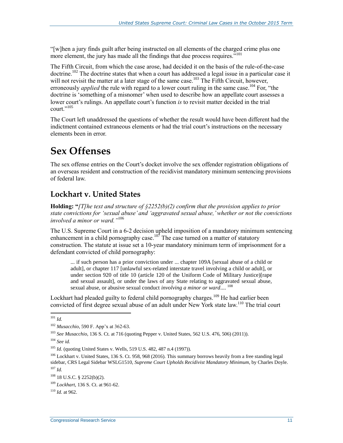"[w]hen a jury finds guilt after being instructed on all elements of the charged crime plus one more element, the jury has made all the findings that due process requires.<sup>"101</sup>

The Fifth Circuit, from which the case arose, had decided it on the basis of the rule-of-the-case doctrine.<sup>102</sup> The doctrine states that when a court has addressed a legal issue in a particular case it will not revisit the matter at a later stage of the same case.<sup>103</sup> The Fifth Circuit, however, erroneously *applied* the rule with regard to a lower court ruling in the same case.<sup>104</sup> For, "the doctrine is 'something of a misnomer' when used to describe how an appellate court assesses a lower court's rulings. An appellate court's function *is* to revisit matter decided in the trial court."<sup>105</sup>

The Court left unaddressed the questions of whether the result would have been different had the indictment contained extraneous elements or had the trial court's instructions on the necessary elements been in error.

## **Sex Offenses**

The sex offense entries on the Court's docket involve the sex offender registration obligations of an overseas resident and construction of the recidivist mandatory minimum sentencing provisions of federal law.

### **Lockhart v. United States**

**Holding: "***[T]he text and structure of §2252(b)(2) confirm that the provision applies to prior state convictions for 'sexual abuse' and 'aggravated sexual abuse,' whether or not the convictions involved a minor or ward."* 106

The U.S. Supreme Court in a 6-2 decision upheld imposition of a mandatory minimum sentencing enhancement in a child pornography case.<sup>107</sup> The case turned on a matter of statutory construction. The statute at issue set a 10-year mandatory minimum term of imprisonment for a defendant convicted of child pornography:

... if such person has a prior conviction under ... chapter 109A [sexual abuse of a child or adult], or chapter 117 [unlawful sex-related interstate travel involving a child or adult], or under section 920 of title 10 (article 120 of the Uniform Code of Military Justice)[rape and sexual assault], or under the laws of any State relating to aggravated sexual abuse, sexual abuse, or abusive sexual conduct *involving a minor or ward*.... 108

Lockhart had pleaded guilty to federal child pornography charges.<sup>109</sup> He had earlier been convicted of first degree sexual abuse of an adult under New York state law.<sup>110</sup> The trial court

 $\overline{a}$ 

<sup>104</sup> *See id.*

<sup>101</sup> *Id.* 

<sup>102</sup> *Musacchio*, 590 F. App'x at 362-63.

<sup>103</sup> *See Musacchio*, 136 S. Ct. at 716 (quoting Pepper v. United States, 562 U.S. 476, 506) (2011)).

<sup>&</sup>lt;sup>105</sup> *Id.* (quoting United States v. Wells, 519 U.S. 482, 487 n.4 (1997)).

<sup>&</sup>lt;sup>106</sup> Lockhart v. United States, 136 S. Ct. 958, 968 (2016). This summary borrows heavily from a free standing legal sidebar, CRS Legal Sidebar WSLG1510, *Supreme Court Upholds Recidivist Mandatory Minimum*, by Charles Doyle. <sup>107</sup> *Id.*

 $108$  18 U.S.C. § 2252(b)(2).

<sup>109</sup> *Lockhart*, 136 S. Ct. at 961-62.

<sup>110</sup> *Id.* at 962.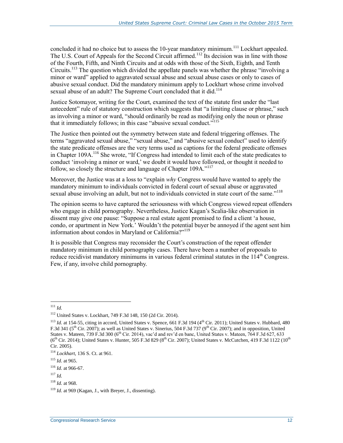concluded it had no choice but to assess the 10-year mandatory minimum.<sup>111</sup> Lockhart appealed. The U.S. Court of Appeals for the Second Circuit affirmed.<sup>112</sup> Its decision was in line with those of the Fourth, Fifth, and Ninth Circuits and at odds with those of the Sixth, Eighth, and Tenth Circuits.<sup>113</sup> The question which divided the appellate panels was whether the phrase "involving a minor or ward" applied to aggravated sexual abuse and sexual abuse cases or only to cases of abusive sexual conduct. Did the mandatory minimum apply to Lockhart whose crime involved sexual abuse of an adult? The Supreme Court concluded that it did.<sup>114</sup>

Justice Sotomayor, writing for the Court, examined the text of the statute first under the "last antecedent" rule of statutory construction which suggests that "a limiting clause or phrase," such as involving a minor or ward, "should ordinarily be read as modifying only the noun or phrase that it immediately follows; in this case "abusive sexual conduct."<sup>115</sup>

The Justice then pointed out the symmetry between state and federal triggering offenses. The terms "aggravated sexual abuse," "sexual abuse," and "abusive sexual conduct" used to identify the state predicate offenses are the very terms used as captions for the federal predicate offenses in Chapter 109A.<sup>116</sup> She wrote, "If Congress had intended to limit each of the state predicates to conduct 'involving a minor or ward,' we doubt it would have followed, or thought it needed to follow, so closely the structure and language of Chapter 109A."<sup>117</sup>

Moreover, the Justice was at a loss to "explain *why* Congress would have wanted to apply the mandatory minimum to individuals convicted in federal court of sexual abuse or aggravated sexual abuse involving an adult, but not to individuals convicted in state court of the same."<sup>118</sup>

The opinion seems to have captured the seriousness with which Congress viewed repeat offenders who engage in child pornography. Nevertheless, Justice Kagan's Scalia-like observation in dissent may give one pause: "Suppose a real estate agent promised to find a client 'a house, condo, or apartment in New York.' Wouldn't the potential buyer be annoyed if the agent sent him information about condos in Maryland or California?"<sup>119</sup>

It is possible that Congress may reconsider the Court's construction of the repeat offender mandatory minimum in child pornography cases. There have been a number of proposals to reduce recidivist mandatory minimums in various federal criminal statutes in the  $114<sup>th</sup>$  Congress. Few, if any, involve child pornography.

<sup>111</sup> *Id.*

<sup>112</sup> United States v. Lockhart, 749 F.3d 148, 150 (2d Cir. 2014).

 $113$  *Id.* at 154-55, citing in accord, United States v. Spence, 661 F.3d 194 ( $4^{\text{th}}$  Cir. 2011); United States v. Hubbard, 480 F.3d 341 ( $5<sup>th</sup>$  Cir. 2007); as well as United States v. Sinerius, 504 F.3d 737 ( $9<sup>th</sup>$  Cir. 2007); and in opposition, United States v. Mateen, 739 F.3d 300 (6<sup>th</sup> Cir. 2014), vac'd and rev'd en banc, United States v. Mateen, 764 F.3d 627, 633  $(6^{th}$  Cir. 2014); United States v. Hunter, 505 F.3d 829  $(8^{th}$  Cir. 2007); United States v. McCutchen, 419 F.3d 1122  $(10^{th}$ Cir. 2005).

<sup>114</sup> *Lockhart*, 136 S. Ct. at 961.

<sup>115</sup> *Id*. at 965.

<sup>116</sup> *Id*. at 966-67.

<sup>117</sup> *Id.*

<sup>118</sup> *Id*. at 968.

<sup>119</sup> *Id*. at 969 (Kagan, J., with Breyer, J., dissenting).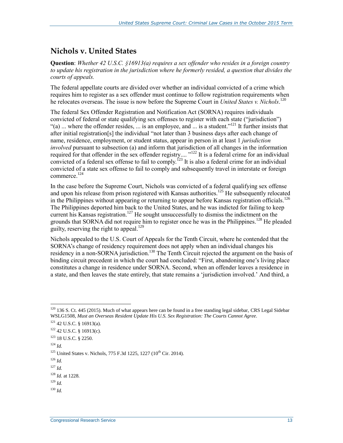### **Nichols v. United States**

**Question**: *Whether 42 U.S.C. §16913(a) requires a sex offender who resides in a foreign country to update his registration in the jurisdiction where he formerly resided, a question that divides the courts of appeals.*

The federal appellate courts are divided over whether an individual convicted of a crime which requires him to register as a sex offender must continue to follow registration requirements when he relocates overseas. The issue is now before the Supreme Court in *United States v. Nichols*. 120

The federal Sex Offender Registration and Notification Act (SORNA) requires individuals convicted of federal or state qualifying sex offenses to register with each state ("jurisdiction") "(a) ... where the offender resides, ... is an employee, and ... is a student."<sup>121</sup> It further insists that after initial registration[s] the individual "not later than 3 business days after each change of name, residence, employment, or student status, appear in person in at least 1 *jurisdiction involved* pursuant to subsection (a) and inform that jurisdiction of all changes in the information required for that offender in the sex offender registry.... "<sup>122</sup> It is a federal crime for an individual convicted of a federal sex offense to fail to comply.<sup>123</sup> It is also a federal crime for an individual convicted of a state sex offense to fail to comply and subsequently travel in interstate or foreign commerce.<sup>124</sup>

In the case before the Supreme Court, Nichols was convicted of a federal qualifying sex offense and upon his release from prison registered with Kansas authorities.<sup>125</sup> He subsequently relocated in the Philippines without appearing or returning to appear before Kansas registration officials.<sup>126</sup> The Philippines deported him back to the United States, and he was indicted for failing to keep current his Kansas registration.<sup>127</sup> He sought unsuccessfully to dismiss the indictment on the grounds that SORNA did not require him to register once he was in the Philippines.<sup>128</sup> He pleaded guilty, reserving the right to appeal.<sup>129</sup>

Nichols appealed to the U.S. Court of Appeals for the Tenth Circuit, where he contended that the SORNA's change of residency requirement does not apply when an individual changes his residency in a non-SORNA jurisdiction.<sup>130</sup> The Tenth Circuit rejected the argument on the basis of binding circuit precedent in which the court had concluded: "First, abandoning one's living place constitutes a change in residence under SORNA. Second, when an offender leaves a residence in a state, and then leaves the state entirely, that state remains a 'jurisdiction involved.' And third, a

 $124$  *Id.* 

 $\overline{a}$ 

 $126$  *Id.* 

- $129$  *Id.*
- $^{130}$  *Id.*

 $120$  136 S. Ct. 445 (2015). Much of what appears here can be found in a free standing legal sidebar, CRS Legal Sidebar WSLG1508, *Must an Overseas Resident Update His U.S. Sex Registration: The Courts Cannot Agree*.

 $121$  42 U.S.C. § 16913(a).

 $122$  42 U.S.C. § 16913(c).

<sup>123</sup> 18 U.S.C. § 2250.

 $125$  United States v. Nichols, 775 F.3d 1225, 1227 (10<sup>th</sup> Cir. 2014).

 $^{127}$  *Id.* 

<sup>128</sup> *Id.* at 1228.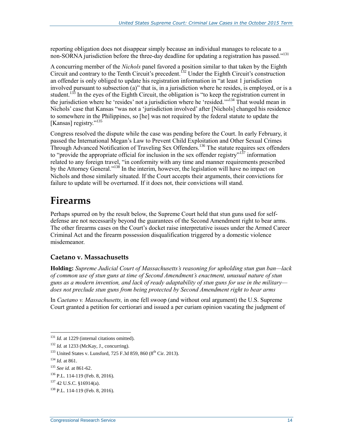reporting obligation does not disappear simply because an individual manages to relocate to a non-SORNA jurisdiction before the three-day deadline for updating a registration has passed."<sup>131</sup>

A concurring member of the *Nichols* panel favored a position similar to that taken by the Eighth Circuit and contrary to the Tenth Circuit's precedent.<sup>132</sup> Under the Eighth Circuit's construction an offender is only obliged to update his registration information in "at least 1 jurisdiction involved pursuant to subsection (a)" that is, in a jurisdiction where he resides, is employed, or is a student.<sup>133</sup> In the eyes of the Eighth Circuit, the obligation is "to keep the registration current in the jurisdiction where he 'resides' not a jurisdiction where he 'resided.'"<sup>134</sup> That would mean in Nichols' case that Kansas "was not a 'jurisdiction involved' after [Nichols] changed his residence to somewhere in the Philippines, so [he] was not required by the federal statute to update the [Kansas] registry."<sup>135</sup>

Congress resolved the dispute while the case was pending before the Court. In early February, it passed the International Megan's Law to Prevent Child Exploitation and Other Sexual Crimes Through Advanced Notification of Traveling Sex Offenders.<sup>136</sup> The statute requires sex offenders to "provide the appropriate official for inclusion in the sex offender registry"<sup>137</sup> information related to any foreign travel, "in conformity with any time and manner requirements prescribed by the Attorney General."<sup>138</sup> In the interim, however, the legislation will have no impact on Nichols and those similarly situated. If the Court accepts their arguments, their convictions for failure to update will be overturned. If it does not, their convictions will stand.

## **Firearms**

Perhaps spurred on by the result below, the Supreme Court held that stun guns used for selfdefense are not necessarily beyond the guarantees of the Second Amendment right to bear arms. The other firearms cases on the Court's docket raise interpretative issues under the Armed Career Criminal Act and the firearm possession disqualification triggered by a domestic violence misdemeanor.

### **Caetano v. Massachusetts**

**Holding:** *Supreme Judicial Court of Massachusetts's reasoning for upholding stun gun ban—lack of common use of stun guns at time of Second Amendment's enactment, unusual nature of stun guns as a modern invention, and lack of ready adaptability of stun guns for use in the military does not preclude stun guns from being protected by Second Amendment right to bear arms*

In *Caetano v. Massachusetts,* in one fell swoop (and without oral argument) the U.S. Supreme Court granted a petition for certiorari and issued a per curiam opinion vacating the judgment of

<sup>&</sup>lt;sup>131</sup> *Id.* at 1229 (internal citations omitted).

<sup>132</sup> *Id.* at 1233 (McKay, J., concurring).

 $133$  United States v. Lunsford, 725 F.3d 859, 860 (8<sup>th</sup> Cir. 2013).

<sup>134</sup> *Id.* at 861.

<sup>135</sup> *See id.* at 861-62.

<sup>136</sup> P.L. 114-119 (Feb. 8, 2016).

<sup>137</sup> 42 U.S.C. §16914(a).

<sup>138</sup> P.L. 114-119 (Feb. 8, 2016).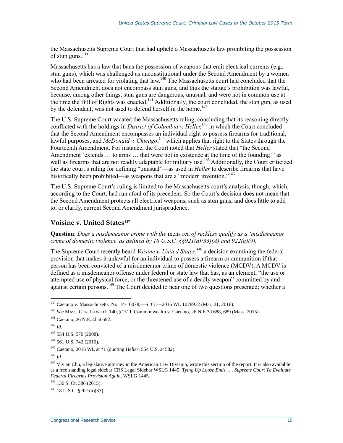the Massachusetts Supreme Court that had upheld a Massachusetts law prohibiting the possession of stun guns.<sup>139</sup>

Massachusetts has a law that bans the possession of weapons that emit electrical currents (e.g.*,* stun guns), which was challenged as unconstitutional under the Second Amendment by a women who had been arrested for violating that law.<sup>140</sup> The Massachusetts court had concluded that the Second Amendment does not encompass stun guns, and thus the statute's prohibition was lawful, because, among other things, stun guns are dangerous, unusual, and were not in common use at the time the Bill of Rights was enacted.<sup>141</sup> Additionally, the court concluded, the stun gun, as used by the defendant, was not used to defend herself in the home.<sup>142</sup>

The U.S. Supreme Court vacated the Massachusetts ruling, concluding that its reasoning directly conflicted with the holdings in *District of Columbia v. Heller*,<sup>143</sup> in which the Court concluded that the Second Amendment encompasses an individual right to possess firearms for traditional, lawful purposes, and *McDonald v. Chicago*,<sup>144</sup> which applies that right to the States through the Fourteenth Amendment. For instance, the Court noted that *Heller* stated that "the Second Amendment 'extends … to arms … that were not in existence at the time of the founding'" as well as firearms that are not readily adaptable for military use.<sup>145</sup> Additionally, the Court criticized the state court's ruling for defining "unusual"—as used in *Heller* to describe firearms that have historically been prohibited—as weapons that are a "modern invention."<sup>146</sup>

The U.S. Supreme Court's ruling is limited to the Massachusetts court's analysis, though, which, according to the Court, had run afoul of its precedent. So the Court's decision does not mean that the Second Amendment protects all electrical weapons, such as stun guns, and does little to add to, or clarify, current Second Amendment jurisprudence.

#### **Voisine v. United States<sup>147</sup>**

**Question**: *Does a misdemeanor crime with the* mens rea *of reckless qualify as a 'misdemeanor crime of domestic violence' as defined by 18 U.S.C. §§921(a)(33)(A) and 922(g)(9).*

The Supreme Court recently heard *Voisine v. United States*, <sup>148</sup> a decision examining the federal provision that makes it unlawful for an individual to possess a firearm or ammunition if that person has been convicted of a misdemeanor crime of domestic violence (MCDV). A MCDV is defined as a misdemeanor offense under federal or state law that has, as an element, "the use or attempted use of physical force, or the threatened use of a deadly weapon" committed by and against certain persons.<sup>149</sup> The Court decided to hear one of two questions presented: whether a

 $\overline{a}$ 

<sup>145</sup> Caetano, 2016 WL at \*1 (quoting *Heller,* 554 U.S. at 582).

<sup>139</sup> Caetano v. Massachusetts, No. 14-10078,—S. Ct.—2016 WL 1078932 (Mar. 21, 2016).

<sup>140</sup> *See* MASS. GEN. LAWS ch.140, §131J; Commonwealth v. Caetano, 26 N.E.3d 688, 689 (Mass. 2015).

<sup>141</sup> Caetano, 26 N.E.2d at 692.

 $142$  *Id.* 

<sup>143</sup> 554 U.S. 570 (2008).

<sup>&</sup>lt;sup>144</sup> 561 U.S. 742 (2010).

<sup>146</sup> *Id.*

 $147$  Vivian Chu, a legislative attorney in the American Law Division, wrote this section of the report. It is also available as a free standing legal sidebar CRS Legal Sidebar WSLG 1445, *Tying Up Loose Ends . . . Supreme Court To Evaluate Federal Firearms Provision Again*, WSLG 1445.

<sup>&</sup>lt;sup>148</sup> 136 S. Ct. 386 (2015).

 $^{149}$  18 U.S.C. § 921(a)(33).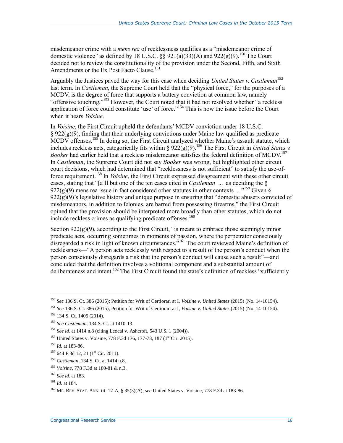misdemeanor crime with a *mens rea* of recklessness qualifies as a "misdemeanor crime of domestic violence" as defined by 18 U.S.C. §§  $921(a)(33)(A)$  and  $922(g)(9)$ .<sup>150</sup> The Court decided not to review the constitutionality of the provision under the Second, Fifth, and Sixth Amendments or the Ex Post Facto Clause.<sup>151</sup>

Arguably the Justices paved the way for this case when deciding *United States v. Castleman*<sup>152</sup> last term. In *Castleman*, the Supreme Court held that the "physical force," for the purposes of a MCDV, is the degree of force that supports a battery conviction at common law, namely "offensive touching."<sup>153</sup> However, the Court noted that it had not resolved whether "a reckless application of force could constitute 'use' of force."<sup>154</sup> This is now the issue before the Court when it hears *Voisine*.

In *Voisine*, the First Circuit upheld the defendants' MCDV conviction under 18 U.S.C.  $§ 922(g)(9)$ , finding that their underlying convictions under Maine law qualified as predicate MCDV offenses.<sup>155</sup> In doing so, the First Circuit analyzed whether Maine's assault statute, which includes reckless acts, categorically fits within § 922(g)(9).<sup>156</sup> The First Circuit in *United States v. Booker* had earlier held that a reckless misdemeanor satisfies the federal definition of MCDV.<sup>157</sup> In *Castleman*, the Supreme Court did not say *Booker* was wrong, but highlighted other circuit court decisions, which had determined that "recklessness is not sufficient" to satisfy the use-offorce requirement.<sup>158</sup> In *Voisine*, the First Circuit expressed disagreement with these other circuit cases, stating that "[a]ll but one of the ten cases cited in *Castleman* ... as deciding the § 922(g)(9) mens rea issue in fact considered other statutes in other contexts ... "<sup>159</sup> Given §  $922(\text{g})(9)$ 's legislative history and unique purpose in ensuring that "domestic abusers convicted of misdemeanors, in addition to felonies, are barred from possessing firearms," the First Circuit opined that the provision should be interpreted more broadly than other statutes, which do not include reckless crimes as qualifying predicate offenses.<sup>160</sup>

Section  $922(g)(9)$ , according to the First Circuit, "is meant to embrace those seemingly minor predicate acts, occurring sometimes in moments of passion, where the perpetrator consciously disregarded a risk in light of known circumstances."<sup>161</sup> The court reviewed Maine's definition of recklessness—"A person acts recklessly with respect to a result of the person's conduct when the person consciously disregards a risk that the person's conduct will cause such a result"—and concluded that the definition involves a volitional component and a substantial amount of deliberateness and intent.<sup>162</sup> The First Circuit found the state's definition of reckless "sufficiently

<sup>150</sup> *See* 136 S. Ct. 386 (2015); Petition for Writ of Certiorari at I, *Voisine v. United States* (2015) (No. 14-10154).

<sup>151</sup> *See* 136 S. Ct. 386 (2015); Petition for Writ of Certiorari at I, *Voisine v. United States* (2015) (No. 14-10154).

<sup>152</sup> 134 S. Ct. 1405 (2014).

<sup>153</sup> *See Castleman,* 134 S. Ct. at 1410-13.

<sup>154</sup> *See id.* at 1414 n.8 (citing Leocal v. Ashcroft, 543 U.S. 1 (2004)).

<sup>&</sup>lt;sup>155</sup> United States v. Voisine, 778 F.3d 176, 177-78, 187 (1<sup>st</sup> Cir. 2015).

<sup>156</sup> *Id.* at 183-86.

 $157$  644 F.3d 12, 21 ( $1^{\text{st}}$  Cir. 2011).

<sup>158</sup> *Castleman*, 134 S. Ct. at 1414 n.8.

<sup>159</sup> *Voisine*, 778 F.3d at 180-81 & n.3.

<sup>160</sup> *See id.* at 183.

<sup>161</sup> *Id.* at 184.

<sup>162</sup> ME. REV. STAT. ANN. tit. 17-A, § 35(3)(A); *see* United States v. Voisine, 778 F.3d at 183-86.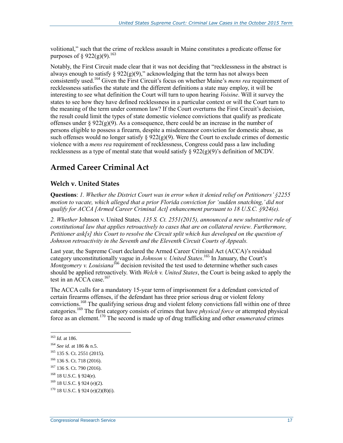volitional," such that the crime of reckless assault in Maine constitutes a predicate offense for purposes of § 922(g)(9).<sup>163</sup>

Notably, the First Circuit made clear that it was not deciding that "recklessness in the abstract is always enough to satisfy  $\S 922(g)(9)$ ," acknowledging that the term has not always been consistently used.<sup>164</sup> Given the First Circuit's focus on whether Maine's *mens rea* requirement of recklessness satisfies the statute and the different definitions a state may employ, it will be interesting to see what definition the Court will turn to upon hearing *Voisine*. Will it survey the states to see how they have defined recklessness in a particular context or will the Court turn to the meaning of the term under common law? If the Court overturns the First Circuit's decision, the result could limit the types of state domestic violence convictions that qualify as predicate offenses under §  $922(g)(9)$ . As a consequence, there could be an increase in the number of persons eligible to possess a firearm, despite a misdemeanor conviction for domestic abuse, as such offenses would no longer satisfy  $\S 922(g)(9)$ . Were the Court to exclude crimes of domestic violence with a *mens rea* requirement of recklessness, Congress could pass a law including recklessness as a type of mental state that would satisfy  $\S 922(g)(9)$ 's definition of MCDV.

### **Armed Career Criminal Act**

### **Welch v. United States**

**Questions**: *1. Whether the District Court was in error when it denied relief on Petitioners' §2255 motion to vacate, which alleged that a prior Florida conviction for 'sudden snatching,' did not qualify for ACCA [Armed Career Criminal Act] enhancement pursuant to 18 U.S.C. §924(e).*

*2. Whether* Johnson v. United States*, 135 S. Ct. 2551(2015), announced a new substantive rule of constitutional law that applies retroactively to cases that are on collateral review. Furthermore, Petitioner ask[s] this Court to resolve the Circuit split which has developed on the question of Johnson retroactivity in the Seventh and the Eleventh Circuit Courts of Appeals.*

Last year, the Supreme Court declared the Armed Career Criminal Act (ACCA)'s residual category unconstitutionally vague in *Johnson v. United States*. <sup>165</sup> In January, the Court's *Montgomery v. Louisiana*<sup>166</sup> decision revisited the test used to determine whether such cases should be applied retroactively. With *Welch v. United States*, the Court is being asked to apply the test in an ACCA case.<sup>167</sup>

The ACCA calls for a mandatory 15-year term of imprisonment for a defendant convicted of certain firearms offenses, if the defendant has three prior serious drug or violent felony convictions.<sup>168</sup> The qualifying serious drug and violent felony convictions fall within one of three categories.<sup>169</sup> The first category consists of crimes that have *physical force* or attempted physical force as an element.<sup>170</sup> The second is made up of drug trafficking and other *enumerated* crimes

<sup>163</sup> *Id.* at 186.

<sup>164</sup> *See id.* at 186 & n.5.

 $165$  135 S. Ct. 2551 (2015).

<sup>166</sup> 136 S. Ct. 718 (2016).

 $167$  136 S. Ct. 790 (2016).

<sup>168</sup> 18 U.S.C. § 924(e).

 $169$  18 U.S.C. § 924 (e)(2).

 $170$  18 U.S.C. § 924 (e)(2)(B)(i).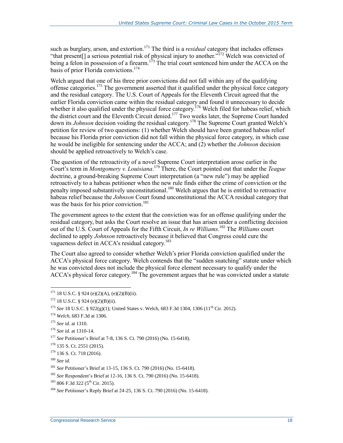such as burglary, arson, and extortion.<sup>171</sup> The third is a *residual* category that includes offenses "that present[] a serious potential risk of physical injury to another."<sup>172</sup> Welch was convicted of being a felon in possession of a firearm.<sup>173</sup> The trial court sentenced him under the ACCA on the basis of prior Florida convictions.<sup>174</sup>

Welch argued that one of his three prior convictions did not fall within any of the qualifying offense categories.<sup>175</sup> The government asserted that it qualified under the physical force category and the residual category. The U.S. Court of Appeals for the Eleventh Circuit agreed that the earlier Florida conviction came within the residual category and found it unnecessary to decide whether it also qualified under the physical force category.<sup>176</sup> Welch filed for habeas relief, which the district court and the Eleventh Circuit denied.<sup>177</sup> Two weeks later, the Supreme Court handed down its *Johnson* decision voiding the residual category.<sup>178</sup> The Supreme Court granted Welch's petition for review of two questions: (1) whether Welch should have been granted habeas relief because his Florida prior conviction did not fall within the physical force category, in which case he would be ineligible for sentencing under the ACCA; and (2) whether the *Johnson* decision should be applied retroactively to Welch's case.

The question of the retroactivity of a novel Supreme Court interpretation arose earlier in the Court's term in *Montgomery v. Louisiana*. <sup>179</sup> There, the Court pointed out that under the *Teague* doctrine, a ground-breaking Supreme Court interpretation (a "new rule") may be applied retroactively to a habeas petitioner when the new rule finds either the crime of conviction or the penalty imposed substantively unconstitutional.<sup>180</sup> Welch argues that he is entitled to retroactive habeas relief because the *Johnson* Court found unconstitutional the ACCA residual category that was the basis for his prior conviction.<sup>181</sup>

The government agrees to the extent that the conviction was for an offense qualifying under the residual category, but asks the Court resolve an issue that has arisen under a conflicting decision out of the U.S. Court of Appeals for the Fifth Circuit, *In re Williams*. <sup>182</sup> The *Williams* court declined to apply *Johnson* retroactively because it believed that Congress could cure the vagueness defect in ACCA's residual category.<sup>183</sup>

The Court also agreed to consider whether Welch's prior Florida conviction qualified under the ACCA's physical force category. Welch contends that the "sudden snatching" statute under which he was convicted does not include the physical force element necessary to qualify under the ACCA's physical force category.<sup>184</sup> The government argues that he was convicted under a statute

 $171$  18 U.S.C. § 924 (e)(2)(A), (e)(2)(B)(ii).

 $172$  18 U.S.C. § 924 (e)(2)(B)(ii).

<sup>&</sup>lt;sup>173</sup> *See* 18 U.S.C. § 922(g)(1); United States v. Welch, 683 F.3d 1304, 1306 (11<sup>th</sup> Cir. 2012).

<sup>174</sup> *Welch,* 683 F.3d at 1306.

<sup>175</sup> *See id.* at 1310.

<sup>176</sup> *See id.* at 1310-14.

<sup>177</sup> *See* Petitioner's Brief at 7-8, 136 S. Ct. 790 (2016) (No. 15-6418).

<sup>178</sup> 135 S. Ct. 2551 (2015).

 $179$  136 S, Ct. 718 (2016).

<sup>180</sup> *See id.* 

<sup>181</sup> *See* Petitioner's Brief at 13-15, 136 S. Ct. 790 (2016) (No. 15-6418).

<sup>182</sup> *See* Respondent's Brief at 12-16, 136 S. Ct. 790 (2016) (No. 15-6418).

 $183$  806 F.3d 322 (5<sup>th</sup> Cir. 2015).

<sup>184</sup> *See* Petitioner's Reply Brief at 24-25, 136 S. Ct. 790 (2016) (No. 15-6418).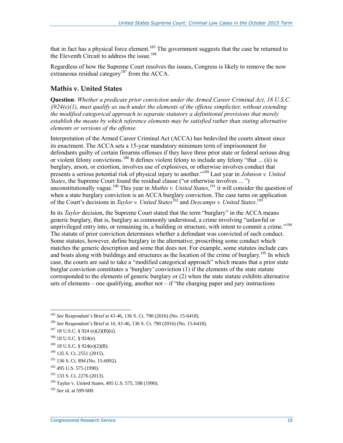that in fact has a physical force element.<sup>185</sup> The government suggests that the case be returned to the Eleventh Circuit to address the issue.<sup>186</sup>

Regardless of how the Supreme Court resolves the issues, Congress is likely to remove the now extraneous residual category<sup>187</sup> from the ACCA.

#### **Mathis v. United States**

**Question**: *Whether a predicate prior conviction under the Armed Career Criminal Act, 18 U.S.C. §924(e)(1), must qualify as such under the elements of the offense simpliciter, without extending the modified categorical approach to separate statutory a definitional provisions that merely establish the means by which reference elements may be satisfied rather than stating alternative elements or versions of the offense.*

Interpretation of the Armed Career Criminal Act (ACCA) has bedeviled the courts almost since its enactment. The ACCA sets a 15-year mandatory minimum term of imprisonment for defendants guilty of certain firearms offenses if they have three prior state or federal serious drug or violent felony convictions.<sup>188</sup> It defines violent felony to include any felony "that ... (ii) is burglary, arson, or extortion, involves use of explosives, or otherwise involves conduct that presents a serious potential risk of physical injury to another."<sup>189</sup> Last year in *Johnson v. United States*, the Supreme Court found the residual clause ("or otherwise involves ... ") unconstitutionally vague.<sup>190</sup> This year in *Mathis v. United States*, <sup>191</sup> it will consider the question of when a state burglary conviction is an ACCA burglary conviction. The case turns on application of the Court's decisions in *Taylor v. United States*<sup>192</sup> and *Descamps v. United States*.<sup>193</sup>

In its *Taylor* decision, the Supreme Court stated that the term "burglary" in the ACCA means generic burglary, that is, burglary as commonly understood, a crime involving "unlawful or unprivileged entry into, or remaining in, a building or structure, with intent to commit a crime."<sup>194</sup> The statute of prior conviction determines whether a defendant was convicted of such conduct. Some statutes, however, define burglary in the alternative; proscribing some conduct which matches the generic description and some that does not. For example, some statutes include cars and boats along with buildings and structures as the location of the crime of burglary.<sup>195</sup> In which case, the courts are said to take a "modified categorical approach" which means that a prior state burglar conviction constitutes a 'burglary' conviction (1) if the elements of the state statute corresponded to the elements of generic burglary or (2) when the state statute exhibits alternative sets of elements – one qualifying, another not – if "the charging paper and jury instructions

<sup>185</sup> *See* Respondent's Brief at 43-46, 136 S. Ct. 790 (2016) (No. 15-6418).

<sup>186</sup> *See* Respondent's Brief at 16, 43-46, 136 S. Ct. 790 (2016) (No. 15-6418).

 $187$  18 U.S.C. § 924 (e)(2)(B)(ii).

<sup>188</sup> 18 U.S.C. § 924(e).

 $189$  18 U.S.C. § 924(e)(2)(B).

 $190$  135 S. Ct. 2551 (2015).

<sup>&</sup>lt;sup>191</sup> 136 S. Ct. 894 (No. 15-6092).

<sup>192</sup> 495 U.S. 575 (1990).

<sup>193</sup> 133 S. Ct. 2276 (2013).

<sup>194</sup> Taylor v. United States, 495 U.S. 575, 598 (1990).

<sup>195</sup> *See id.* at 599-600.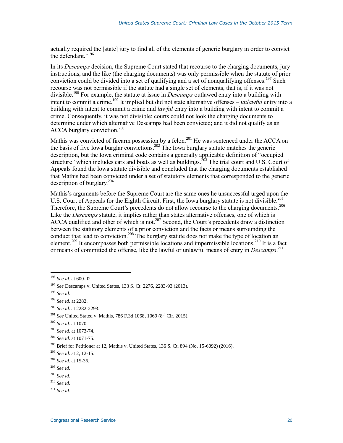actually required the [state] jury to find all of the elements of generic burglary in order to convict the defendant."<sup>196</sup>

In its *Descamps* decision, the Supreme Court stated that recourse to the charging documents, jury instructions, and the like (the charging documents) was only permissible when the statute of prior conviction could be divided into a set of qualifying and a set of nonqualifying offenses.<sup>197</sup> Such recourse was not permissible if the statute had a single set of elements, that is, if it was not divisible.<sup>198</sup> For example, the statute at issue in *Descamps* outlawed entry into a building with intent to commit a crime.<sup>199</sup> It implied but did not state alternative offenses – *unlawful* entry into a building with intent to commit a crime and *lawful* entry into a building with intent to commit a crime. Consequently, it was not divisible; courts could not look the charging documents to determine under which alternative Descamps had been convicted; and it did not qualify as an ACCA burglary conviction.<sup>200</sup>

Mathis was convicted of firearm possession by a felon.<sup>201</sup> He was sentenced under the ACCA on the basis of five Iowa burglar convictions.<sup>202</sup> The Iowa burglary statute matches the generic description, but the Iowa criminal code contains a generally applicable definition of "occupied structure" which includes cars and boats as well as buildings.<sup>203</sup> The trial court and U.S. Court of Appeals found the Iowa statute divisible and concluded that the charging documents established that Mathis had been convicted under a set of statutory elements that corresponded to the generic description of burglary.<sup>204</sup>

Mathis's arguments before the Supreme Court are the same ones he unsuccessful urged upon the U.S. Court of Appeals for the Eighth Circuit. First, the Iowa burglary statute is not divisible.<sup>205</sup> Therefore, the Supreme Court's precedents do not allow recourse to the charging documents.<sup>206</sup> Like the *Descamps* statute, it implies rather than states alternative offenses, one of which is ACCA qualified and other of which is not.<sup>207</sup> Second, the Court's precedents draw a distinction between the statutory elements of a prior conviction and the facts or means surrounding the conduct that lead to conviction.<sup>208</sup> The burglary statute does not make the type of location an element.<sup>209</sup> It encompasses both permissible locations and impermissible locations.<sup>210</sup> It is a fact or means of committed the offense, like the lawful or unlawful means of entry in *Descamps*. 211

 $\overline{a}$ 

<sup>202</sup> *See id.* at 1070.

<sup>196</sup> *See id.* at 600-02.

<sup>197</sup> *See* Descamps v. United States, 133 S. Ct. 2276, 2283-93 (2013).

<sup>198</sup> *See id.* 

<sup>199</sup> *See id.* at 2282.

<sup>200</sup> *See id.* at 2282-2293.

<sup>&</sup>lt;sup>201</sup> *See United Stated v. Mathis, 786 F.3d 1068, 1069 (8<sup>th</sup> Cir. 2015).* 

<sup>203</sup> *See id.* at 1073-74.

<sup>204</sup> *See id.* at 1071-75.

 $205$  Brief for Petitioner at 12, Mathis v. United States, 136 S. Ct. 894 (No. 15-6092) (2016).

<sup>206</sup> *See id.* at 2, 12-15.

<sup>207</sup> *See id.* at 15-36.

<sup>208</sup> *See id.*

<sup>209</sup> *See id.*

<sup>210</sup> *See id.*

<sup>211</sup> *See id.*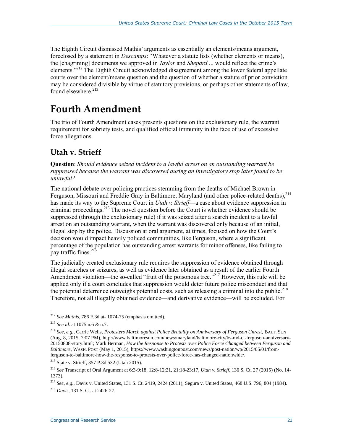The Eighth Circuit dismissed Mathis' arguments as essentially an elements/means argument, foreclosed by a statement in *Descamps*: "Whatever a statute lists (whether elements or means), the [chagrining] documents we approved in *Taylor* and *Shepard* ... would reflect the crime's elements."<sup>212</sup> The Eighth Circuit acknowledged disagreement among the lower federal appellate courts over the element/means question and the question of whether a statute of prior conviction may be considered divisible by virtue of statutory provisions, or perhaps other statements of law, found elsewhere. $213$ 

## **Fourth Amendment**

The trio of Fourth Amendment cases presents questions on the exclusionary rule, the warrant requirement for sobriety tests, and qualified official immunity in the face of use of excessive force allegations.

## **Utah v. Strieff**

**Question**: *Should evidence seized incident to a lawful arrest on an outstanding warrant be suppressed because the warrant was discovered during an investigatory stop later found to be unlawful?*

The national [debate](http://www.baltimoresun.com/news/maryland/baltimore-city/bs-md-ci-ferguson-anniversary-20150808-story.html) over policing practices stemming from the deaths of Michael Brown in Ferguson, Missouri and Freddie Gray in Baltimore, Maryland (and other police-related deaths).<sup>214</sup> has made its way to the Supreme Court in *Utah v. Strieff*—a case about evidence suppression in criminal proceedings.<sup>215</sup> The novel question before the Court is whether evidence should be suppressed (through the exclusionary rule) if it was seized after a search incident to a lawful arrest on an outstanding warrant, when the warrant was discovered only because of an initial, illegal stop by the police. Discussion at oral argument, at times, focused on how the Court's decision would impact heavily policed communities, like Ferguson, where a significant percentage of the population has outstanding arrest warrants for minor offenses, like failing to pay traffic fines.<sup>216</sup>

The judicially created exclusionary rule requires the suppression of evidence obtained through illegal searches or seizures, as well as evidence later obtained as a result of the earlier Fourth Amendment violation—the so-called "fruit of the poisonous tree."<sup>217</sup> However, this rule will be applied only if a court concludes that suppression would [deter](https://www.google.com/url?sa=t&rct=j&q=&esrc=s&source=web&cd=2&cad=rja&uact=8&ved=0ahUKEwiKyI6Px8DLAhWClh4KHUffD44QFggjMAE&url=http%3A%2F%2Fwww.supremecourt.gov%2Fopinions%2F10pdf%2F09-11328.pdf&usg=AFQjCNH-WRJ37aSQ0YYxQLS7zv4lXanAbg&sig2=CH3yqTlhEcRY2CsimU3BOg) future police misconduct and that the potential deterrence outweighs potential costs, such as releasing a criminal into the public.<sup>218</sup> Therefore, not all illegally obtained evidence—and derivative evidence—will be excluded. For

<sup>212</sup> *See Mathis*, 786 F.3d at- 1074-75 (emphasis omitted).

<sup>213</sup> *See id.* at 1075 n.6 & n.7.

<sup>&</sup>lt;sup>214</sup> *See, e.g., Carrie Wells, Protesters March against Police Brutality on Anniversary of Ferguson Unrest, BALT. SUN* (Aug. 8, 2015, 7:07 PM), http://www.baltimoresun.com/news/maryland/baltimore-city/bs-md-ci-ferguson-anniversary-20150808-story.html; Mark Berman, *How the Response to Protests over Police Force Changed between Ferguson and Baltimore,* WASH. POST (May 1, 2015), https://www.washingtonpost.com/news/post-nation/wp/2015/05/01/fromferguson-to-baltimore-how-the-response-to-protests-over-police-force-has-changed-nationwide/.

<sup>215</sup> State v. Strieff, 357 P.3d 532 (Utah 2015).

<sup>216</sup> *See* Transcript of Oral Argument at 6:3-9:18, 12:8-12:21, 21:18-23:17, *Utah v. Strieff,* 136 S. Ct. 27 (2015) (No. 14- 1373).

<sup>217</sup> *See, e.g.,* Davis v. United States, 131 S. Ct. 2419, 2424 (2011); Segura v. United States, 468 U.S. 796, 804 (1984). <sup>218</sup> *Davis*, 131 S. Ct. at 2426-27.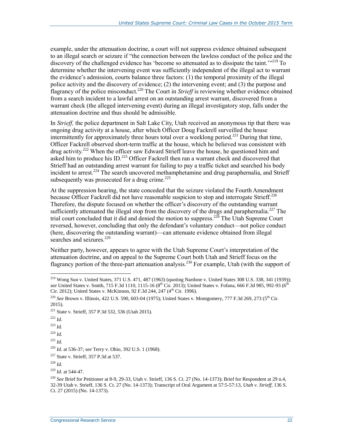example, under the attenuation doctrine, a court will not suppress evidence obtained subsequent to an illegal search or seizure if "the connection between the lawless conduct of the police and the discovery of the challenged evidence has 'become so attenuated as to dissipate the taint.'"<sup>219</sup> To determine whether the intervening event was sufficiently independent of the illegal act to warrant the evidence's admission, courts balance three factors: (1) the temporal proximity of the illegal police activity and the discovery of evidence; (2) the intervening event; and (3) the purpose and flagrancy of the police misconduct.<sup>220</sup> The Court in *Strieff* is reviewing whether evidence obtained from a search incident to a lawful arrest on an outstanding arrest warrant, discovered from a warrant check (the alleged intervening event) during an illegal investigatory stop, falls under the attenuation doctrine and thus should be admissible.

In *Strieff,* the police department in Salt Lake City, Utah received an anonymous tip that there was ongoing drug activity at a house, after which Officer Doug Fackrell surveilled the house intermittently for approximately three hours total over a weeklong period.<sup>221</sup> During that time, Officer Fackrell observed short-term traffic at the house, which he believed was consistent with drug activity.<sup>222</sup> When the officer saw Edward Strieff leave the house, he questioned him and asked him to produce his ID.<sup>223</sup> Officer Fackrell then ran a warrant check and discovered that Strieff had an outstanding arrest warrant for failing to pay a traffic ticket and searched his body incident to arrest.<sup>224</sup> The search uncovered methamphetamine and drug paraphernalia, and Strieff subsequently was prosecuted for a drug crime.<sup>225</sup>

At the suppression hearing, the state conceded that the seizure violated the Fourth Amendment because Officer Fackrell did not have reasonable suspicion to stop and interrogate Strieff.<sup>226</sup> Therefore, the dispute focused on whether the officer's discovery of the outstanding warrant sufficiently attenuated the illegal stop from the discovery of the drugs and paraphernalia.<sup>227</sup> The trial court concluded that it did and denied the motion to suppress.<sup>228</sup> The Utah Supreme Court reversed, however, concluding that only the defendant's voluntary conduct—not police conduct (here, discovering the outstanding warrant)—can attenuate evidence obtained from illegal searches and seizures.<sup>229</sup>

Neither party, however, appears to agree with the Utah Supreme Court's interpretation of the attenuation doctrine, and on appeal to the Supreme Court both Utah and Strieff focus on the flagrancy portion of the three-part attenuation analysis.<sup>230</sup> For example, Utah (with the support of

 $\overline{a}$ 

 $^{225}$  *Id.* 

 $^{228}$  *Id.* 

<sup>&</sup>lt;sup>219</sup> Wong Sun v. United States, 371 U.S. 471, 487 (1963) (quoting Nardone v. United States 308 U.S. 338, 341 (1939)); see United States v. Smith, 715 F.3d 1110, 1115-16 (8<sup>th</sup> Cir. 2013); United States v. Fofana, 666 F.3d 985, 992-93 (6<sup>th</sup>) Cir. 2012); United States v. McKinnon, 92 F.3d 244, 247 (4<sup>th</sup> Cir. 1996).

<sup>&</sup>lt;sup>220</sup> *See* Brown v. Illinois, 422 U.S. 590, 603-04 (1975); United States v. Montgomery, 777 F.3d 269, 273 (5<sup>th</sup> Cir. 2015).

<sup>221</sup> State v. Strieff, 357 P.3d 532, 536 (Utah 2015).

 $^{222}$  *Id.* 

<sup>223</sup> *Id.* 

 $^{224}$  *Id.* 

<sup>226</sup> *Id.* at 536-37; *see* Terry v. Ohio, 392 U.S. 1 (1968).

 $227$  State v. Strieff, 357 P.3d at 537.

<sup>229</sup> *Id.* at 544-47.

<sup>230</sup> *See* Brief for Petitioner at 8-9, 29-33, Utah v. Strieff, 136 S. Ct. 27 (No. 14-1373); Brief for Respondent at 29 n.4, 32-39 Utah v. Strieff, 136 S. Ct. 27 (No. 14-1373); Transcript of Oral Argument at 57:5-57:13, *Utah v. Strieff,* 136 S. Ct. 27 (2015) (No. 14-1373).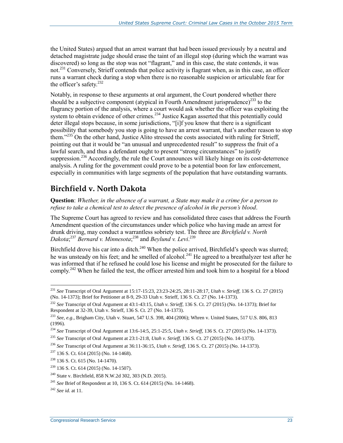the United States) argued that an arrest warrant that had been issued previously by a neutral and detached magistrate judge should erase the taint of an illegal stop (during which the warrant was discovered) so long as the stop was not "flagrant," and in this case, the state contends, it was not.<sup>231</sup> Conversely, Strieff contends that police activity is flagrant when, as in this case, an officer runs a warrant check during a stop when there is no reasonable suspicion or articulable fear for the officer's safety.<sup>232</sup>

Notably, in response to these arguments at oral argument, the Court pondered whether there should be a subjective component (atypical [in](https://scholar.google.com/scholar_case?q=126+S.Ct.+1943&hl=en&as_sdt=20006&case=6234529070422029398&scilh=0) Fourth Amendment jurisprudence)<sup>233</sup> to the flagrancy portion of the analysis, where a court would ask whether the officer was exploiting the system to obtain evidence of other crimes.<sup>234</sup> Justice Kagan asserted that this potentially could deter illegal stops because, in some jurisdictions, "[i]f you know that there is a significant possibility that somebody you stop is going to have an arrest warrant, that's another reason to stop them."<sup>235</sup> On the other hand, Justice Alito stressed the costs associated with ruling for Strieff, pointing out that it would be "an unusual and unprecedented result" to suppress the fruit of a lawful search, and thus a defendant ought to present "strong circumstances" to justify suppression.<sup>236</sup> Accordingly, the rule the Court announces will likely hinge on its cost-deterrence analysis. A ruling for the government could prove to be a potential boon for law enforcement, especially in communities with large segments of the population that have outstanding warrants.

## **Birchfield v. North Dakota**

**Question**: *Whether, in the absence of a warrant, a State may make it a crime for a person to refuse to take a chemical test to detect the presence of alcohol in the person's blood*.

The Supreme Court has agreed to review and has consolidated three cases that address the Fourth Amendment question of the circumstances under which police who having made an arrest for drunk driving, may conduct a warrantless sobriety test. The three are *Birchfield v. North*  Dakota;<sup>237</sup> Bernard v. Minnesota;<sup>238</sup> and *Beylund v. Levi*.<sup>239</sup>

Birchfield drove his car into a ditch.<sup>240</sup> When the police arrived, Birchfield's speech was slurred; he was unsteady on his feet; and he smelled of alcohol.<sup>241</sup> He agreed to a breathalyzer test after he was informed that if he refused he could lose his license and might be prosecuted for the failure to comply.<sup>242</sup> When he failed the test, the officer arrested him and took him to a hospital for a blood

<sup>231</sup> *See* Transcript of Oral Argument at 15:17-15:23, 23:23-24:25, 28:11-28:17, *Utah v. Strieff,* 136 S. Ct. 27 (2015) (No. 14-1373); Brief for Petitioner at 8-9, 29-33 Utah v. Strieff, 136 S. Ct. 27 (No. 14-1373).

<sup>232</sup> *See* Transcript of Oral Argument at 43:1-43:15, *Utah v. Strieff,* 136 S. Ct. 27 (2015) (No. 14-1373); Brief for Respondent at 32-39, Utah v. Strieff, 136 S. Ct. 27 (No. 14-1373).

<sup>233</sup> *See, e.g.,* Brigham City, Utah v. Stuart, 547 U.S. 398, 404 (2006); Whren v. United States, 517 U.S. 806, 813 (1996).

<sup>234</sup> *See* Transcript of Oral Argument at 13:6-14:5, 25:1-25:5, *Utah v. Strieff,* 136 S. Ct. 27 (2015) (No. 14-1373).

<sup>235</sup> *See* Transcript of Oral Argument at 23:1-21:8, *Utah v. Strieff,* 136 S. Ct. 27 (2015) (No. 14-1373).

<sup>236</sup> *See* Transcript of Oral Argument at 36:11-36:15, *Utah v. Strieff,* 136 S. Ct. 27 (2015) (No. 14-1373).

 $237$  136 S. Ct. 614 (2015) (No. 14-1468).

<sup>238</sup> 136 S. Ct. 615 (No. 14-1470).

<sup>239</sup> 136 S. Ct. 614 (2015) (No. 14-1507).

<sup>240</sup> State v. Birchfield, 858 N.W.2d 302, 303 (N.D. 2015).

<sup>241</sup> *See* Brief of Respondent at 10, 136 S. Ct. 614 (2015) (No. 14-1468).

<sup>242</sup> *See id.* at 11.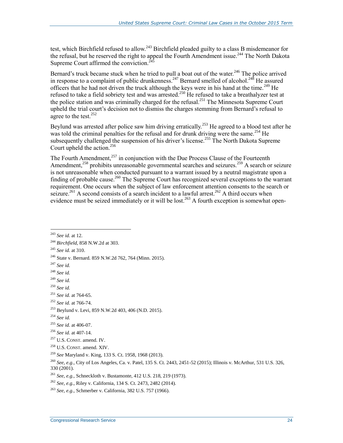test, which Birchfield refused to allow.<sup>243</sup> Birchfield pleaded guilty to a class B misdemeanor for the refusal, but he reserved the right to appeal the Fourth Amendment issue.<sup>244</sup> The North Dakota Supreme Court affirmed the conviction. $245$ 

Bernard's truck became stuck when he tried to pull a boat out of the water.<sup>246</sup> The police arrived in response to a complaint of public drunkenness.<sup>247</sup> Bernard smelled of alcohol.<sup>248</sup> He assured officers that he had not driven the truck although the keys were in his hand at the time.<sup>249</sup> He refused to take a field sobriety test and was arrested.<sup>250</sup> He refused to take a breathalyzer test at the police station and was criminally charged for the refusal.<sup>251</sup> The Minnesota Supreme Court upheld the trial court's decision not to dismiss the charges stemming from Bernard's refusal to agree to the test.<sup>252</sup>

Beylund was arrested after police saw him driving erratically.<sup>253</sup> He agreed to a blood test after he was told the criminal penalties for the refusal and for drunk driving were the same.<sup>254</sup> He subsequently challenged the suspension of his driver's license.<sup>255</sup> The North Dakota Supreme Court upheld the action. $256$ 

The Fourth Amendment, $257$  in conjunction with the Due Process Clause of the Fourteenth Amendment,<sup>258</sup> prohibits unreasonable governmental searches and seizures.<sup>259</sup> A search or seizure is not unreasonable when conducted pursuant to a warrant issued by a neutral magistrate upon a finding of probable cause.<sup>260</sup> The Supreme Court has recognized several exceptions to the warrant requirement. One occurs when the subject of law enforcement attention consents to the search or seizure.<sup>261</sup> A second consists of a search incident to a lawful arrest.<sup>262</sup> A third occurs when evidence must be seized immediately or it will be lost.<sup>263</sup> A fourth exception is somewhat open-

<sup>245</sup> *See id.* at 310.

<sup>247</sup> *See id.* 

 $\overline{a}$ 

- <sup>248</sup> *See id.*
- <sup>249</sup> *See id.*
- <sup>250</sup> *See id.*

<sup>252</sup> *See id.* at 766-74.

<sup>254</sup> *See id.* 

<sup>243</sup> *See id.* at 12.

<sup>244</sup> *Birchfield,* 858 N.W.2d at 303.

<sup>246</sup> State v. Bernard. 859 N.W.2d 762, 764 (Minn. 2015).

<sup>251</sup> *See id.* at 764-65.

<sup>253</sup> Beylund v. Levi, 859 N.W.2d 403, 406 (N.D. 2015).

<sup>255</sup> *See id.* at 406-07.

<sup>256</sup> *See id.* at 407-14.

 $257$  U.S. CONST. amend. IV.

<sup>258</sup> U.S. CONST. amend. XIV.

<sup>259</sup> *See* Maryland v. King, 133 S. Ct. 1958, 1968 (2013).

<sup>260</sup> *See, e.g.,* City of Los Angeles, Ca. v. Patel, 135 S. Ct. 2443, 2451-52 (2015); Illinois v. McArthur, 531 U.S. 326, 330 (2001).

<sup>261</sup> *See, e.g.,* Schneckloth v. Bustamonte, 412 U.S. 218, 219 (1973).

<sup>262</sup> *See, e.g.,* Riley v. California, 134 S. Ct. 2473, 2482 (2014).

<sup>263</sup> *See, e.g.,* Schmerber v. California, 382 U.S. 757 (1966).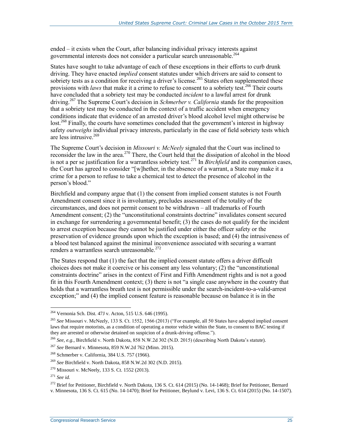ended – it exists when the Court, after balancing individual privacy interests against governmental interests does not consider a particular search unreasonable.<sup>264</sup>

States have sought to take advantage of each of these exceptions in their efforts to curb drunk driving. They have enacted *implied* consent statutes under which drivers are said to consent to sobriety tests as a condition for receiving a driver's license.<sup>265</sup> States often supplemented these provisions with *laws* that make it a crime to refuse to consent to a sobriety test.<sup>266</sup> Their courts have concluded that a sobriety test may be conducted *incident* to a lawful arrest for drunk driving.<sup>267</sup> The Supreme Court's decision in *Schmerber v. California* stands for the proposition that a sobriety test may be conducted in the context of a traffic accident when emergency conditions indicate that evidence of an arrested driver's blood alcohol level might otherwise be lost.<sup>268</sup> Finally, the courts have sometimes concluded that the government's interest in highway safety *outweighs* individual privacy interests, particularly in the case of field sobriety tests which are less intrusive.<sup>269</sup>

The Supreme Court's decision in *Missouri v. McNeely* signaled that the Court was inclined to reconsider the law in the area.<sup>270</sup> There, the Court held that the dissipation of alcohol in the blood is not a per se justification for a warrantless sobriety test.<sup>271</sup> In *Birchfield* and its companion cases, the Court has agreed to consider "[w]hether, in the absence of a warrant, a State may make it a crime for a person to refuse to take a chemical test to detect the presence of alcohol in the person's blood."

Birchfield and company argue that (1) the consent from implied consent statutes is not Fourth Amendment consent since it is involuntary, precludes assessment of the totality of the circumstances, and does not permit consent to be withdrawn – all trademarks of Fourth Amendment consent; (2) the "unconstitutional constraints doctrine" invalidates consent secured in exchange for surrendering a governmental benefit; (3) the cases do not qualify for the incident to arrest exception because they cannot be justified under either the officer safety or the preservation of evidence grounds upon which the exception is based; and (4) the intrusiveness of a blood test balanced against the minimal inconvenience associated with securing a warrant renders a warrantless search unreasonable. $272$ 

The States respond that (1) the fact that the implied consent statute offers a driver difficult choices does not make it coercive or his consent any less voluntary; (2) the "unconstitutional constraints doctrine" arises in the context of First and Fifth Amendment rights and is not a good fit in this Fourth Amendment context; (3) there is not "a single case anywhere in the country that holds that a warrantless breath test is not permissible under the search-incident-to-a-valid-arrest exception;" and (4) the implied consent feature is reasonable because on balance it is in the

<sup>264</sup> Vernonia Sch. Dist. 47J v. Acton, 515 U.S. 646 (1995).

<sup>265</sup> *See* Missouri v. McNeely, 133 S. Ct. 1552, 1566 (2013) ("For example, all 50 States have adopted implied consent laws that require motorists, as a condition of operating a motor vehicle within the State, to consent to BAC testing if they are arrested or otherwise detained on suspicion of a drunk-driving offense.").

<sup>266</sup> *See, e.g.,* Birchfield v. North Dakota, 858 N.W.2d 302 (N.D. 2015) (describing North Dakota's statute).

<sup>267</sup> *See* Bernard v. Minnesota, 859 N.W.2d 762 (Minn. 2015).

<sup>268</sup> Schmerber v. California, 384 U.S. 757 (1966).

<sup>269</sup> *See* Birchfield v. North Dakota, 858 N.W.2d 302 (N.D. 2015).

<sup>270</sup> Missouri v. McNeely, 133 S. Ct. 1552 (2013).

<sup>271</sup> *See id.* 

<sup>&</sup>lt;sup>272</sup> Brief for Petitioner, Birchfield v. North Dakota, 136 S. Ct. 614 (2015) (No. 14-1468); Brief for Petitioner, Bernard

v. Minnesota, 136 S. Ct. 615 (No. 14-1470); Brief for Petitioner, Beylund v. Levi, 136 S. Ct. 614 (2015) (No. 14-1507).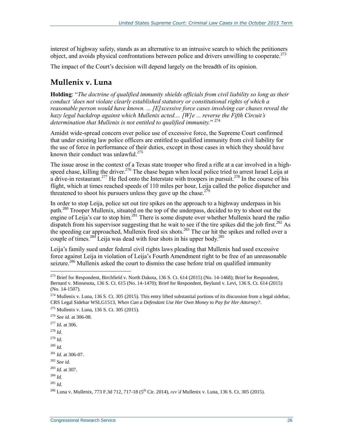interest of highway safety, stands as an alternative to an intrusive search to which the petitioners object, and avoids physical confrontations between police and drivers unwilling to cooperate.<sup>273</sup>

The impact of the Court's decision will depend largely on the breadth of its opinion.

## **Mullenix v. Luna**

**Holding**: "*The doctrine of qualified immunity shields officials from civil liability so long as their conduct 'does not violate clearly established statutory or constitutional rights of which a reasonable person would have known. ... [E]xcessive force cases involving car chases reveal the hazy legal backdrop against which Mullenix acted.... [W]e ... reverse the Fifth Circuit's determination that Mullenix is not entitled to qualified immunity.*" <sup>274</sup>

Amidst wide-spread concern over police use of excessive force, the Supreme Court confirmed that under existing law police officers are entitled to qualified immunity from civil liability for the use of force in performance of their duties, except in those cases in which they should have known their conduct was unlawful.<sup>275</sup>

The issue arose in the context of a Texas state trooper who fired a rifle at a car involved in a highspeed chase, killing the driver.<sup>276</sup> The chase began when local police tried to arrest Israel Leija at a drive-in restaurant.<sup>277</sup> He fled onto the Interstate with troopers in pursuit.<sup>278</sup> In the course of his flight, which at times reached speeds of 110 miles per hour, Leija called the police dispatcher and threatened to shoot his pursuers unless they gave up the chase.<sup>27</sup>

In order to stop Leija, police set out tire spikes on the approach to a highway underpass in his path.<sup>280</sup> Trooper Mullenix, situated on the top of the underpass, decided to try to shoot out the engine of Leija's car to stop him.<sup>281</sup> There is some dispute over whether Mullenix heard the radio dispatch from his supervisor suggesting that he wait to see if the tire spikes did the job first.<sup>282</sup> As the speeding car approached, Mullenix fired six shots.<sup>283</sup> The car hit the spikes and rolled over a couple of times.<sup>284</sup> Leija was dead with four shots in his upper body.<sup>285</sup>

Leija's family sued under federal civil rights laws pleading that Mullenix had used excessive force against Leija in violation of Leija's Fourth Amendment right to be free of an unreasonable seizure.<sup>286</sup> Mullenix asked the court to dismiss the case before trial on qualified immunity

- <sup>277</sup> *Id.* at 306.
- <sup>278</sup> *Id.*
- <sup>279</sup> *Id.*

 $\overline{a}$ 

 $^{280}$  *Id.* 

- <sup>283</sup> *Id.* at 307.
- <sup>284</sup> *Id.*

<sup>&</sup>lt;sup>273</sup> Brief for Respondent, Birchfield v. North Dakota, 136 S. Ct. 614 (2015) (No. 14-1468); Brief for Respondent, Bernard v. Minnesota, 136 S. Ct. 615 (No. 14-1470); Brief for Respondent, Beylund v. Levi, 136 S. Ct. 614 (2015) (No. 14-1507).

 $^{274}$  Mullenix v. Luna, 136 S. Ct. 305 (2015). This entry lifted substantial portions of its discussion from a legal sidebar, CRS Legal Sidebar WSLG1513, *When Can a Defendant Use Her Own Money to Pay for Her Attorney?*.

<sup>275</sup> Mullenix v. Luna, 136 S. Ct. 305 (2015). <sup>276</sup> *See id.* at 306-08.

<sup>281</sup> *Id.* at 306-07.

<sup>282</sup> *See id.* 

 $^{285}$  *Id.* 

<sup>&</sup>lt;sup>286</sup> Luna v. Mullenix, 773 F.3d 712, 717-18 (5<sup>th</sup> Cir. 2014), *rev'd* Mullenix v. Luna, 136 S. Ct. 305 (2015).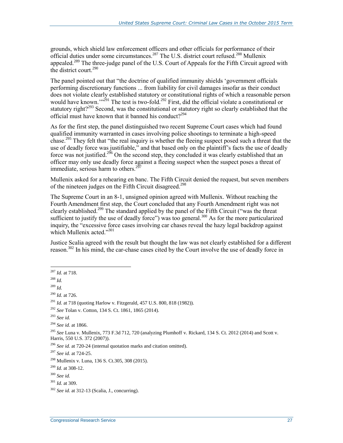grounds, which shield law enforcement officers and other officials for performance of their official duties under some circumstances.<sup>287</sup> The U.S. district court refused.<sup>288</sup> Mullenix appealed.<sup>289</sup> The three-judge panel of the U.S. Court of Appeals for the Fifth Circuit agreed with the district court. $290$ 

The panel pointed out that "the doctrine of qualified immunity shields 'government officials performing discretionary functions ... from liability for civil damages insofar as their conduct does not violate clearly established statutory or constitutional rights of which a reasonable person would have known."<sup>291</sup> The test is two-fold.<sup>292</sup> First, did the official violate a constitutional or statutory right?<sup>293</sup> Second, was the constitutional or statutory right so clearly established that the official must have known that it banned his conduct?<sup>294</sup>

As for the first step, the [panel](http://www.ca5.uscourts.gov/opinions%5Cpub%5C13/13-10899-CV2.pdf) distinguished two recent Supreme Court cases which had found qualified immunity warranted in cases involving police shootings to terminate a high-speed chase.<sup>295</sup> They felt that "the real inquiry is whether the fleeing suspect posed such a threat that the use of deadly force was justifiable," and that based only on the plaintiff's facts the use of deadly force was not justified.<sup>296</sup> On the second step, they concluded it was clearly established that an officer may only use deadly force against a fleeing suspect when the suspect poses a threat of immediate, serious harm to others.<sup>297</sup>

Mullenix asked for a rehearing en banc. The Fifth Circuit denied the request, but seven members of the nineteen judges on the Fifth Circuit disagreed.<sup>298</sup>

The Supreme Court in an 8-1, unsigned opinion agreed with Mullenix. Without reaching the Fourth Amendment first step, the Court concluded that any Fourth Amendment right was not clearly established.<sup>299</sup> The standard applied by the panel of the Fifth Circuit ("was the threat sufficient to justify the use of deadly force") was too general.<sup>300</sup> As for the more particularized inquiry, the "excessive force cases involving car chases reveal the hazy legal backdrop against which Mullenix acted."<sup>301</sup>

Justice Scalia agreed with the result but thought the law was not clearly established for a different reason.<sup>302</sup> In his mind, the car-chase cases cited by the Court involve the use of deadly force in

<sup>287</sup> *Id.* at 718.

 $^{288}$  *Id.* 

<sup>289</sup> *Id.* 

<sup>290</sup> *Id.* at 726.

<sup>291</sup> *Id.* at 718 (quoting Harlow v. Fitzgerald, 457 U.S. 800, 818 (1982)).

<sup>292</sup> *See* Tolan v. Cotton, 134 S. Ct. 1861, 1865 (2014).

<sup>293</sup> *See id.* 

<sup>294</sup> *See id.* at 1866.

<sup>295</sup> *See* Luna v. Mullenix, 773 F.3d 712, 720 (analyzing Plumhoff v. Rickard, 134 S. Ct. 2012 (2014) and Scott v. Harris, 550 U.S. 372 (2007)).

<sup>296</sup> *See id.* at 720-24 (internal quotation marks and citation omitted).

<sup>297</sup> *See id.* at 724-25.

<sup>298</sup> Mullenix v. Luna, 136 S. Ct.305, 308 (2015).

<sup>299</sup> *Id.* at 308-12.

<sup>300</sup> *See id.* 

<sup>301</sup> *Id.* at 309.

<sup>302</sup> *See id.* at 312-13 (Scalia, J., concurring).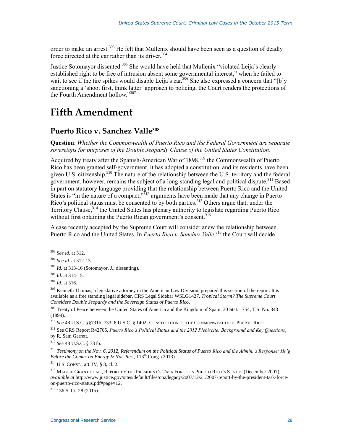order to make an arrest.<sup>303</sup> He felt that Mullenix should have been seen as a question of deadly force directed at the car rather than its driver.<sup>304</sup>

Justice Sotomayor dissented.<sup>305</sup> She would have held that Mullenix "violated Leija's clearly established right to be free of intrusion absent some governmental interest," when he failed to wait to see if the tire spikes would disable Leija's car.<sup>306</sup> She also expressed a concern that "[b]y sanctioning a 'shoot first, think latter' approach to policing, the Court renders the protections of the Fourth Amendment hollow<sup>"307</sup>

## **Fifth Amendment**

### **Puerto Rico v. Sanchez Valle<sup>308</sup>**

**Question**: *Whether the Commonwealth of Puerto Rico and the Federal Government are separate sovereigns for purposes of the Double Jeopardy Clause of the United States Constitution*.

Acquired by treaty after the Spanish-American War of 1898,<sup>309</sup> the Commonwealth of Puerto Rico has been granted self-government, it has adopted a constitution, and its residents have been given U.S. citizenship.<sup>310</sup> The nature of the relationship between the U.S. territory and the federal government, however, remains the subject of a long-standing legal and political dispute. <sup>311</sup> Based in part on statutory language providing that the relationship between Puerto Rico and the United States is "in the nature of a compact,"<sup>312</sup> arguments have been made that any change in Puerto Rico's political status must be consented to by both parties.<sup>313</sup> Others argue that, under the Territory Clause,<sup>314</sup> the United States has plenary authority to legislate regarding Puerto Rico without first obtaining the Puerto Rican government's consent.<sup>315</sup>

A case recently accepted by the Supreme Court will consider anew the relationship between Puerto Rico and the United States. In *Puerto Rico v. Sanchez Valle*,<sup>316</sup> the Court will decide

 $\overline{a}$ 

<sup>309</sup> Treaty of Peace between the United States of America and the Kingdom of Spain, 30 Stat. 1754, T.S. No. 343 (1899).

<sup>310</sup> *See* 48 U.S.C. §§731b, 733; 8 U.S.C. § 1402; CONSTITUTION OF THE COMMONWEALTH OF PUERTO RICO.

<sup>311</sup> See CRS Report R42765, *Puerto Rico's Political Status and the 2012 Plebiscite: Background and Key Questions*, by R. Sam Garrett.

<sup>312</sup> *See* 48 U.S.C. § 731b.

<sup>313</sup> *Testimony on the Nov. 6, 2012, Referendum on the Political Status of Puerto Rico and the Admin.'s Response: Hr'g Before the Comm. on Energy & Nat. Res.,* 113<sup>th</sup> Cong. (2013).

<sup>314</sup> U.S. CONST., art. IV, § 3, cl. 2.

<sup>315</sup> MAGGIE GRANT ET AL., REPORT BY THE PRESIDENT'S TASK FORCE ON PUERTO RICO'S STATUS (December 2007), *available at* http://www.justice.gov/sites/default/files/opa/legacy/2007/12/21/2007-report-by-the-president-task-forceon-puerto-rico-status.pdf#page=12.

 $316$  136 S, Ct. 28 (2015).

<sup>303</sup> *See id.* at 312.

<sup>304</sup> *See id.* at 312-13.

<sup>305</sup> *Id.* at 313-16 (Sotomayor, J., dissenting).

<sup>306</sup> *Id.* at 314-15.

<sup>307</sup> *Id.* at 316.

<sup>&</sup>lt;sup>308</sup> Kenneth Thomas, a legislative attorney in the American Law Division, prepared this section of the report. It is available as a free standing legal sidebar, CRS Legal Sidebar WSLG1427, *Tropical Storm? The Supreme Court Considers Double Jeopardy and the Sovereign Status of Puerto Rico*.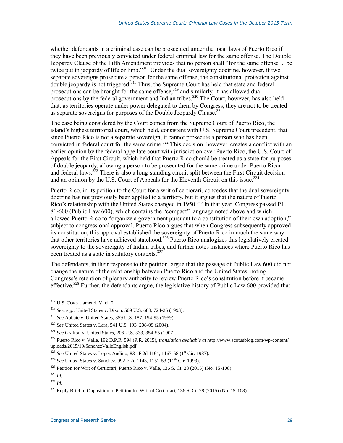whether defendants in a criminal case can be prosecuted under the local laws of Puerto Rico if they have been previously convicted under federal criminal law for the same offense. The Double Jeopardy Clause of the Fifth Amendment provides that no person shall "for the same offense ... be twice put in jeopardy of life or limb."<sup>317</sup> Under the dual sovereignty doctrine, however, if two separate sovereigns prosecute a person for the same offense, the constitutional protection against double jeopardy is not triggered.<sup>318</sup> Thus, the Supreme Court has held that state and federal prosecutions can be brought for the same offense,<sup>319</sup> and similarly, it has allowed dual prosecutions by the federal government and Indian tribes.<sup>320</sup> The Court, however, has also held that, as territories operate under power delegated to them by Congress, they are not to be treated as separate sovereigns for purposes of the Double Jeopardy Clause.<sup>321</sup>

The case being considered by the Court comes from the Supreme Court of Puerto Rico, the island's highest territorial court, which held, consistent with U.S. Supreme Court precedent, that since Puerto Rico is not a separate sovereign, it cannot prosecute a person who has been convicted in federal court for the same crime.<sup>322</sup> This decision, however, creates a conflict with an earlier opinion by the federal appellate court with jurisdiction over Puerto Rico, the U.S. Court of Appeals for the First Circuit, which held that Puerto Rico should be treated as a state for purposes of double jeopardy, allowing a person to be prosecuted for the same crime under Puerto Rican and federal laws.<sup>323</sup> There is also a long-standing circuit split between the First Circuit decision and an opinion by the U.S. Court of Appeals for the Eleventh Circuit on this issue.<sup>324</sup>

Puerto Rico, in its petition to the Court for a writ of certiorari, concedes that the dual sovereignty doctrine has not previously been applied to a territory, but it argues that the nature of Puerto Rico's relationship with the United States changed in 1950.<sup>325</sup> In that year, Congress passed P.L. [81-600](http://www.legisworks.org/congress/81/publaw-600.pdf) (Public Law 600), which contains the "compact" language noted above and which allowed Puerto Rico to "organize a government pursuant to a constitution of their own adoption," subject to congressional approval. Puerto Rico argues that when Congress subsequently approved its constitution, this approval established the sovereignty of Puerto Rico in much the same way that other territories have achieved statehood.<sup>326</sup> Puerto Rico analogizes this legislatively created sovereignty to the sovereignty of Indian tribes, and further notes instances where Puerto Rico has been treated as a state in statutory contexts. $327$ 

The defendants, in their response to the petition, argue that the passage of Public Law 600 did not change the nature of the relationship between Puerto Rico and the United States, noting Congress's retention of plenary authority to review Puerto Rico's constitution before it became effective.<sup>328</sup> Further, the defendants argue, the legislative history of Public Law 600 provided that

 $317$  U.S. CONST. amend. V, cl. 2.

<sup>318</sup> *See, e.g.,* United States v. Dixon, 509 U.S. 688, 724-25 (1993).

<sup>319</sup> *See* Abbate v. United States, 359 U.S. 187, 194-95 (1959).

<sup>320</sup> *See* United States v. Lara, 541 U.S. 193, 208-09 (2004).

<sup>321</sup> *See* Grafton v. United States, 206 U.S. 333, 354-55 (1907).

<sup>322</sup> Puerto Rico v. Valle, 192 D.P.R. 594 (P.R. 2015), *translation available at* http://www.scotusblog.com/wp-content/ uploads/2015/10/SanchezValleEnglish.pdf.

<sup>&</sup>lt;sup>323</sup> *See* United States v. Lopez Andino, 831 F.2d 1164, 1167-68 (1<sup>st</sup> Cir. 1987).

<sup>&</sup>lt;sup>324</sup> *See* United States v. Sanchez, 992 F.2d 1143, 1151-53 (11<sup>th</sup> Cir. 1993).

 $325$  Petition for Writ of Certiorari, Puerto Rico v. Valle, 136 S. Ct. 28 (2015) (No. 15-108).

<sup>326</sup> *Id.*

<sup>327</sup> *Id.* 

 $328$  Reply Brief in Opposition to Petition for Writ of Certiorari, 136 S. Ct. 28 (2015) (No. 15-108).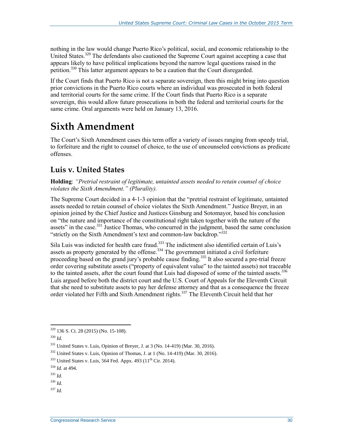nothing in the law would change Puerto Rico's political, social, and economic relationship to the United States.<sup>329</sup> The defendants also cautioned the Supreme Court against accepting a case that appears likely to have political implications beyond the narrow legal questions raised in the petition.<sup>330</sup> This latter argument appears to be a caution that the Court disregarded.

If the Court finds that Puerto Rico is not a separate sovereign, then this might bring into question prior convictions in the Puerto Rico courts where an individual was prosecuted in both federal and territorial courts for the same crime. If the Court finds that Puerto Rico is a separate sovereign, this would allow future prosecutions in both the federal and territorial courts for the same crime. Oral arguments were held on January 13, 2016.

## **Sixth Amendment**

The Court's Sixth Amendment cases this term offer a variety of issues ranging from speedy trial, to forfeiture and the right to counsel of choice, to the use of uncounseled convictions as predicate offenses.

## **Luis v. United States**

**Holding**: *"Pretrial restraint of legitimate, untainted assets needed to retain counsel of choice violates the Sixth Amendment." (Plurality).*

The Supreme Court decided in a 4-1-3 opinion that the "pretrial restraint of legitimate, untainted assets needed to retain counsel of choice violates the Sixth Amendment." Justice Breyer, in an opinion joined by the Chief Justice and Justices Ginsburg and Sotomayor, based his conclusion on "the nature and importance of the constitutional right taken together with the nature of the assets" in the case.<sup>331</sup> Justice Thomas, who concurred in the judgment, based the same conclusion "strictly on the Sixth Amendment's text and common-law backdrop."332

Sila Luis was indicted for health care fraud.<sup>333</sup> The indictment also identified certain of Luis's assets as property generated by the offense.<sup>334</sup> The government initiated a civil forfeiture proceeding based on the grand jury's probable cause finding.<sup>335</sup> It also secured a pre-trial freeze order covering substitute assets ("property of equivalent value" to the tainted assets) not traceable to the tainted assets, after the court found that Luis had disposed of some of the tainted assets.<sup>336</sup> Luis argued before both the district court and the U.S. Court of Appeals for the Eleventh Circuit that she need to substitute assets to pay her defense attorney and that as a consequence the freeze order violated her Fifth and Sixth Amendment rights.<sup>337</sup> The Eleventh Circuit held that her

<sup>329</sup> 136 S. Ct. 28 (2015) (No. 15-108).

<sup>330</sup> *Id*.

<sup>331</sup> United States v. Luis, Opinion of Breyer, J. at 3 (No. 14-419) (Mar. 30, 2016).

<sup>332</sup> United States v. Luis, Opinion of Thomas, J. at 1 (No. 14-419) (Mar. 30, 2016).

 $333$  United States v. Luis, 564 Fed. Appx. 493 ( $11<sup>th</sup>$  Cir. 2014).

<sup>334</sup> *Id.* at 494.

<sup>335</sup> *Id.*

<sup>336</sup> *Id.*

<sup>337</sup> *Id.*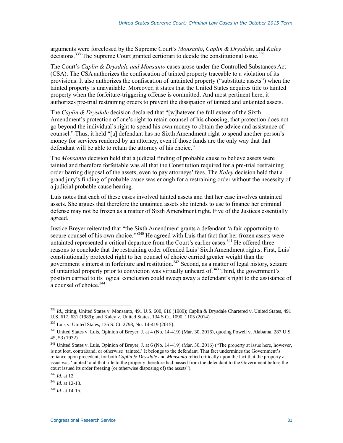arguments were foreclosed by the Supreme Court's *Monsanto*, *Caplin & Drysdale*, and *Kaley* decisions.<sup>338</sup> The Supreme Court granted certiorari to decide the constitutional issue.<sup>339</sup>

The Court's *Caplin & Drysdale and Monsanto* cases arose under the Controlled Substances Act (CSA). The CSA authorizes the confiscation of tainted property traceable to a violation of its provisions. It also authorizes the confiscation of untainted property ("substitute assets") when the tainted property is unavailable. Moreover, it states that the United States acquires title to tainted property when the forfeiture-triggering offense is committed. And most pertinent here, it authorizes pre-trial restraining orders to prevent the dissipation of tainted and untainted assets.

The *Caplin & Drysdale* decision declared that "[w]hatever the full extent of the Sixth Amendment's protection of one's right to retain counsel of his choosing, that protection does not go beyond the individual's right to spend his own money to obtain the advice and assistance of counsel." Thus, it held "[a] defendant has no Sixth Amendment right to spend another person's money for services rendered by an attorney, even if those funds are the only way that that defendant will be able to retain the attorney of his choice."

The *Monsanto* decision held that a judicial finding of probable cause to believe assets were tainted and therefore forfeitable was all that the Constitution required for a pre-trial restraining order barring disposal of the assets, even to pay attorneys' fees. The *Kaley* decision held that a grand jury's finding of probable cause was enough for a restraining order without the necessity of a judicial probable cause hearing.

Luis notes that each of these cases involved tainted assets and that her case involves untainted assets. She argues that therefore the untainted assets she intends to use to finance her criminal defense may not be frozen as a matter of Sixth Amendment right. Five of the Justices essentially agreed.

Justice Breyer reiterated that "the Sixth Amendment grants a defendant 'a fair opportunity to secure counsel of his own choice.'"<sup>340</sup> He agreed with Luis that fact that her frozen assets were untainted represented a critical departure from the Court's earlier cases.<sup>341</sup> He offered three reasons to conclude that the restraining order offended Luis' Sixth Amendment rights. First, Luis' constitutionally protected right to her counsel of choice carried greater weight than the government's interest in forfeiture and restitution.<sup>342</sup> Second, as a matter of legal history, seizure of untainted property prior to conviction was virtually unheard of.<sup>343</sup> Third, the government's position carried to its logical conclusion could sweep away a defendant's right to the assistance of  $a$  counsel of choice.<sup>344</sup>

<sup>338</sup> *Id.*, citing, United States v. Monsanto, 491 U.S. 600, 616 (1989); Caplin & Drysdale Chartered v. United States, 491 U.S. 617, 631 (1989); and Kaley v. United States, 134 S Ct. 1090, 1105 (2014).

<sup>339</sup> Luis v. United States, 135 S. Ct. 2798, No. 14-419 (2015).

<sup>340</sup> United States v. Luis, Opinion of Breyer, J. at 4 (No. 14-419) (Mar. 30, 2016), quoting Powell v. Alabama, 287 U.S. 45, 53 (1932).

<sup>&</sup>lt;sup>341</sup> United States v. Luis, Opinion of Breyer, J. at 6 (No. 14-419) (Mar. 30, 2016) ("The property at issue here, however, is not loot, contraband, or otherwise 'tainted.' It belongs to the defendant. That fact undermines the Government's reliance upon precedent, for both *Caplin & Drysdale* and *Monsanto* relied critically upon the fact that the property at issue was 'tainted' and that title to the property therefore had passed from the defendant to the Government before the court issued its order freezing (or otherwise disposing of) the assets").

<sup>342</sup> *Id*. at 12.

<sup>343</sup> *Id*. at 12-13.

<sup>344</sup> *Id*. at 14-15.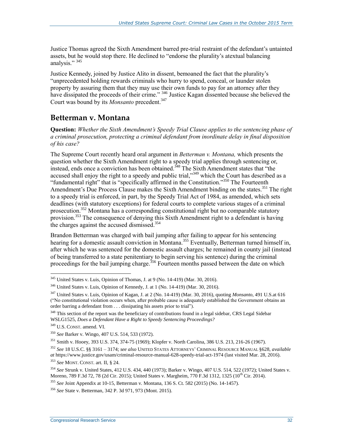Justice Thomas agreed the Sixth Amendment barred pre-trial restraint of the defendant's untainted assets, but he would stop there. He declined to "endorse the plurality's atextual balancing analysis."<sup>345</sup>

Justice Kennedy, joined by Justice Alito in dissent, bemoaned the fact that the plurality's "unprecedented holding rewards criminals who hurry to spend, conceal, or launder stolen property by assuring them that they may use their own funds to pay for an attorney after they have dissipated the proceeds of their crime." <sup>346</sup> Justice Kagan dissented because she believed the Court was bound by its *Monsanto* precedent.<sup>347</sup>

### **Betterman v. Montana**

**Question:** *Whether the Sixth Amendment's Speedy Trial Clause applies to the sentencing phase of a criminal prosecution, protecting a criminal defendant from inordinate delay in final disposition of his case?*

The Supreme Court recently heard oral argument in *Betterman v. Montana,* which presents the question whether the Sixth Amendment right to a speedy trial applies through sentencing or, instead, ends once a conviction has been obtained.<sup>348</sup> The Sixth Amendment states that "the instead, ends once a conviction has been obtained. The statu American states that the accused shall enjoy the right to a speedy and public trial,"<sup>349</sup> which the Court has described as a "fundamental right" that is "specifically affirmed in the Constitution."<sup>350</sup> The Fourteenth Amendment's Due Process Clause makes the Sixth Amendment binding on the states.<sup>351</sup> The right to a speedy trial is enforced, in part, by the Speedy Trial Act of 1984, as amended, which sets deadlines (with statutory exceptions) for federal courts to complete various stages of a criminal prosecution.<sup>352</sup> Montana has a corresponding constitutional right but no comparable statutory provision.<sup>353</sup> The consequence of denying this Sixth Amendment right to a defendant is having the charges against the accused dismissed. 354

Brandon Betterman was charged with bail jumping after failing to appear for his sentencing hearing for a domestic assault conviction in Montana.<sup>355</sup> Eventually, Betterman turned himself in, after which he was sentenced for the domestic assault charges; he remained in county jail (instead of being transferred to a state penitentiary to begin serving his sentence) during the criminal proceedings for the bail jumping charge.<sup>356</sup> Fourteen months passed between the date on which

 $\overline{a}$ 

<sup>355</sup> *See* Joint Appendix at 10-15, Betterman v. Montana, 136 S. Ct. 582 (2015) (No. 14-1457).

<sup>345</sup> United States v. Luis, Opinion of Thomas, J. at 9 (No. 14-419) (Mar. 30, 2016).

 $346$  United States v. Luis, Opinion of Kennedy, J. at 1 (No. 14-419) (Mar. 30, 2016).

<sup>347</sup> United States v. Luis, Opinion of Kagan, J. at 2 (No. 14-419) (Mar. 30, 2016), quoting *Monsanto*, 491 U.S.at 616 ("No constitutional violation occurs when, after probable cause is adequately established the Government obtains an order barring a defendant from . . . dissipating his assets prior to trial").

<sup>&</sup>lt;sup>348</sup> This section of the report was the beneficiary of contributions found in a legal sidebar, CRS Legal Sidebar WSLG1525, *Does a Defendant Have a Right to Speedy Sentencing Proceedings?*

<sup>349</sup> U.S. CONST. amend. VI.

<sup>350</sup> *See* Barker v. Wingo, 407 U.S. 514, 533 (1972).

<sup>351</sup> Smith v. Hooey, 393 U.S. 374, 374-75 (1969); Klopfer v. North Carolina, 386 U.S. 213, 216-26 (1967).

<sup>352</sup> *See* 18 U.S.C. §§ 3161 – 3174; *see also* UNITED STATES ATTORNEYS' CRIMINAL RESOURCE MANUAL §628, *available at* https://www.justice.gov/usam/criminal-resource-manual-628-speedy-trial-act-1974 (last visited Mar. 28, 2016).

<sup>353</sup> *See* MONT. CONST. art. II, § 24.

<sup>354</sup> *See* Strunk v. United States, 412 U.S. 434, 440 (1973); Barker v. Wingo, 407 U.S. 514, 522 (1972); United States v. Moreno, 789 F.3d 72, 78 (2d Cir. 2015); United States v. Margheim, 770 F.3d 1312, 1325 (10<sup>th</sup> Cir. 2014).

<sup>356</sup> *See* State v. Betterman, 342 P. 3d 971, 973 (Mont. 2015).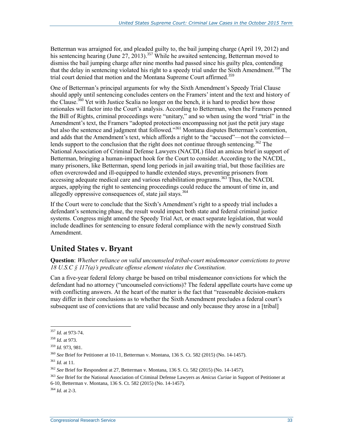Betterman was arraigned for, and pleaded guilty to, the bail jumping charge (April 19, 2012) and his sentencing hearing (June 27, 2013).<sup>357</sup> While he awaited sentencing, Betterman moved to dismiss the bail jumping charge after nine months had passed since his guilty plea, contending that the delay in sentencing violated his right to a speedy trial under the Sixth Amendment.<sup>358</sup> The trial court denied that motion and the Montana Supreme Court affirmed. 359

One of Betterman's principal arguments for why the Sixth Amendment's Speedy Trial Clause should apply until sentencing concludes centers on the Framers' intent and the text and history of the Clause.<sup>360</sup> Yet with Justice Scalia no longer on the bench, it is hard to predict how those rationales will factor into the Court's analysis. According to Betterman, when the Framers penned the Bill of Rights, criminal proceedings were "unitary," and so when using the word "trial" in the Amendment's text, the Framers "adopted protections encompassing not just the petit jury stage but also the sentence and judgment that followed."<sup>361</sup> Montana disputes Betterman's contention, and adds that the Amendment's text, which affords a right to the "accused"—not the convicted lends support to the conclusion that the right does not continue through sentencing.<sup>362</sup> The National Association of Criminal Defense Lawyers (NACDL) filed an amicus brief in support of Betterman, bringing a human-impact hook for the Court to consider. According to the NACDL, many prisoners, like Betterman, spend long periods in jail awaiting trial, but those facilities are often overcrowded and ill-equipped to handle extended stays, preventing prisoners from accessing adequate medical care and various rehabilitation programs.<sup>363</sup> Thus, the NACDL argues, applying the right to sentencing proceedings could reduce the amount of time in, and allegedly oppressive consequences of, state jail stays.<sup>364</sup>

If the Court were to conclude that the Sixth's Amendment's right to a speedy trial includes a defendant's sentencing phase, the result would impact both state and federal criminal justice systems. Congress might amend the Speedy Trial Act, or enact separate legislation, that would include deadlines for sentencing to ensure federal compliance with the newly construed Sixth Amendment.

## **United States v. Bryant**

**Question**: *Whether reliance on valid uncounseled tribal-court misdemeanor convictions to prove 18 U.S.C § 117(a)'s predicate offense element violates the Constitution.*

Can a five-year federal felony charge be based on tribal misdemeanor convictions for which the defendant had no attorney ("uncounseled convictions)? The federal appellate courts have come up with conflicting answers. At the heart of the matter is the fact that "reasonable decision-makers may differ in their conclusions as to whether the Sixth Amendment precludes a federal court's subsequent use of convictions that are valid because and only because they arose in a [tribal]

 $\overline{a}$ 

<sup>364</sup> *Id.* at 2-3.

<sup>357</sup> *Id.* at 973-74.

<sup>358</sup> *Id.* at 973.

<sup>359</sup> *Id.* 973, 981.

<sup>360</sup> *See* Brief for Petitioner at 10-11, Betterman v. Montana, 136 S. Ct. 582 (2015) (No. 14-1457).

<sup>361</sup> *Id.* at 11.

<sup>362</sup> *See* Brief for Respondent at 27, Betterman v. Montana, 136 S. Ct. 582 (2015) (No. 14-1457).

<sup>363</sup> *See* Brief for the National Association of Criminal Defense Lawyers as *Amicus Curiae* in Support of Petitioner at 6-10, Betterman v. Montana, 136 S. Ct. 582 (2015) (No. 14-1457).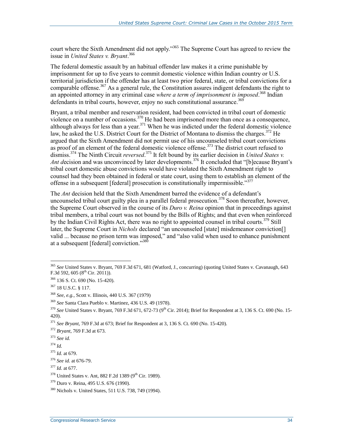court where the Sixth Amendment did not apply."<sup>365</sup> The Supreme Court has agreed to review the issue in *United States v. Bryant*. 366

The federal domestic assault by an habitual offender [law](http://uscode.house.gov/view.xhtml?req=%28title:18%20section:117%20edition:prelim%29%20OR%20%28granuleid:USC-prelim-title18-section117%29&f=treesort&edition=prelim&num=0&jumpTo=true) makes it a crime punishable by imprisonment for up to five years to commit domestic violence within Indian country or U.S. territorial jurisdiction if the offender has at least two prior federal, state, or tribal convictions for a comparable offense.<sup>367</sup> As a general rule, the Constitution assures indigent defendants the right to an appointed attorney in any criminal case *where a term of imprisonment is imposed*. <sup>368</sup> Indian defendants in tribal courts, however, enjoy no such constitutional assurance.<sup>369</sup>

Bryant, a tribal member and reservation resident, had been convicted in tribal court of domestic violence on a number of occasions.<sup>370</sup> He had been imprisoned more than once as a consequence, although always for less than a year.<sup>371</sup> When he was indicted under the federal domestic violence law, he asked the U.S. District Court for the District of Montana to dismiss the charges.<sup>372</sup> He argued that the Sixth Amendment did not permit use of his uncounseled tribal court convictions as proof of an element of the federal domestic violence offense.<sup>373</sup> The district court refused to dismiss.<sup>374</sup> The Ninth Circuit *reversed*. <sup>375</sup> It felt bound by its earlier decision in *United States v. Ant decision and was unconvinced by later developments.*<sup>376</sup> It concluded that "[b]ecause Bryant's tribal court domestic abuse convictions would have violated the Sixth Amendment right to counsel had they been obtained in federal or state court, using them to establish an element of the offense in a subsequent [federal] prosecution is constitutionally impermissible.<sup>377</sup>

The *Ant* decision held that the Sixth Amendment barred the evidence of a defendant's uncounseled tribal court guilty plea in a parallel federal prosecution.<sup>378</sup> Soon thereafter, however, the Supreme Court observed in the course of its *Duro v. Reina* opinion that in proceedings against tribal members, a tribal court was not bound by the Bills of Rights; and that even when reinforced by the Indian Civil Rights Act, there was no right to appointed counsel in tribal courts.<sup>379</sup> Still later, the Supreme Court in *Nichols* declared "an uncounseled [state] misdemeanor conviction[] valid ... because no prison term was imposed," and "also valid when used to enhance punishment at a subsequent [federal] conviction."<sup>380</sup>

<sup>365</sup> *See* United States v. Bryant, 769 F.3d 671, 681 (Watford, J., concurring) (quoting United States v. Cavanaugh, 643 F.3d 592, 605 ( $8^{th}$  Cir. 2011)).

<sup>366</sup> 136 S. Ct. 690 (No. 15-420).

<sup>367</sup> 18 U.S.C. § 117.

<sup>368</sup> *See, e.g.,* Scott v. Illinois, 440 U.S. 367 (1979)

<sup>369</sup> *See* Santa Clara Pueblo v. Martinez, 436 U.S. 49 (1978).

<sup>&</sup>lt;sup>370</sup> See United States v. Bryant, 769 F.3d 671, 672-73 (9<sup>th</sup> Cir. 2014); Brief for Respondent at 3, 136 S. Ct. 690 (No. 15-420).

<sup>371</sup> *See Bryant*, 769 F.3d at 673; Brief for Respondent at 3, 136 S. Ct. 690 (No. 15-420).

<sup>372</sup> *Bryant*, 769 F.3d at 673.

<sup>373</sup> *See id.*

<sup>374</sup> *Id.* 

<sup>375</sup> *Id.* at 679.

<sup>376</sup> *See id.* at 676-79.

<sup>377</sup> *Id.* at 677.

<sup>&</sup>lt;sup>378</sup> United States v. Ant, 882 F.2d 1389 (9<sup>th</sup> Cir. 1989).

<sup>379</sup> Duro v. Reina, 495 U.S. 676 (1990).

<sup>380</sup> Nichols v. United States, 511 U.S. 738, 749 (1994).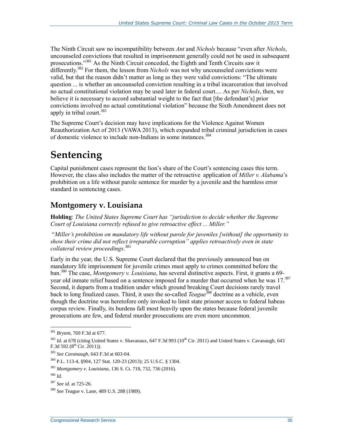The Ninth Circuit saw no incompatibility between *Ant* and *Nichols* because "even after *Nichols*, uncounseled convictions that resulted in imprisonment generally could not be used in subsequent prosecutions."<sup>381</sup> As the Ninth Circuit conceded, the Eighth and Tenth Circuits saw it differently.<sup>382</sup> For them, the lesson from *Nichols* was not why uncounseled convictions were valid, but that the reason didn't matter as long as they were valid convictions: "The ultimate question ... is whether an uncounseled conviction resulting in a tribal incarceration that involved no actual constitutional violation may be used later in federal court.... As per *Nichols*, then, we believe it is necessary to accord substantial weight to the fact that [the defendant's] prior convictions involved no actual constitutional violation" because the Sixth Amendment does not apply in tribal court.<sup>383</sup>

The Supreme Court's decision may have implications for the Violence Against Women Reauthorization Act of 2013 (VAWA 2013), which expanded tribal criminal jurisdiction in cases of domestic violence to include non-Indians in some instances.<sup>384</sup>

## **Sentencing**

Capital punishment cases represent the lion's share of the Court's sentencing cases this term. However, the class also includes the matter of the retroactive application of *Miller v. Alabama*'s prohibition on a life without parole sentence for murder by a juvenile and the harmless error standard in sentencing cases.

### **Montgomery v. Louisiana**

**Holding**: *The United States Supreme Court has "jurisdiction to decide whether the Supreme Court of Louisiana correctly refused to give retroactive effect ... Miller."*

"*Miller's prohibition on mandatory life without parole for juveniles [without] the opportunity to show their crime did not reflect irreparable corruption" applies retroactively even in state collateral review proceedings*. 385

Early in the year, the U.S. Supreme Court declared that the previously announced ban on mandatory life imprisonment for juvenile crimes must apply to crimes committed before the ban.<sup>386</sup> The case, *Montgomery v. Louisiana*, has several distinctive aspects. First, it grants a 69 year old inmate relief based on a sentence imposed for a murder that occurred when he was 17.<sup>387</sup> Second, it departs from a tradition under which ground breaking Court decisions rarely travel back to long finalized cases. Third, it uses the so-called *Teague*<sup>388</sup> doctrine as a vehicle, even though the doctrine was heretofore only invoked to limit state prisoner access to federal habeas corpus review. Finally, its burdens fall most heavily upon the states because federal juvenile prosecutions are few, and federal murder prosecutions are even more uncommon.

<sup>381</sup> *Bryant*, 769 F.3d at 677.

<sup>&</sup>lt;sup>382</sup> *Id.* at 678 (citing United States v. Shavanaux, 647 F.3d 993 (10<sup>th</sup> Cir. 2011) and United States v. Cavanaugh, 643 F.3d 592 ( $8^{th}$  Cir. 2011)).

<sup>383</sup> *See Cavanaugh*, 643 F.3d at 603-04.

<sup>384</sup> P.L. 113-4, §904, 127 Stat. 120-23 (2013); 25 U.S.C. § 1304.

<sup>385</sup> *Montgomery v. Louisiana*, 136 S. Ct. 718, 732, 736 (2016).

<sup>386</sup> *Id.* 

<sup>387</sup> *See id.* at 725-26.

<sup>388</sup> *See* Teague v. Lane, 489 U.S. 288 (1989).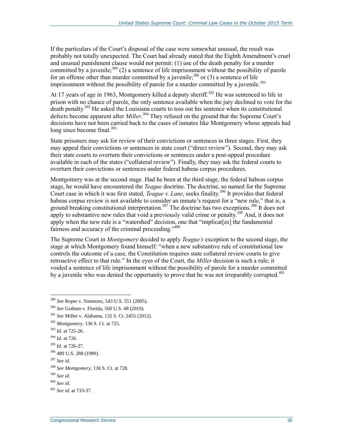If the particulars of the Court's disposal of the case were somewhat unusual, the result was probably not totally unexpected. The Court had already stated that the Eighth Amendment's cruel and unusual punishment clause would not permit: (1) use of the death penalty for a murder committed by a juvenile;<sup>389</sup> (2) a sentence of life imprisonment without the possibility of parole for an offense other than murder committed by a juvenile;<sup>390</sup> or  $(3)$  a sentence of life imprisonment without the possibility of parole for a murder committed by a juvenile.<sup>391</sup>

At 17 years of age in 1963, Montgomery killed a deputy sheriff.<sup>392</sup> He was sentenced to life in prison with no chance of parole, the only sentence available when the jury declined to vote for the death penalty.<sup>393</sup> He asked the Louisiana courts to toss out his sentence when its constitutional defects become apparent after *Miller*. <sup>394</sup> They refused on the ground that the Supreme Court's decisions have not been carried back to the cases of inmates like Montgomery whose appeals had long since become final.<sup>395</sup>

State prisoners may ask for review of their convictions or sentences in three stages. First, they may appeal their convictions or sentences in state court ("direct review"). Second, they may ask their state courts to overturn their convictions or sentences under a post-appeal procedure available in each of the states ("collateral review"). Finally, they may ask the federal courts to overturn their convictions or sentences under federal habeas corpus procedures.

Montgomery was at the second stage. Had he been at the third stage, the federal habeas corpus stage, he would have encountered the *Teague* doctrine. The doctrine, so named for the Supreme Court case in which it was first stated, *Teague v. Lane*, seeks finality.<sup>396</sup> It provides that federal habeas corpus review is not available to consider an inmate's request for a "new rule," that is, a ground breaking constitutional interpretation.<sup>397</sup> The doctrine has two exceptions.<sup>398</sup> It does not apply to substantive new rules that void a previously valid crime or penalty.<sup>399</sup> And, it does not apply when the new rule is a "watershed" decision, one that "implicat[es] the fundamental fairness and accuracy of the criminal proceeding."<sup>400</sup>

The Supreme Court in *Montgomery* decided to apply *Teague's* exception to the second stage, the stage at which Montgomery found himself: "when a new substantive rule of constitutional law controls the outcome of a case, the Constitution requires state collateral review courts to give retroactive effect to that rule." In the eyes of the Court, the *Miller* decision is such a rule; it voided a sentence of life imprisonment without the possibility of parole for a murder committed by a juvenile who was denied the opportunity to prove that he was not irreparably corrupted.<sup>401</sup>

<sup>389</sup> *See* Roper v. Simmons, 543 U.S. 551 (2005).

<sup>390</sup> *See* Graham v. Florida, 560 U.S. 48 (2010).

<sup>391</sup> *See* Miller v. Alabama, 132 S. Ct. 2455 (2012).

<sup>392</sup> *Montgomery*, 136 S. Ct. at 725.

<sup>393</sup> *Id.* at 725-26.

<sup>394</sup> *Id.* at 726.

<sup>395</sup> *Id.* at 726-27.

<sup>396</sup> 489 U.S. 288 (1989).

<sup>397</sup> *See id.* 

<sup>398</sup> *See Montgomery,* 136 S. Ct. at 728.

<sup>399</sup> *See id*.

<sup>400</sup> *See id.* 

<sup>401</sup> *See id.* at 733-37.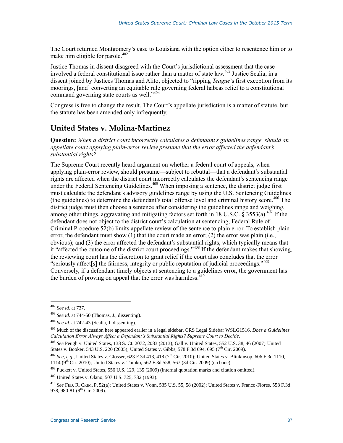The Court returned Montgomery's case to Louisiana with the option either to resentence him or to make him eligible for parole.<sup>402</sup>

Justice Thomas in dissent disagreed with the Court's jurisdictional assessment that the case involved a federal constitutional issue rather than a matter of state  $law<sup>403</sup>$  Justice Scalia, in a dissent joined by Justices Thomas and Alito, objected to "ripping *Teague*'s first exception from its moorings, [and] converting an equitable rule governing federal habeas relief to a constitutional command governing state courts as well."<sup>404</sup>

Congress is free to change the result. The Court's appellate jurisdiction is a matter of statute, but the statute has been amended only infrequently.

### **United States v. Molina-Martinez**

**Question:** *When a district court incorrectly calculates a defendant's guidelines range, should an appellate court applying plain-error review presume that the error affected the defendant's substantial rights?*

The Supreme Court recently heard argument on whether a federal court of appeals, when applying plain-error review, should presume—subject to rebuttal—that a defendant's substantial rights are affected when the district court incorrectly calculates the defendant's sentencing range under the Federal Sentencing Guidelines.<sup>405</sup> When imposing a sentence, the district judge first must calculate the defendant's advisory guidelines range by using the U.S. Sentencing Guidelines (the guidelines) to determine the defendant's total offense level and criminal history score.<sup>406</sup> The district judge must then choose a sentence after considering the guidelines range and weighing, among other things, aggravating and mitigating factors set forth in 18 U.S.C.  $\frac{8}{9}$  3553(a).<sup>407</sup> If the defendant does not object to the district court's calculation at sentencing, Federal Rule of Criminal Procedure 52(b) limits appellate review of the sentence to plain error. To establish plain error, the defendant must show (1) that the court made an error; (2) the error was plain (i.e., obvious); and (3) the error affected the defendant's substantial rights, which typically means that it "affected the outcome of the district court proceedings."<sup>408</sup> If the defendant makes that showing, the reviewing court has the discretion to grant relief if the court also concludes that the error "seriously affect[s] the fairness, integrity or public reputation of judicial proceedings."<sup>409</sup> Conversely, if a defendant timely objects at sentencing to a guidelines error, the government has the burden of proving on appeal that the error [was](https://scholar.google.com/scholar_case?q=us+v.+franco-flores&hl=en&as_sdt=20006&as_vis=1&case=4227647695888023972&scilh=0) harmless.<sup>410</sup>

<sup>402</sup> *See id.* at 737.

<sup>403</sup> *See id.* at 744-50 (Thomas, J., dissenting).

<sup>404</sup> *See id.* at 742-43 (Scalia, J. dissenting).

<sup>405</sup> Much of the discussion here appeared earlier in a legal sidebar, CRS Legal Sidebar WSLG1516, *Does a Guidelines Calculation Error Always Affect a Defendant's Substantial Rights? Supreme Court to Decide*.

<sup>406</sup> *See* Peugh v. United States, 133 S. Ct. 2072, 2083 (2013); Gall v. United States, 552 U.S. 38, 46 (2007) United States v. Booker, 543 U.S. 220 (2005); United States v. Gibbs, 578 F.3d 694, 695 (7<sup>th</sup> Cir. 2009).

<sup>&</sup>lt;sup>407</sup> *See, e.g., United States v. Glosser, 623 F.3d 413, 418* ( $7<sup>th</sup>$  Cir. 2010); United States v. Blinkinsop, 606 F.3d 1110, 1114 (9th Cir. 2010); United States v. Tomko, 562 F.3d 558, 567 (3d Cir. 2009) (en banc).

<sup>408</sup> Puckett v. United States, 556 U.S. 129, 135 (2009) (internal quotation marks and citation omitted).

<sup>409</sup> United States v. Olano, 507 U.S. 725, 732 (1993).

<sup>410</sup> *See* FED. R. CRIM. P. 52(a); United States v. Vonn, 535 U.S. 55, 58 (2002); United States v. Franco-Flores, 558 F.3d 978, 980-81 (9<sup>th</sup> Cir. 2009).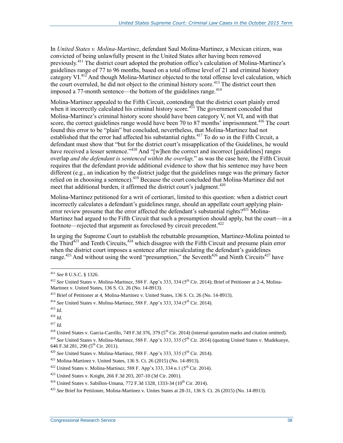In *United States v. Molina-Martinez*, defendant Saul Molina-Martinez, a Mexican citizen, was convicted of being unlawfully present in the United States after having been removed previously.<sup>411</sup> The district court adopted the probation office's calculation of Molina-Martinez's guidelines range of 77 to 96 months, based on a total offense level of 21 and criminal history category VI. $^{412}$  And though Molina-Martinez objected to the total offense level calculation, which the court overruled, he did not object to the criminal history score.<sup>413</sup> The district court then imposed a 77-month sentence—the bottom of the guidelines range.<sup>414</sup>

Molina-Martinez appealed to the Fifth Circuit, contending that the district court plainly erred when it incorrectly calculated his criminal history score.<sup>415</sup> The government conceded that Molina-Martinez's criminal history score should have been category V, not VI, and with that score, the correct guidelines range would have been 70 to 87 months' imprisonment.<sup>416</sup> The court found this error to be "plain" but concluded, nevertheless, that Molina-Martinez had not established that the error had affected his substantial rights.<sup>417</sup> To do so in the Fifth Circuit, a defendant must show that "but for the district court's misapplication of the Guidelines, he would have received a lesser sentence."<sup>418</sup> And "[w]hen the correct and incorrect [guidelines] ranges overlap *and the defendant is sentenced within the overlap,*" as was the case here, the Fifth Circuit requires that the defendant provide additional evidence to show that his sentence may have been different (e.g., an indication by the district judge that the guidelines range was the primary factor relied on in choosing a sentence).<sup>419</sup> Because the court concluded that Molina-Martinez did not meet that additional burden, it affirmed the district court's judgment.<sup>420</sup>

Molina-Martinez petitioned for a writ of certiorari, limited to this question: when a district court incorrectly calculates a defendant's guidelines range, should an appellate court applying plainerror review presume that the error affected the defendant's substantial rights? $421$  Molina-Martinez had argued to the Fifth Circuit that such a presumption should apply, but the court—in a footnote—rejected that argument as foreclosed by circuit precedent.<sup>422</sup>

In urging the Supreme Court to establish the rebuttable presumption, Martinez-Molina pointed to the Third<sup>423</sup> and Tenth Circuits,<sup>424</sup> which disagree with the Fifth Circuit and presume plain error when the district court imposes a sentence after miscalculating the defendant's guidelines range.<sup>425</sup> And without using the word "presumption," the Seventh<sup>426</sup> and Ninth Circuits<sup>427</sup> have

<sup>411</sup> *See* 8 U.S.C. § 1326.

<sup>&</sup>lt;sup>412</sup> *See* United States v. Molina-Martinez, 588 F. App'x 333, 334 (5<sup>th</sup> Cir. 2014); Brief of Petitioner at 2-4, Molina-Martinez v. United States, 136 S. Ct. 26 (No. 14-8913).

<sup>413</sup> Brief of Petitioner at 4, Molina-Martinez v. United States, 136 S. Ct. 26 (No. 14-8913).

<sup>&</sup>lt;sup>414</sup> *See* United States v. Molina-Martinez, 588 F. App'x 333, 334 (5<sup>th</sup> Cir. 2014).

 $415$  *Id.* 

<sup>416</sup> *Id.*

<sup>417</sup> *Id.* 

<sup>&</sup>lt;sup>418</sup> United States v. Garcia-Carrillo, 749 F.3d 376, 379 ( $5<sup>th</sup>$  Cir. 2014) (internal quotation marks and citation omitted).

<sup>&</sup>lt;sup>419</sup> See United States v. Molina-Martinez, 588 F. App'x 333, 335 (5<sup>th</sup> Cir. 2014) (quoting United States v. Mudekunye, 646 F.3d 281, 290 (5<sup>th</sup> Cir. 2011).

<sup>&</sup>lt;sup>420</sup> *See* United States v. Molina-Martinez, 588 F. App'x 333, 335 (5<sup>th</sup> Cir. 2014).

 $421$  Molina-Martinez v. United States, 136 S. Ct. 26 (2015) (No. 14-8913).

 $422$  United States v. Molina-Martinez, 588 F. App'x 333, 334 n.1 (5<sup>th</sup> Cir. 2014).

<sup>423</sup> United States v. Knight, 266 F.3d 203, 207-10 (3d Cir. 2001).

 $424$  United States v. Sabillon-Umana, 772 F.3d 1328, 1333-34 ( $10^{th}$  Cir. 2014).

<sup>425</sup> *See* Brief for Petitioner, Molina-Martinez v. Unites States at 28-31, 136 S. Ct. 26 (2015) (No. 14-8913).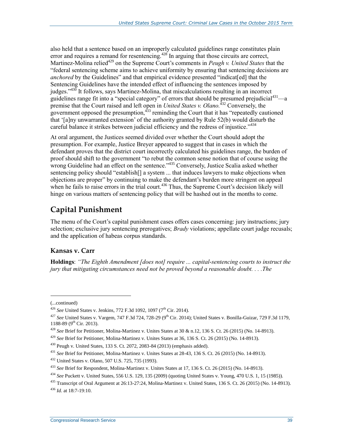also held that a sentence based on an improperly calculated guidelines range constitutes plain error and requires a remand for resentencing.<sup>428</sup> In arguing that those circuits are correct, Martinez-Molina relied<sup>429</sup> on the Supreme Court's comments in *Peugh v. United States* that the "federal sentencing scheme aims to achieve uniformity by ensuring that sentencing decisions are *anchored* by the Guidelines" and that empirical evidence presented "indicat[ed] that the Sentencing Guidelines have the intended effect of influencing the sentences imposed by judges."<sup>430</sup> It follows, says Martinez-Molina, that miscalculations resulting in an incorrect guidelines range fit into a "special category" of errors that should be presumed prejudicial<sup>431</sup>—a premise that the Court raised and left open in *United States v. Olano.* <sup>432</sup> Conversely, the government opposed the presumption, $433$  reminding the Court that it has "repeatedly cautioned that '[a]ny unwarranted extension' of the authority granted by Rule 52(b) would disturb the careful balance it strikes between judicial efficiency and the redress of injustice.<sup>3434</sup>

At oral argument, the Justices seemed divided over whether the Court should adopt the presumption. For example, Justice Breyer appeared to suggest that in cases in which the defendant proves that the district court incorrectly calculated his guidelines range, the burden of proof should shift to the government "to rebut the common sense notion that of course using the wrong Guideline had an effect on the sentence."<sup>435</sup> Conversely, Justice Scalia asked whether sentencing policy should "establish[] a system ... that induces lawyers to make objections when objections are proper" by continuing to make the defendant's burden more stringent on appeal when he fails to raise errors in the trial court.<sup> $436$ </sup> Thus, the Supreme Court's decision likely will hinge on various matters of sentencing policy that will be hashed out in the months to come.

## **Capital Punishment**

The menu of the Court's capital punishment cases offers cases concerning: jury instructions; jury selection; exclusive jury sentencing prerogatives; *Brady* violations; appellate court judge recusals; and the application of habeas corpus standards.

### **Kansas v. Carr**

**Holdings**: *"The Eighth Amendment [does not] require ... capital-sentencing courts to instruct the jury that mitigating circumstances need not be proved beyond a reasonable doubt. . . .The* 

<sup>(...</sup>continued)

<sup>&</sup>lt;sup>426</sup> *See* United States v. Jenkins, 772 F.3d 1092, 1097 (7<sup>th</sup> Cir. 2014).

<sup>&</sup>lt;sup>427</sup> See United States v. Vargem, 747 F.3d 724, 728-29 (9<sup>th</sup> Cir. 2014); United States v. Bonilla-Guizar, 729 F.3d 1179, 1188-89 (9<sup>th</sup> Cir. 2013).

<sup>428</sup> *See* Brief for Petitioner, Molina-Martinez v. Unites States at 30 & n.12, 136 S. Ct. 26 (2015) (No. 14-8913).

<sup>429</sup> *See* Brief for Petitioner, Molina-Martinez v. Unites States at 36, 136 S. Ct. 26 (2015) (No. 14-8913).

 $430$  Peugh v. United States, 133 S. Ct. 2072, 2083-84 (2013) (emphasis added).

<sup>431</sup> *See* Brief for Petitioner, Molina-Martinez v. Unites States at 28-43, 136 S. Ct. 26 (2015) (No. 14-8913).

<sup>432</sup> United States v. Olano, 507 U.S. 725, 735 (1993).

<sup>433</sup> *See* Brief for Respondent, Molina-Martinez v. Unites States at 17, 136 S. Ct. 26 (2015) (No. 14-8913).

<sup>434</sup> *See* Puckett v. United States, 556 U.S. 129, 135 (2009) (quoting United States v. Young, 470 U.S. 1, 15 (1985)).

<sup>435</sup> Transcript of Oral Argument at  $26:13-27:24$ , Molina-Martinez v. United States, 136 S. Ct. 26 (2015) (No. 14-8913). <sup>436</sup> *Id.* at 18:7-19:10.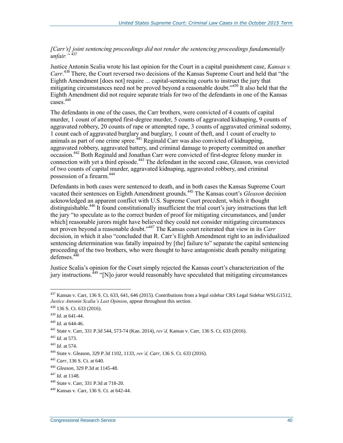#### *[Carr's] joint sentencing proceedings did not render the sentencing proceedings fundamentally unfair."* <sup>437</sup>

Justice Antonin Scalia wrote his last opinion for the Court in a capital punishment case, *Kansas v. Carr*. <sup>438</sup> There, the Court reversed two decisions of the Kansas Supreme Court and held that "the Eighth Amendment [does not] require ... capital-sentencing courts to instruct the jury that mitigating circumstances need not be proved beyond a reasonable doubt."<sup>439</sup> It also held that the Eighth Amendment did not require separate trials for two of the defendants in one of the Kansas cases.<sup>440</sup>

The defendants in one of the cases, the Carr brothers, were convicted of 4 counts of capital murder, 1 count of attempted first-degree murder, 5 counts of aggravated kidnaping, 9 counts of aggravated robbery, 20 counts of rape or attempted rape, 3 counts of aggravated criminal sodomy, 1 count each of aggravated burglary and burglary, 1 count of theft, and 1 count of cruelty to animals as part of one crime spree.<sup>441</sup> Reginald Carr was also convicted of kidnapping, aggravated robbery, aggravated battery, and criminal damage to property committed on another occasion.<sup>442</sup> Both Reginald and Jonathan Carr were convicted of first-degree felony murder in connection with yet a third episode.<sup>443</sup> The defendant in the second case, Gleason, was convicted of two counts of capital murder, aggravated kidnaping, aggravated robbery, and criminal possession of a firearm.<sup>444</sup>

Defendants in both cases were sentenced to death, and in both cases the Kansas Supreme Court vacated their sentences on Eighth Amendment grounds.<sup>445</sup> The Kansas court's *Gleason* decision acknowledged an apparent conflict with U.S. Supreme Court precedent, which it thought distinguishable.<sup>446</sup> It found constitutionally insufficient the trial court's jury instructions that left the jury "to speculate as to the correct burden of proof for mitigating circumstances, and [under which] reasonable jurors might have believed they could not consider mitigating circumstances not proven beyond a reasonable doubt."<sup>447</sup> The Kansas court reiterated that view in its *Carr* decision, in which it also "concluded that R. Carr's Eighth Amendment right to an individualized sentencing determination was fatally impaired by [the] failure to" separate the capital sentencing proceeding of the two brothers, who were thought to have antagonistic death penalty mitigating  $\det$ defenses<sup>448</sup>

Justice Scalia's opinion for the Court simply rejected the Kansas court's characterization of the jury instructions.<sup> $449$ </sup> "[N]o juror would reasonably have speculated that mitigating circumstances

 $437$  Kansas v. Carr, 136 S. Ct. 633, 641, 646 (2015). Contributions from a legal sidebar CRS Legal Sidebar WSLG1512, *Justice Antonin Scalia's Last Opinion*, appear throughout this section.

<sup>438</sup> 136 S. Ct. 633 (2016).

<sup>439</sup> *Id.* at 641-44.

<sup>440</sup> *Id.* at 644-46.

<sup>441</sup> State v. Carr, 331 P.3d 544, 573-74 (Kan. 2014), *rev'd,* Kansas v. Carr, 136 S. Ct. 633 (2016).

<sup>442</sup> *Id.* at 573.

<sup>443</sup> *Id.* at 574.

<sup>444</sup> State v. Gleason, 329 P.3d 1102, 1133, *rev'd, Carr*, 136 S. Ct. 633 (2016).

<sup>445</sup> *Carr*, 136 S. Ct. at 640.

<sup>446</sup> *Gleason,* 329 P.3d at 1145-48.

<sup>447</sup> *Id.* at 1148.

<sup>448</sup> State v. Carr, 331 P.3d at 718-20.

<sup>449</sup> Kansas v. Carr, 136 S. Ct. at 642-44.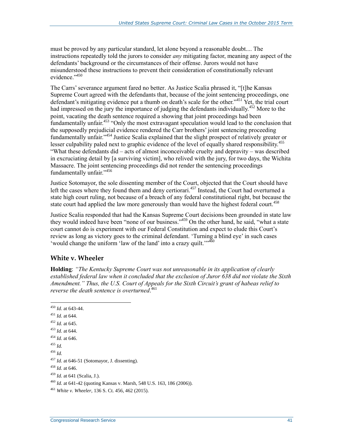must be proved by any particular standard, let alone beyond a reasonable doubt.... The instructions repeatedly told the jurors to consider *any* mitigating factor, meaning any aspect of the defendants' background or the circumstances of their offense. Jurors would not have misunderstood these instructions to prevent their consideration of constitutionally relevant evidence."<sup>450</sup>

The Carrs' severance argument fared no better. As Justice Scalia phrased it, "[t]he Kansas Supreme Court agreed with the defendants that, because of the joint sentencing proceedings, one defendant's mitigating evidence put a thumb on death's scale for the other."<sup>451</sup> Yet, the trial court had impressed on the jury the importance of judging the defendants individually.<sup>452</sup> More to the point, vacating the death sentence required a showing that joint proceedings had been fundamentally unfair.<sup>453</sup> "Only the most extravagant speculation would lead to the conclusion that the supposedly prejudicial evidence rendered the Carr brothers' joint sentencing proceeding fundamentally unfair."<sup>454</sup> Justice Scalia explained that the slight prospect of relatively greater or lesser culpability paled next to graphic evidence of the level of equally shared responsibility.<sup>455</sup> "What these defendants did – acts of almost inconceivable cruelty and depravity – was described in excruciating detail by [a surviving victim], who relived with the jury, for two days, the Wichita Massacre. The joint sentencing proceedings did not render the sentencing proceedings fundamentally unfair."<sup>456</sup>

Justice Sotomayor, the sole dissenting member of the Court, objected that the Court should have left the cases where they found them and deny certiorari.<sup>457</sup> Instead, the Court had overturned a state high court ruling, not because of a breach of any federal constitutional right, but because the state court had applied the law more generously than would have the highest federal court.<sup>458</sup>

Justice Scalia responded that had the Kansas Supreme Court decisions been grounded in state law they would indeed have been "none of our business."<sup>459</sup> On the other hand, he said, "what a state" court cannot do is experiment with our Federal Constitution and expect to elude this Court's review as long as victory goes to the criminal defendant. 'Turning a blind eye' in such cases 'would change the uniform 'law of the land' into a crazy quilt.'"<sup>460</sup>

### **White v. Wheeler**

**Holding**: *"The Kentucky Supreme Court was not unreasonable in its application of clearly established federal law when it concluded that the exclusion of Juror 638 did not violate the Sixth Amendment." Thus, the U.S. Court of Appeals for the Sixth Circuit's grant of habeas relief to reverse the death sentence is overturned*. 461

- <sup>451</sup> *Id.* at 644.
- <sup>452</sup> *Id.* at 645.
- <sup>453</sup> *Id.* at 644.

- $455$  *Id.*
- <sup>456</sup> *Id.*

<sup>458</sup> *Id.* at 646.

 $\overline{a}$ <sup>450</sup> *Id.* at 643-44.

<sup>454</sup> *Id.* at 646.

<sup>457</sup> *Id.* at 646-51 (Sotomayor, J. dissenting).

<sup>459</sup> *Id.* at 641 (Scalia, J.).

<sup>460</sup> *Id.* at 641-42 (quoting Kansas v. Marsh, 548 U.S. 163, 186 (2006)).

<sup>461</sup> *White v. Wheeler*, 136 S. Ct. 456, 462 (2015).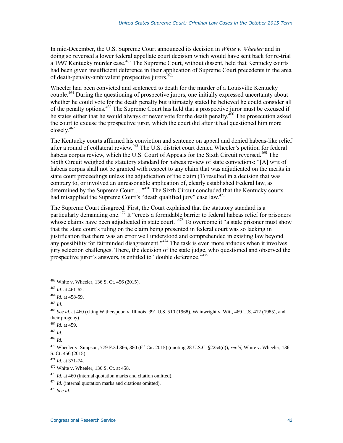In mid-December, the U.S. Supreme Court announced its decision in *White v. Wheeler* and in doing so reversed a lower federal appellate court decision which would have sent back for re-trial a 1997 Kentucky murder case.<sup>462</sup> The Supreme Court, without dissent, held that Kentucky courts had been given insufficient deference in their application of Supreme Court precedents in the area of death-penalty-ambivalent prospective jurors. $463$ 

Wheeler had been convicted and sentenced to death for the murder of a Louisville Kentucky couple.<sup>464</sup> During the questioning of prospective jurors, one initially expressed uncertainty about whether he could vote for the death penalty but ultimately stated he believed he could consider all of the penalty options.<sup>465</sup> The Supreme Court has held that a prospective juror must be excused if he states either that he would always or never vote for the death penalty.<sup>466</sup> The prosecution asked the court to excuse the prospective juror, which the court did after it had questioned him more closely.<sup>467</sup>

The Kentucky courts affirmed his conviction and sentence on appeal and denied habeas-like relief after a round of collateral review.<sup>468</sup> The U.S. district court denied Wheeler's petition for federal habeas corpus review, which the U.S. Court of Appeals for the Sixth Circuit reversed.<sup>469</sup> The Sixth Circuit weighed the statutory standard for habeas review of state convictions: "[A] writ of habeas corpus shall not be granted with respect to any claim that was adjudicated on the merits in state court proceedings unless the adjudication of the claim (1) resulted in a decision that was contrary to, or involved an unreasonable application of, clearly established Federal law, as determined by the Supreme Court....<sup>1470</sup> The Sixth Circuit concluded that the Kentucky courts had misapplied the Supreme Court's "death qualified jury" case law.<sup>471</sup>

The Supreme Court disagreed. First, the Court explained that the statutory standard is a particularly demanding one.<sup>472</sup> It "erects a formidable barrier to federal habeas relief for prisoners whose claims have been adjudicated in state court."<sup>473</sup> To overcome it "a state prisoner must show that the state court's ruling on the claim being presented in federal court was so lacking in justification that there was an error well understood and comprehended in existing law beyond any possibility for fairminded disagreement."<sup>474</sup> The task is even more arduous when it involves jury selection challenges. There, the decision of the state judge, who questioned and observed the prospective juror's answers, is entitled to "double deference."<sup>475</sup>

 $462$  White v. Wheeler, 136 S. Ct. 456 (2015).

<sup>463</sup> *Id.* at 461-62.

<sup>464</sup> *Id.* at 458-59.

<sup>465</sup> *Id.* 

<sup>466</sup> *See id.* at 460 (citing Witherspoon v. Illinois, 391 U.S. 510 (1968), Wainwright v. Witt, 469 U.S. 412 (1985), and their progeny).

<sup>467</sup> *Id.* at 459.

<sup>468</sup> *Id.* 

<sup>469</sup> *Id.* 

 $470$  Wheeler v. Simpson, 779 F.3d 366, 380 (6<sup>th</sup> Cir. 2015) (quoting 28 U.S.C. §2254(d)), *rev'd*, White v. Wheeler, 136 S. Ct. 456 (2015).

<sup>471</sup> *Id.* at 371-74.

 $472$  White v. Wheeler, 136 S. Ct. at 458.

<sup>473</sup> *Id.* at 460 (internal quotation marks and citation omitted).

<sup>474</sup> *Id.* (internal quotation marks and citations omitted).

<sup>475</sup> *See id.*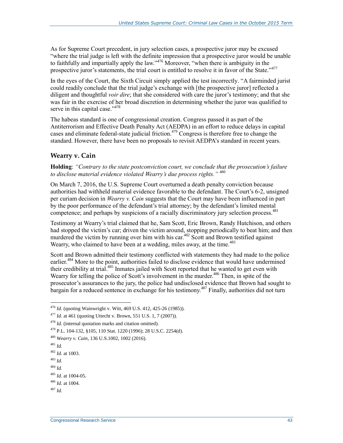As for Supreme [Court](http://www.supremecourt.gov/opinions/15pdf/14-1372_1p23.pdf) precedent, in jury selection cases, a prospective juror may be excused "where the trial judge is left with the definite impression that a prospective juror would be unable to faithfully and impartially apply the law."<sup>476</sup> Moreover, "when there is ambiguity in the prospective juror's statements, the trial court is entitled to resolve it in favor of the State."<sup>477</sup>

In the eyes of the Court, the Sixth Circuit simply applied the test incorrectly. "A fairminded jurist could readily conclude that the trial judge's exchange with [the prospective juror] reflected a diligent and thoughtful *voir dire*; that she considered with care the juror's testimony; and that she was fair in the exercise of her broad discretion in determining whether the juror was qualified to serve in this capital case."<sup>478</sup>

The habeas standard is one of congressional creation. Congress passed it as part of the Antiterrorism and Effective Death Penalty Act (AEDPA) in an effort to reduce delays in capital cases and eliminate federal-state judicial friction.<sup>479</sup> Congress is therefore free to change the standard. However, there have been no proposals to revisit AEDPA's standard in recent years.

### **Wearry v. Cain**

**Holding**: *"Contrary to the state postconviction court, we conclude that the prosecution's failure to disclose material evidence violated Wearry's due process rights."* <sup>480</sup>

On March 7, 2016, the U.S. Supreme Court overturned a death penalty conviction because authorities had withheld material evidence favorable to the defendant. The Court's 6-2, unsigned per curiam decision in *[Wearry v. Cain](http://www.supremecourt.gov/opinions/15pdf/14-10008_k537.pdf)* suggests that the Court may have been influenced in part by the poor performance of the defendant's trial attorney; by the defendant's limited mental competence; and perhaps by suspicions of a racially discriminatory jury selection process.<sup>481</sup>

Testimony at Wearry's trial claimed that he, Sam Scott, Eric Brown, Randy Hutchison, and others had stopped the victim's car; driven the victim around, stopping periodically to beat him; and then murdered the victim by running over him with his car.<sup>482</sup> Scott and Brown testified against Wearry, who claimed to have been at a wedding, miles away, at the time.<sup>483</sup>

Scott and Brown admitted their testimony conflicted with statements they had made to the police earlier.<sup>484</sup> More to the point, authorities failed to disclose evidence that would have undermined their credibility at trial.<sup>485</sup> Inmates jailed with Scott reported that he wanted to get even with Wearry for telling the police of Scott's involvement in the murder.<sup>486</sup> Then, in spite of the prosecutor's assurances to the jury, the police had undisclosed evidence that Brown had sought to bargain for a reduced sentence in exchange for his testimony.<sup>487</sup> Finally, authorities did not turn

<sup>481</sup> *Id.*

 $\overline{a}$ 

<sup>483</sup> *Id.* 

<sup>476</sup> *Id.* (quoting Wainwright v. Witt, 469 U.S. 412, 425-26 (1985)).

<sup>477</sup> *Id.* at 461 (quoting Uttecht v. Brown, 551 U.S. 1, 7 (2007)).

<sup>478</sup> *Id.* (internal quotation marks and citation omitted).

<sup>479</sup> P.L. 104-132, §105, 110 Stat. 1220 (1996); 28 U.S.C. 2254(d).

<sup>480</sup> *Wearry v. Cain*, 136 U.S.1002, 1002 (2016).

<sup>482</sup> *Id.* at 1003.

<sup>484</sup> *Id.* 

<sup>485</sup> *Id.* at 1004-05.

<sup>486</sup> *Id.* at 1004.

<sup>487</sup> *Id.*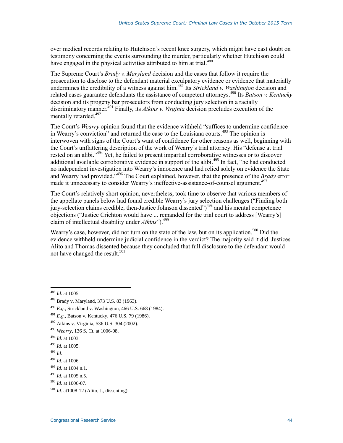over medical records relating to Hutchison's recent knee surgery, which might have cast doubt on testimony concerning the events surrounding the murder, particularly whether Hutchison could have engaged in the physical activities attributed to him at trial.<sup>488</sup>

The Supreme Court's *Brady v. Maryland* decision and the cases that follow it require the prosecution to disclose to the defendant material exculpatory evidence or evidence that materially undermines the credibility of a witness against him.<sup>489</sup> Its *Strickland v. Washington* decision and related cases guarantee defendants the assistance of competent attorneys.<sup>490</sup> Its *[Batson v. Kentucky](https://supreme.justia.com/cases/federal/us/476/79/case.html)* decision and its progeny bar prosecutors from conducting jury selection in a racially discriminatory manner.<sup>491</sup> Finally, its *Atkins v. Virginia* decision precludes execution of the mentally retarded.<sup>492</sup>

The Court's *Wearry* opinion found that the evidence withheld "suffices to undermine confidence in Wearry's conviction" and returned the case to the Louisiana courts.<sup>493</sup> The opinion is interwoven with signs of the Court's want of confidence for other reasons as well, beginning with the Court's unflattering description of the work of Wearry's trial attorney. His "defense at trial rested on an alibi."<sup>494</sup> Yet, he failed to present impartial corroborative witnesses or to discover additional available corroborative evidence in support of the alibi.<sup>495</sup> In fact, "he had conducted no independent investigation into Wearry's innocence and had relied solely on evidence the State and Wearry had provided."<sup>496</sup> The Court explained, however, that the presence of the *Brady* error made it unnecessary to consider Wearry's ineffective-assistance-of-counsel argument.<sup>497</sup>

The Court's relatively short opinion, nevertheless, took time to observe that various members of the appellate panels below had found credible Wearry's jury selection challenges ("Finding both jury-selection claims credible, then-Justice Johnson dissented")<sup>498</sup> and his mental competence objections ("Justice Crichton would have ... remanded for the trial court to address [Wearry's] claim of intellectual disability under *Atkins*").<sup>499</sup>

Wearry's case, however, did not turn on the state of the law, but on its application.<sup>500</sup> Did the evidence withheld undermine judicial confidence in the verdict? The majority said it did. Justices Alito and Thomas dissented because they concluded that full disclosure to the defendant would not have changed the result.<sup>501</sup>

 $\overline{a}$ 

<sup>496</sup> *Id.* 

<sup>488</sup> *Id.* at 1005.

<sup>489</sup> Brady v. Maryland, 373 U.S. 83 (1963).

<sup>490</sup> *E.g.,* Strickland v. Washington, 466 U.S. 668 (1984).

<sup>491</sup> *E.g.,* Batson v. Kentucky, 476 U.S. 79 (1986).

<sup>492</sup> Atkins v. Virginia, 536 U.S. 304 (2002).

<sup>493</sup> *Wearry,* 136 S. Ct. at 1006-08.

<sup>494</sup> *Id.* at 1003.

<sup>495</sup> *Id.* at 1005.

<sup>497</sup> *Id.* at 1006.

<sup>498</sup> *Id.* at 1004 n.1.

<sup>499</sup> *Id.* at 1005 n.5.

<sup>500</sup> *Id.* at 1006-07.

<sup>501</sup> *Id.* at1008-12 (Alito, J., dissenting).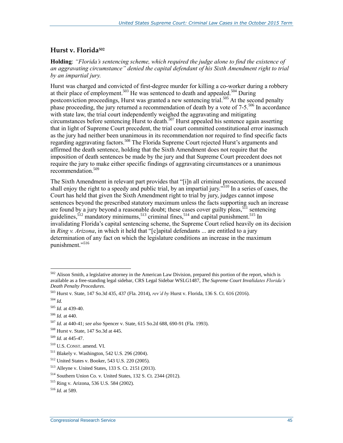#### **Hurst v. Florida<sup>502</sup>**

**Holding**: *"Florida's sentencing scheme, which required the judge alone to find the existence of an aggravating circumstance" denied the capital defendant of his Sixth Amendment right to trial by an impartial jury.*

Hurst was charged and convicted of first-degree murder for killing a co-worker during a robbery at their place of employment.<sup>503</sup> He was sentenced to death and appealed.<sup>504</sup> During postconviction proceedings, Hurst was granted a new sentencing trial.<sup>505</sup> At the second penalty phase proceeding, the jury returned a recommendation of death by a vote of  $7-5$ .<sup>506</sup> In accordance with state law, the trial court independently weighed the aggravating and mitigating circumstances before sentencing Hurst to death.<sup>507</sup> Hurst appealed his sentence again asserting that in light of Supreme Court precedent, the trial court committed constitutional error inasmuch as the jury had neither been unanimous in its recommendation nor required to find specific facts regarding aggravating factors.<sup>508</sup> The Florida Supreme Court rejected Hurst's arguments and affirmed the death sentence, holding that the Sixth Amendment does not require that the imposition of death sentences be made by the jury and that Supreme Court precedent does not require the jury to make either specific findings of aggravating circumstances or a unanimous recommendation.<sup>509</sup>

The Sixth Amendment in relevant part provides that "[i]n all criminal prosecutions, the accused shall enjoy the right to a speedy and public trial, by an impartial jury.<sup> $510$ </sup> In a series of cases, the Court has held that given the Sixth Amendment right to trial by jury, judges cannot impose sentences beyond the prescribed statutory maximum unless the facts supporting such an increase are found by a jury beyond a reasonable doubt; these cases cover guilty pleas, <sup>511</sup> sentencing guidelines,  $512$  mandatory minimums,  $513$  criminal fines,  $514$  and capital punishment.  $515$  In invalidating Florida's capital sentencing scheme, the Supreme Court relied heavily on its decision in *Ring v. Arizona*, in which it held that "[c]apital defendants ... are entitled to a jury determination of any fact on which the legislature conditions an increase in the maximum punishment."<sup>516</sup>

 $502$  Alison Smith, a legislative attorney in the American Law Division, prepared this portion of the report, which is available as a free-standing legal sidebar, CRS Legal Sidebar WSLG1487, *The Supreme Court Invalidates Florida's Death Penalty Procedures*.

<sup>503</sup> Hurst v. State, 147 So.3d 435, 437 (Fla. 2014), *rev'd by* Hurst v. Florida, 136 S. Ct. 616 (2016).

<sup>504</sup> *Id.* 

<sup>505</sup> *Id.* at 439-40.

<sup>506</sup> *Id.* at 440.

<sup>507</sup> *Id.* at 440-41; *see also* Spencer v. State, 615 So.2d 688, 690-91 (Fla. 1993).

<sup>508</sup> Hurst v. State, 147 So.3d at 445.

<sup>509</sup> *Id.* at 445-47.

<sup>510</sup> U.S. CONST. amend. VI.

<sup>511</sup> Blakely v. Washington, 542 U.S. 296 (2004).

<sup>512</sup> United States v. Booker, 543 U.S. 220 (2005).

<sup>513</sup> Alleyne v. United States, 133 S. Ct. 2151 (2013).

<sup>514</sup> Southern Union Co. v. United States, 132 S. Ct. 2344 (2012).

<sup>515</sup> Ring v. Arizona, 536 U.S. 584 (2002).

<sup>516</sup> *Id.* at 589.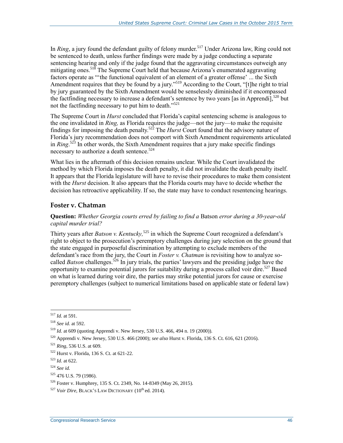In *Ring*, a jury found the defendant guilty of felony murder.<sup>517</sup> Under Arizona law, Ring could not be sentenced to death, unless further findings were made by a judge conducting a separate sentencing hearing and only if the judge found that the aggravating circumstances outweigh any mitigating ones.<sup>518</sup> The Supreme Court held that because Arizona's enumerated aggravating factors operate as "'the functional equivalent of an element of a greater offense' ... the Sixth Amendment requires that they be found by a jury."<sup>519</sup> According to the Court, "[t]he right to trial by jury guaranteed by the Sixth Amendment would be senselessly diminished if it encompassed the factfinding necessary to increase a defendant's sentence by two years [as in Apprendi],  $520$  but not the factfinding necessary to put him to death."<sup>521</sup>

The Supreme Court in *Hurst* concluded that Florida's capital sentencing scheme is analogous to the one invalidated in *Ring,* as Florida requires the judge—not the jury—to make the requisite findings for imposing the death penalty.<sup>522</sup> The *Hurst* Court found that the advisory nature of Florida's jury recommendation does not comport with Sixth Amendment requirements articulated in *Ring*. <sup>523</sup> In other words, the Sixth Amendment requires that a jury make specific findings necessary to authorize a death sentence.<sup>524</sup>

What lies in the aftermath of this decision remains unclear. While the Court invalidated the method by which Florida imposes the death penalty, it did not invalidate the death penalty itself. It appears that the Florida legislature will have to revise their procedures to make them consistent with the *Hurst* decision. It also appears that the Florida courts may have to decide whether the decision has retroactive applicability. If so, the state may have to conduct resentencing hearings.

#### **Foster v. Chatman**

#### **Question:** *Whether Georgia courts erred by failing to find a* Batson *error during a 30-year-old capital murder trial?*

Thirty years after *Batson v. Kentucky,* <sup>525</sup> in which the Supreme Court recognized a defendant's right to object to the prosecution's peremptory challenges during jury selection on the ground that the state engaged in purposeful discrimination by attempting to exclude members of the defendant's race from the jury, the Court in *Foster v. Chatman* is revisiting how to analyze socalled *Batson* challenges.<sup>526</sup> In jury trials, the parties' lawyers and the presiding judge have the opportunity to examine potential jurors for suitability during a process called voir dire. <sup>527</sup> Based on what is learned during voir dire, the parties may strike potential jurors for cause or exercise peremptory challenges (subject to numerical limitations based on applicable state or federal law)

 $\overline{a}$ <sup>517</sup> *Id.* at 591.

<sup>518</sup> *See id.* at 592.

<sup>519</sup> *Id.* at 609 (quoting Apprendi v. New Jersey, 530 U.S. 466, 494 n. 19 (2000)).

<sup>520</sup> Apprendi v. New Jersey, 530 U.S. 466 (2000); *see also* Hurst v. Florida, 136 S. Ct. 616, 621 (2016).

<sup>521</sup> *Ring*, 536 U.S. at 609.

<sup>522</sup> Hurst v. Florida, 136 S. Ct. at 621-22.

<sup>523</sup> *Id.* at 622.

<sup>524</sup> *See id.*

<sup>525</sup> 476 U.S. 79 (1986).

<sup>526</sup> Foster v. Humphrey, 135 S. Ct. 2349, No. 14-8349 (May 26, 2015).

<sup>&</sup>lt;sup>527</sup> *Voir Dire*, BLACK's LAW DICTIONARY (10<sup>th</sup> ed. 2014).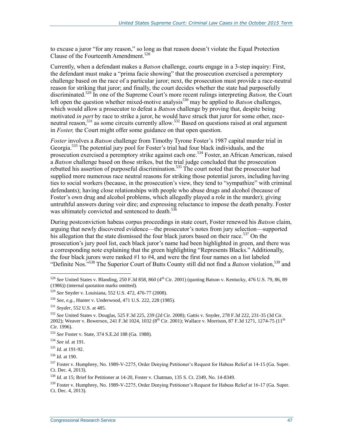to excuse a juror "for any reason," so long as that reason doesn't violate the Equal Protection Clause of the Fourteenth Amendment. 528

Currently, when a defendant makes a *Batson* challenge, courts engage in a 3-step inquiry: First, the defendant must make a "prima facie showing" that the prosecution exercised a peremptory challenge based on the race of a particular juror; next, the prosecution must provide a race-neutral reason for striking that juror; and finally, the court decides whether the state had purposefully discriminated.<sup>529</sup> In one of the Supreme Court's more recent rulings interpreting *Batson,* the Court left open the question whether mixed-motive analysis<sup>530</sup> may be applied to *Batson* challenges, which would allow a prosecutor to defeat a *Batson* challenge by proving that, despite being motivated *in part* by race to strike a juror, he would have struck that juror for some other, raceneutral reason,<sup>531</sup> as [some](https://scholar.google.com/scholar_case?q=241+f3d+1024&hl=en&as_sdt=20006&case=8528804495840723120&scilh=0) circuits currently [allow.](https://scholar.google.com/scholar_case?q=525+f3d+225&hl=en&as_sdt=20006&case=9703265435699424547&scilh=0)<sup>532</sup> Based on questions raised at oral argument in *Foster,* the Court might offer some guidance on that open question.

*Foster* involves a *Batson* challenge from Timothy Tyrone Foster's 1987 capital murder trial in Georgia.<sup>533</sup> The potential jury pool for Foster's trial had four black individuals, and the prosecution exercised a peremptory strike against each one.<sup>534</sup> Foster, an African American, raised a *Batson* challenge based on those strikes, but the trial judge concluded that the prosecution rebutted his assertion of purposeful discrimination.<sup>535</sup> The court noted that the prosecutor had supplied more numerous race neutral reasons for striking those potential jurors, including having ties to social workers (because, in the prosecution's view, they tend to "sympathize" with criminal defendants); having close relationships with people who abuse drugs and alcohol (because of Foster's own drug and alcohol problems, which allegedly played a role in the murder); giving untruthful answers during voir dire; and expressing reluctance to impose the death penalty. Foster was ultimately convicted and sentenced to death.<sup>536</sup>

During postconviction habeas corpus proceedings in state court, Foster renewed his *Batson* claim, arguing that newly discovered evidence—the prosecutor's notes from jury selection—supported his allegation that the state dismissed the four black jurors based on their race.<sup>537</sup> On the prosecution's jury pool list, each black juror's name had been highlighted in green, and there was a corresponding note explaining that the green highlighting "Represents Blacks." Additionally, the four black jurors were ranked #1 to #4, and were the first four names on a list labeled "Definite Nos."<sup>538</sup> The Superior Court of Butts County still did not find a *Batson* violation,<sup>539</sup> and

<sup>528</sup> *See* United States v. Blanding, 250 F.3d 858, 860 (4th Cir. 2001) (quoting Batson v. Kentucky, 476 U.S. 79, 86, 89 (1986)) (internal quotation marks omitted).

<sup>529</sup> *See* Snyder v. Louisiana, 552 U.S. 472, 476-77 (2008).

<sup>530</sup> *See, e.g.,* Hunter v. Underwood, 471 U.S. 222, 228 (1985).

<sup>531</sup> *Snyder*, 552 U.S. at 485.

<sup>532</sup> *See* United States v. Douglas, 525 F.3d 225, 239 (2d Cir. 2008); Gattis v. Snyder, 278 F.3d 222, 231-35 (3d Cir. 2002); Weaver v. Bowersox, 241 F.3d 1024, 1032 (8<sup>th</sup> Cir. 2001); Wallace v. Morrison, 87 F.3d 1271, 1274-75 (11<sup>th</sup>) Cir. 1996).

<sup>533</sup> *See* Foster v. State, 374 S.E.2d 188 (Ga. 1988).

<sup>534</sup> *See id.* at 191.

<sup>535</sup> *Id.* at 191-92.

<sup>536</sup> *Id.* at 190.

<sup>537</sup> Foster v. Humphrey, No. 1989-V-2275, Order Denying Petitioner's Request for Habeas Relief at 14-15 (Ga. Super. Ct. Dec. 4, 2013).

<sup>538</sup> *Id.* at 15; Brief for Petitioner at 14-20, Foster v. Chatman, 135 S. Ct. 2349, No. 14-8349.

<sup>539</sup> Foster v. Humphrey, No. 1989-V-2275, Order Denying Petitioner's Request for Habeas Relief at 16-17 (Ga. Super. Ct. Dec. 4, 2013).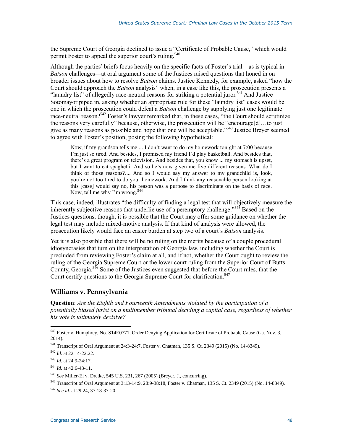the Supreme Court of Georgia declined to issue a "Certificate of Probable Cause," which would permit Foster to appeal the superior court's ruling.<sup>540</sup>

Although the parties' briefs focus heavily on the specific facts of Foster's trial—as is typical in *Batson* challenges—at oral argument some of the Justices raised questions that honed in on broader issues about how to resolve *Batson* claims. Justice Kennedy, for example, asked "how the Court should approach the *Batson* analysis" when, in a case like this, the prosecution presents a "laundry list" of allegedly race-neutral reasons for striking a potential juror.<sup>541</sup> And Justice Sotomayor piped in, asking whether an appropriate rule for these "laundry list" cases would be one in which the prosecution could defeat a *Batson* challenge by supplying just one legitimate race-neutral reason?<sup>542</sup> Foster's lawyer remarked that, in these cases, "the Court should scrutinize the reasons very carefully" because, otherwise, the prosecution will be "encourage[d]…to just give as many reasons as possible and hope that one will be acceptable."<sup>543</sup> Justice Breyer seemed to agree with Foster's position, posing the following hypothetical:

Now, if my grandson tells me ... I don't want to do my homework tonight at 7:00 because I'm just so tired. And besides, I promised my friend I'd play basketball. And besides that, there's a great program on television. And besides that, you know ... my stomach is upset, but I want to eat spaghetti. And so he's now given me five different reasons. What do I think of those reasons?.... And so I would say my answer to my grandchild is, look, you're not too tired to do your homework. And I think any reasonable person looking at this [case] would say no, his reason was a purpose to discriminate on the basis of race. Now, tell me why I'm wrong.<sup>544</sup>

This case, indeed, illustrates "the difficulty of finding a legal test that will objectively measure the inherently subjective reasons that underlie use of a peremptory challenge.<sup> $345$ </sup> Based on the Justices questions, though, it is possible that the Court may offer some guidance on whether the legal test may include mixed-motive analysis. If that kind of analysis were allowed, the prosecution likely would face an easier burden at step two of a court's *Batson* analysis.

Yet it is also possible that there will be no ruling on the merits because of a couple procedural idiosyncrasies that turn on the interpretation of Georgia law, including whether the Court is precluded from reviewing Foster's claim at all, and if not, whether the Court ought to review the ruling of the Georgia Supreme Court or the lower court ruling from the Superior Court of Butts County, Georgia.<sup>546</sup> Some of the Justices even suggested that before the Court rules, that the Court certify questions to the Georgia Supreme Court for clarification.<sup>547</sup>

### **Williams v. Pennsylvania**

**Question**: *Are the Eighth and Fourteenth Amendments violated by the participation of a potentially biased jurist on a multimember tribunal deciding a capital case, regardless of whether his vote is ultimately decisive?*

<sup>540</sup> Foster v. Humphrey, No. S14E0771, Order Denying Application for Certificate of Probable Cause (Ga. Nov. 3, 2014).

<sup>541</sup> Transcript of Oral Argument at 24:3-24:7, Foster v. Chatman, 135 S. Ct. 2349 (2015) (No. 14-8349).

<sup>542</sup> *Id.* at 22:14-22:22.

<sup>543</sup> *Id.* at 24:9-24:17.

<sup>544</sup> *Id.* at 42:6-43-11.

<sup>545</sup> *See* Miller-El v. Dretke, 545 U.S. 231, 267 (2005) (Breyer, J., concurring).

<sup>546</sup> Transcript of Oral Argument at 3:13-14:9, 28:9-38:18, Foster v. Chatman, 135 S. Ct. 2349 (2015) (No. 14-8349).

<sup>547</sup> *See id.* at 29:24, 37:18-37-20.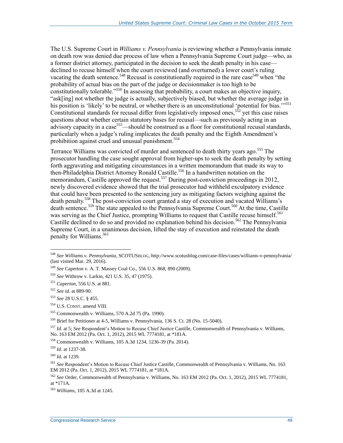The U.S. Supreme Court in *Williams v. Pennsylvania* is reviewing whether a Pennsylvania inmate on death row was denied due process of law when a Pennsylvania Supreme Court judge—who, as a former district attorney, participated in the decision to seek the death penalty in his case declined to recuse himself when the court reviewed (and overturned) a lower court's ruling vacating the death sentence.<sup>548</sup> Recusal is constitutionally required in the [rare](http://www.supremecourt.gov/opinions/08pdf/08-22.pdf) case<sup>549</sup> when "the probability of actual bias on the part of the judge or decisionmaker is too high to be constitutionally tolerable."<sup>550</sup> In assessing that probability, a court makes an objective inquiry, "ask[ing] not whether the judge is actually, subjectively biased, but whether the average judge in his position is 'likely' to be neutral, or whether there is an unconstitutional 'potential for bias."<sup>551</sup> Constitutional standards for recusal differ from legislatively imposed ones,  $552$  yet this case raises questions about whether certain statutory bases for recusal—such as previously acting in an advisory capacity in a case<sup>553</sup>—should be construed as a floor for constitutional recusal standards, particularly when a judge's ruling implicates the death penalty and the Eighth Amendment's prohibition against cruel and unusual punishment.<sup>554</sup>

Terrance Williams was convicted of murder and sentenced to death thirty years ago.<sup>555</sup> The prosecutor handling the case sought approval from higher-ups to seek the death penalty by setting forth aggravating and mitigating circumstances in a written memorandum that made its way to then-Philadelphia District Attorney Ronald Castille.<sup>556</sup> In a handwritten notation on the memorandum, Castille approved the request.<sup>557</sup> During post-conviction proceedings in 2012, newly discovered evidence showed that the trial prosecutor had withheld exculpatory evidence that could have been presented to the sentencing jury as mitigating factors weighing against the death penalty.<sup>558</sup> The post-conviction court granted a stay of execution and vacated Williams's death sentence.<sup>559</sup> The state appealed to the Pennsylvania Supreme Court.<sup>560</sup> At the time, Castille was serving as the Chief Justice, prompting Williams to request that Castille recuse himself.<sup>561</sup> Castille declined to do so and provided no explanation behind his decision.<sup>562</sup> The Pennsylvania Supreme Court, in a unanimous decision, lifted the stay of execution and reinstated the death penalty for Williams.<sup>563</sup>

- <sup>553</sup> *See* 28 U.S.C. § 455.
- <sup>554</sup> U.S. CONST. amend VIII.

<sup>548</sup> *See Williams v. Pennsylvania*, SCOTUSBLOG, http://www.scotusblog.com/case-files/cases/williams-v-pennsylvania/ (last visited Mar. 29, 2016).

<sup>549</sup> *See* Caperton v. A. T. Massey Coal Co., 556 U.S. 868, 890 (2009).

<sup>550</sup> *See* Withrow v. Larkin, 421 U.S. 35, 47 (1975).

<sup>551</sup> *Caperton*, 556 U.S. at 881.

<sup>552</sup> *See id.* at 889-90.

<sup>555</sup> Commonwealth v. Williams, 570 A.2d 75 (Pa. 1990).

<sup>556</sup> Brief for Petitioner at 4-5, Williams v. Pennsylvania, 136 S. Ct. 28 (No. 15-5040).

<sup>557</sup> *Id.* at 5; *See* Respondent's Motion to Recuse Chief Justice Castille, Commonwealth of Pennsylvania v. Williams, No. 163 EM 2012 (Pa. Oct. 1, 2012), 2015 WL 7774181, at \*181A.

<sup>558</sup> Commonwealth v. Williams, 105 A.3d 1234, 1236-39 (Pa. 2014).

<sup>559</sup> *Id.* at 1237-38.

<sup>560</sup> *Id.* at 1239.

<sup>561</sup> *See* Respondent's Motion to Recuse Chief Justice Castille, Commonwealth of Pennsylvania v. Williams, No. 163 EM 2012 (Pa. Oct. 1, 2012), 2015 WL 7774181, at \*181A.

<sup>562</sup> *See* Order, Commonwealth of Pennsylvania v. Williams, No. 163 EM 2012 (Pa. Oct. 1, 2012), 2015 WL 7774181, at \*171A.

<sup>563</sup> *Williams*, 105 A.3d at 1245.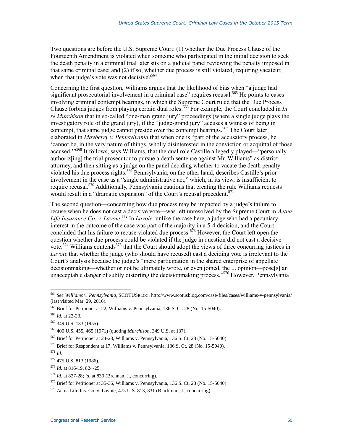Two questions are before the U.S. Supreme Court: (1) whether the Due Process Clause of the Fourteenth Amendment is violated when someone who participated in the initial decision to seek the death penalty in a criminal trial later sits on a judicial panel reviewing the penalty imposed in that same criminal case; and (2) if so, whether due process is still violated, requiring vacateur, when that judge's vote was not decisive?<sup>564</sup>

Concerning the first question, Williams argues that the likelihood of bias when "a judge had significant prosecutorial involvement in a criminal case" requires recusal.<sup>565</sup> He points to cases involving criminal contempt hearings, in which the Supreme Court ruled that the Due Process Clause forbids judges from playing certain dual roles.<sup>566</sup> For example, the Court concluded in *In re Murchison* that in so-called "one-man grand jury" proceedings (where a single judge plays the investigatory role of the grand jury), if the "judge-grand jury" accuses a witness of being in contempt, that same judge cannot preside over the contempt hearings.<sup>567</sup> The Court later elaborated in *Mayberry v. Pennsylvania* that when one is "part of the accusatory process, he 'cannot be, in the very nature of things, wholly disinterested in the conviction or acquittal of those accused.'"<sup>568</sup> It follows, says Williams, that the dual role Castille allegedly played—"personally authoriz[ing] the trial prosecutor to pursue a death sentence against Mr. Williams" as district attorney, and then sitting as a judge on the panel deciding whether to vacate the death penalty violated his due process rights.<sup>569</sup> Pennsylvania, on the other hand, describes Castille's prior involvement in the case as a "single administrative act," which, in its view, is insufficient to require recusal.<sup>570</sup> Additionally, Pennsylvania cautions that creating the rule Williams requests would result in a "dramatic expansion" of the Court's recusal precedent.<sup>571</sup>

The second question—concerning how due process may be impacted by a judge's failure to recuse when he does not cast a decisive vote—was left unresolved by the Supreme Court in *Aetna Life Insurance Co. v. Lavoie*. <sup>572</sup> In *Lavoie,* unlike the case here, a judge who had a pecuniary interest in the outcome of the case was part of the majority in a 5-4 decision, and the Court concluded that his failure to recuse violated due process.<sup>573</sup> However, the Court left open the question whether due process could be violated if the judge in question did not cast a decisive vote.<sup>574</sup> Williams contends<sup>575</sup> that the Court should adopt the views of three concurring justices in *Lavoie* that whether the judge (who should have recused) cast a deciding vote is irrelevant to the Court's analysis because the judge's "mere participation in the shared enterprise of appellate decisionmaking—whether or not he ultimately wrote, or even joined, the ... opinion—pose[s] an unacceptable danger of subtly distorting the decisionmaking process."<sup>576</sup> However, Pennsylvania

 $\overline{a}$ <sup>564</sup> *See Williams v. Pennsylvania*, SCOTUSBLOG, http://www.scotusblog.com/case-files/cases/williams-v-pennsylvania/ (last visited Mar. 29, 2016).

<sup>565</sup> Brief for Petitioner at 22, Williams v. Pennsylvania, 136 S. Ct. 28 (No. 15-5040).

<sup>566</sup> *Id.* at 22-23.

<sup>567</sup> 349 U.S. 133 (1955).

<sup>568</sup> 400 U.S. 455, 465 (1971) (quoting *Murchison,* 349 U.S. at 137).

<sup>569</sup> Brief for Petitioner at 24-28, Williams v. Pennsylvania, 136 S. Ct. 28 (No. 15-5040).

<sup>570</sup> Brief for Respondent at 17, Williams v. Pennsylvania, 136 S. Ct. 28 (No. 15-5040).

<sup>571</sup> *Id.*

<sup>572</sup> 475 U.S. 813 (1986).

<sup>573</sup> *Id.* at 816-19, 824-25.

<sup>574</sup> *Id.* at 827-28; *id.* at 830 (Brennan, J., concurring).

<sup>575</sup> Brief for Petitioner at 35-36, Williams v. Pennsylvania, 136 S. Ct. 28 (No. 15-5040).

<sup>576</sup> Aetna Life Ins. Co. v. Lavoie, 475 U.S. 813, 831 (Blackmun, J., concurring).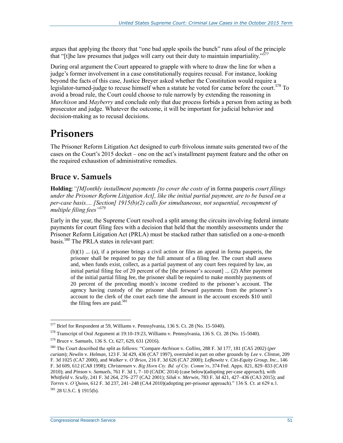argues that applying the theory that "one bad apple spoils the bunch" runs afoul of the principle that "[t]he law presumes that judges will carry out their duty to maintain impartiality."<sup>5</sup>

During oral argument the Court appeared to grapple with where to draw the line for when a judge's former involvement in a case constitutionally requires recusal. For instance, looking beyond the facts of this case, Justice Breyer asked whether the Constitution would require a legislator-turned-judge to recuse himself when a statute he voted for came before the court.<sup>578</sup> To avoid a broad rule, the Court could choose to rule narrowly by extending the reasoning in *Murchison* and *Mayberry* and conclude only that due process forbids a person from acting as both prosecutor and judge. Whatever the outcome, it will be important for judicial behavior and decision-making as to recusal decisions.

## **Prisoners**

The Prisoner Reform Litigation Act designed to curb frivolous inmate suits generated two of the cases on the Court's 2015 docket – one on the act's installment payment feature and the other on the required exhaustion of administrative remedies.

### **Bruce v. Samuels**

**Holding**:*"[M]onthly installment payments [to cover the costs of* in forma pauperis *court filings under the Prisoner Reform Litigation Act], like the initial partial payment, are to be based on a per-case basis.... [Section] 1915(b)(2) calls for simultaneous, not sequential, recoupment of multiple filing fees"<sup>579</sup>*

Early in the year, the Supreme Court resolved a split among the circuits involving federal inmate payments for court filing fees with a decision that held that the monthly assessments under the Prisoner Reform Litigation Act (PRLA) must be stacked rather than satisfied on a one-a-month basis.<sup>580</sup> The PRLA states in relevant part:

 $(b)(1)$  ... (a), if a prisoner brings a civil action or files an appeal in forma pauperis, the prisoner shall be required to pay the full amount of a filing fee. The court shall assess and, when funds exist, collect, as a partial payment of any court fees required by law, an initial partial filing fee of 20 percent of the [the prisoner's account] ... (2) After payment of the initial partial filing fee, the prisoner shall be required to make monthly payments of 20 percent of the preceding month's income credited to the prisoner's account. The agency having custody of the prisoner shall forward payments from the prisoner's account to the clerk of the court each time the amount in the account exceeds \$10 until the filing fees are paid.<sup>581</sup>

 $\overline{a}$  $577$  Brief for Respondent at 59, Williams v. Pennsylvania, 136 S. Ct. 28 (No. 15-5040).

<sup>578</sup> Transcript of Oral Argument at 19:10-19:23, Williams v. Pennsylvania, 136 S. Ct. 28 (No. 15-5040).

<sup>579</sup> Bruce v. Samuels, 136 S. Ct. 627, 629, 631 (2016).

<sup>580</sup> The Court described the split as follows: "Compare *Atchison* v. *Collins*, 288 F. 3d 177, 181 (CA5 2002) (*per curiam*); *Newlin* v. *Helman*, 123 F. 3d 429, 436 (CA7 1997), overruled in part on other grounds by *Lee* v. *Clinton*, 209 F. 3d 1025 (CA7 2000), and *Walker* v. *O'Brien*, 216 F. 3d 626 (CA7 2000); *Lefkowitz* v. *Citi-Equity Group, Inc.*, 146 F. 3d 609, 612 (CA8 1998); *Christensen* v. *Big Horn Cty. Bd. of Cty. Comm'rs*, 374 Fed. Appx. 821, 829–833 (CA10 2010); and *Pinson* v. *Samuels*, 761 F. 3d 1, 7–10 (CADC 2014) (case below)(adopting per-case approach), with *Whitfield* v. *Scully*, 241 F. 3d 264, 276–277 (CA2 2001); *Siluk* v. *Merwin*, 783 F. 3d 421, 427–436 (CA3 2015); and *Torres* v. *O'Quinn*, 612 F. 3d 237, 241–248 (CA4 2010)(adopting per-prisoner approach)." 136 S. Ct. at 629 n.1. <sup>581</sup> 28 U.S.C. § 1915(b).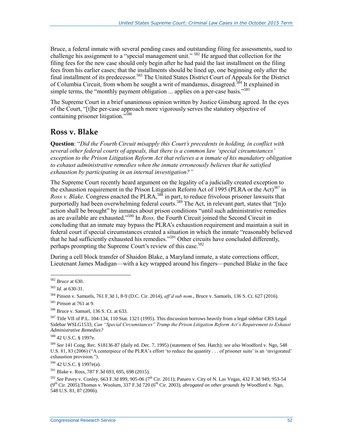Bruce, a federal inmate with several pending cases and outstanding filing fee assessments, sued to challenge his assignment to a "special management unit." <sup>582</sup> He argued that collection for the filing fees for the new case should only begin after he had paid the last installment on the filing fees from his earlier cases; that the installments should be lined up, one beginning only after the final installment of its predecessor.<sup>583</sup> The United States District Court of Appeals for the District of Columbia Circuit, from whom he sought a writ of mandamus, disagreed.<sup>584</sup> It explained in simple terms, the "monthly payment obligation ... applies on a per-case basis."<sup>585</sup>

The Supreme Court in a brief unanimous opinion written by Justice Ginsburg agreed. In the eyes of the Court, "[t]he per-case approach more vigorously serves the statutory objective of containing prisoner litigation."<sup>586</sup>

### **Ross v. Blake**

**Question**: "*Did the Fourth Circuit misapply this Court's precedents in holding, in conflict with several other federal courts of appeals, that there is a common law 'special circumstances' exception to the Prison Litigation Reform Act that relieves a n inmate of his mandatory obligation to exhaust administrative remedies when the inmate erroneously believes that he satisfied exhaustion by participating in an internal investigation?"*

The Supreme Court recently heard argument on the legality of a judicially created exception to the exhaustion requirement in the Prison Litigation Reform Act of 1995 (PLRA or the Act)<sup>587</sup> in Ross v. Blake. Congress enacted the PLRA,<sup>588</sup> in part, to reduce frivolous prisoner lawsuits that purportedly had been overwhelming federal courts.<sup>589</sup> The Act, in relevant part, states that "[n]o action shall be brought" by inmates about prison conditions "until such administrative remedies as are available are exhausted."<sup>590</sup> In *Ross,* the Fourth Circuit joined the Second Circuit in concluding that an inmate may bypass the PLRA's exhaustion requirement and maintain a suit in federal court if special circumstances created a situation in which the inmate "reasonably believed that he had sufficiently exhausted his remedies."<sup>591</sup> Other circuits have concluded differently, perhaps prompting the Supreme Court's review of this case.<sup>592</sup>

During a cell block transfer of Shaidon Blake, a Maryland inmate, a state corrections officer, Lieutenant James Madigan—with a key wrapped around his fingers—punched Blake in the face

 $\overline{a}$ 

<sup>590</sup> 42 U.S.C. § 1997e(a).

<sup>591</sup> Blake v. Ross, 787 F.3d 693, 695, 698 (2015).

<sup>582</sup> *Bruce* at 630.

<sup>583</sup> *Id.* at 630-31.

<sup>584</sup> Pinson v. Samuels, 761 F.3d 1, 8-9 (D.C. Cir. 2014), *aff'd sub nom*., Bruce v. Samuels, 136 S. Ct. 627 (2016).

<sup>585</sup> *Pinson* at 761 at 9.

<sup>586</sup> Bruce v. Samuel, 136 S. Ct. at 633.

<sup>&</sup>lt;sup>587</sup> Title VII of P.L. 104-134, 110 Stat. 1321 (1995). This discussion borrows heavily from a legal sidebar CRS Legal Sidebar WSLG1533, *Can "Special Circumstances" Trump the Prison Litigation Reform Act's Requirement to Exhaust Administrative Remedies?*

<sup>588</sup> 42 U.S.C. § 1997e.

<sup>589</sup> *See* 141 Cong. Rec. S18136-87 (daily ed. Dec. 7, 1995) (statement of Sen. Hatch); *see also* Woodford v. Ngo, 548 U.S. 81, 83 (2006) ("A centerpiece of the PLRA's effort 'to reduce the quantity . . . of prisoner suits' is an 'invigorated' exhaustion provision.").

<sup>&</sup>lt;sup>592</sup> *See* Pavey v. Conley, 663 F.3d 899, 905-06 (7<sup>th</sup> Cir. 2011); Panaro v. City of N. Las Vegas, 432 F.3d 949, 953-54 (9<sup>th</sup> Cir. 2005);Thomas v. Woolum, 337 F.3d 720 (6<sup>th</sup> Cir. 2003), *abrogated on other grounds by* Woodford v. Ngo, 548 U.S. 81, 87 (2006).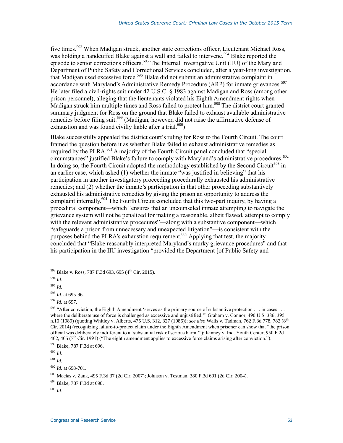five times.<sup>593</sup> When Madigan struck, another state corrections officer, Lieutenant Michael Ross, was holding a handcuffed Blake against a wall and failed to intervene.<sup>594</sup> Blake reported the episode to senior corrections officers.<sup>595</sup> The Internal Investigative Unit (IIU) of the Maryland Department of Public Safety and Correctional Services concluded, after a year-long investigation, that Madigan used excessive force.<sup>596</sup> Blake did not submit an administrative complaint in accordance with Maryland's Administrative Remedy Procedure (ARP) for inmate grievances.<sup>597</sup> He later filed a civil-rights suit under 42 U.S.C. § 1983 against Madigan and Ross (among other prison personnel), alleging that the lieutenants violated his Eighth Amendment rights when Madigan struck him multiple times and Ross failed to protect him.<sup>598</sup> The district court granted summary judgment for Ross on the ground that Blake failed to exhaust available administrative remedies before filing suit.<sup>599</sup> (Madigan, however, did not raise the affirmative defense of exhaustion and was found civilly liable after a trial. $600$ )

Blake successfully appealed the district court's ruling for Ross to the Fourth Circuit. The court framed the question before it as whether Blake failed to exhaust administrative remedies as required by the PLRA.<sup>601</sup> A majority of the Fourth Circuit panel concluded that "special circumstances" justified Blake's failure to comply with Maryland's administrative procedures.<sup>602</sup> In doing so, the Fourth Circuit adopted the methodology established by th[e Second Circuit](https://scholar.google.com/scholar_case?q=495+f3d+37&hl=en&as_sdt=20006&case=292650748529300311&scilh=0)<sup>603</sup> in an earlier case, which asked (1) whether the inmate "was justified in believing" that his participation in another investigatory proceeding procedurally exhausted his administrative remedies; and (2) whether the inmate's participation in that other proceeding substantively exhausted his administrative remedies by giving the prison an opportunity to address the complaint internally.<sup>604</sup> The Fourth Circuit concluded that this two-part inquiry, by having a procedural component—which "ensures that an uncounseled inmate attempting to navigate the grievance system will not be penalized for making a reasonable, albeit flawed, attempt to comply with the relevant administrative procedures"—along with a substantive component—which "safeguards a prison from unnecessary and unexpected litigation"—is consistent with the purposes behind the PLRA's exhaustion requirement.<sup>605</sup> Applying that test, the majority concluded that "Blake reasonably interpreted Maryland's murky grievance procedures" and that his participation in the IIU investigation "provided the Department [of Public Safety and

 $\overline{a}$ 

<sup>605</sup> *Id.* 

 $593$  Blake v. Ross, 787 F.3d 693, 695 (4<sup>th</sup> Cir. 2015).

<sup>594</sup> *Id.* 

<sup>595</sup> *Id.* 

<sup>596</sup> *Id.* at 695-96.

<sup>597</sup> *Id.* at 697.

<sup>&</sup>lt;sup>598</sup> "After conviction, the Eighth Amendment 'serves as the primary source of substantive protection . . . in cases . . . where the deliberate use of force is challenged as excessive and unjustified." Graham v. Connor, 490 U.S. 386, 395 n.10 (1989) (quoting Whitley v. Alberts, 475 U.S. 312, 327 (1986)); *see also* Walls v. Tadman, 762 F.3d 778, 782 (8th Cir. 2014) (recognizing failure-to-protect claim under the Eighth Amendment when prisoner can show that "the prison official was deliberately indifferent to a 'substantial risk of serious harm.'"); Kinney v. Ind. Youth Center, 950 F.2d 462, 465 ( $7<sup>th</sup>$  Cir. 1991) ("The eighth amendment applies to excessive force claims arising after conviction.").

<sup>599</sup> Blake, 787 F.3d at 696.

<sup>600</sup> *Id.* 

<sup>601</sup> *Id.* 

<sup>602</sup> *Id.* at 698-701.

<sup>603</sup> Macias v. Zank, 495 F.3d 37 (2d Cir. 2007); Johnson v. Testman, 380 F.3d 691 (2d Cir. 2004).

<sup>604</sup> Blake, 787 F.3d at 698.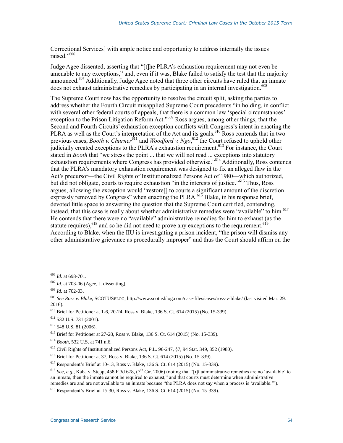Correctional Services] with ample notice and opportunity to address internally the issues raised."<sup>606</sup>

Judge Agee dissented, asserting that "[t]he PLRA's exhaustion requirement may not even be amenable to any exceptions," and, even if it was, Blake failed to satisfy the test that the majority announced.<sup>607</sup> Additionally, Judge Agee noted that three other [circuits](https://scholar.google.com/scholar_case?q=663+f3d+899&hl=en&as_sdt=20006&case=7392285176698873054&scilh=0) have ruled that an inmate does not exhaust administrative remedies by participating in an internal investigation.<sup>608</sup>

The Supreme Court now has the opportunity to resolve the circuit split, asking the parties to address whether the Fourth Circuit misapplied Supreme Court precedents "in holding, in conflict with several other federal courts of appeals, that there is a common law 'special circumstances' exception to the Prison Litigation Reform Act."<sup>609</sup> Ross argues, among other things, that the Second and Fourth Circuits' exhaustion exception conflicts with Congress's intent in enacting the PLRA as well as the Court's interpretation of the Act and its goals.<sup>610</sup> Ross contends that in two previous cases, *Booth v. Churner*<sup>611</sup> and *Woodford v. Ngo*,<sup>612</sup> the Court refused to uphold other judicially created exceptions to the PLRA's exhaustion requirement.<sup>613</sup> For instance, the Court stated in *Booth* that "we stress the point ... that we will not read ... exceptions into statutory exhaustion requirements where Congress has provided otherwise."<sup>614</sup> Additionally, Ross contends that the PLRA's mandatory exhaustion requirement was designed to fix an alleged flaw in the Act's precursor—the Civil Rights of Institutionalized Persons Act of 1980—which authorized, but did not obligate, courts to require exhaustion "in the interests of justice."<sup>615</sup> Thus, Ross argues, allowing the exception would "restore[] to courts a significant amount of the discretion expressly removed by Congress" when enacting the PLRA.<sup>616</sup> Blake, in his response brief, devoted little space to answering the question that the Supreme Court certified, contending, instead, that this case is really about whether administrative remedies were "available" to him.<sup>617</sup> He contends that there were no "available" administrative remedies for him to exhaust (as the statute requires),  $618$  and so he did not need to prove any exceptions to the requirement.  $619$ According to Blake, when the IIU is investigating a prison incident, "the prison will dismiss any other administrative grievance as procedurally improper" and thus the Court should affirm on the

<sup>606</sup> *Id.* at 698-701.

<sup>607</sup> *Id.* at 703-06 (Agee, J. dissenting).

<sup>608</sup> *Id.* at 702-03.

<sup>609</sup> *See Ross v. Blake,* SCOTUSBLOG, http://www.scotusblog.com/case-files/cases/ross-v-blake/ (last visited Mar. 29. 2016).

<sup>610</sup> Brief for Petitioner at 1-6, 20-24, Ross v. Blake, 136 S. Ct. 614 (2015) (No. 15-339).

<sup>611</sup> 532 U.S. 731 (2001).

<sup>612</sup> 548 U.S. 81 (2006).

<sup>613</sup> Brief for Petitioner at 27-28, Ross v. Blake, 136 S. Ct. 614 (2015) (No. 15-339).

<sup>614</sup> *Booth,* 532 U.S. at 741 n.6.

<sup>615</sup> Civil Rights of Institutionalized Persons Act, P.L. 96-247, §7, 94 Stat. 349, 352 (1980).

<sup>616</sup> Brief for Petitioner at 37, Ross v. Blake, 136 S. Ct. 614 (2015) (No. 15-339).

<sup>617</sup> Respondent's Brief at 10-13, Ross v. Blake, 136 S. Ct. 614 (2015) (No. 15-339).

<sup>&</sup>lt;sup>618</sup> *See, e.g.*, Kaba v. Stepp, 458 F.3d 678, (7<sup>th</sup> Cir. 2006) (noting that "[i]f administrative remedies are no 'available' to an inmate, then the inmate cannot be required to exhaust," and that courts must determine when administrative remedies are and are not available to an inmate because "the PLRA does not say when a process is 'available.'").

<sup>619</sup> Respondent's Brief at 15-30, Ross v. Blake, 136 S. Ct. 614 (2015) (No. 15-339).